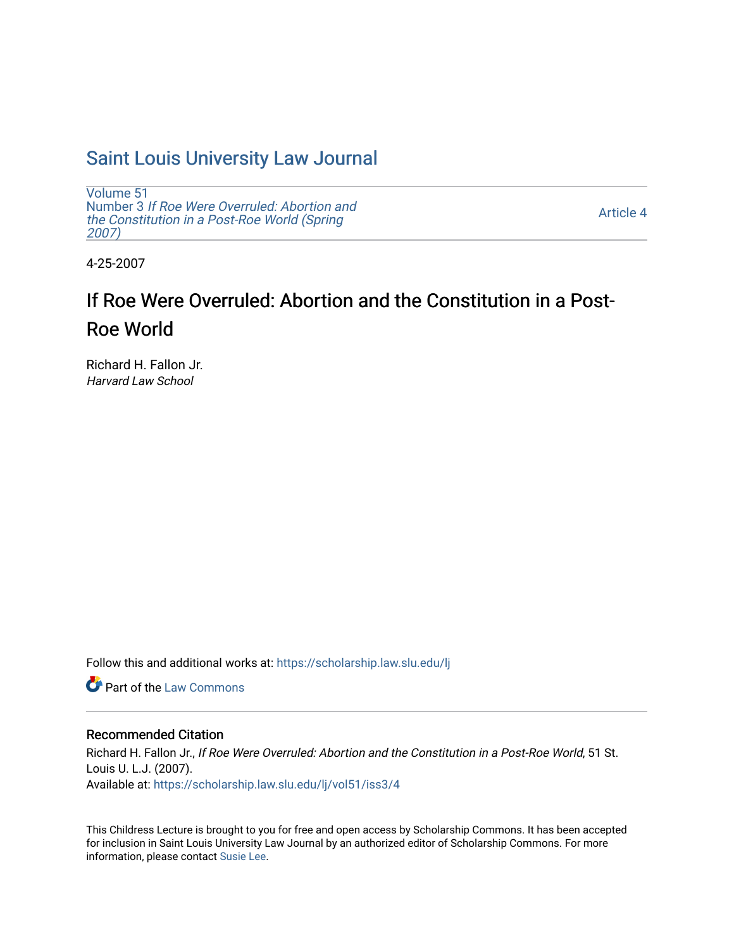# [Saint Louis University Law Journal](https://scholarship.law.slu.edu/lj)

[Volume 51](https://scholarship.law.slu.edu/lj/vol51) Number 3 [If Roe Were Overruled: Abortion and](https://scholarship.law.slu.edu/lj/vol51/iss3)  [the Constitution in a Post-Roe World \(Spring](https://scholarship.law.slu.edu/lj/vol51/iss3) [2007\)](https://scholarship.law.slu.edu/lj/vol51/iss3) 

[Article 4](https://scholarship.law.slu.edu/lj/vol51/iss3/4) 

4-25-2007

# If Roe Were Overruled: Abortion and the Constitution in a Post-Roe World

Richard H. Fallon Jr. Harvard Law School

Follow this and additional works at: [https://scholarship.law.slu.edu/lj](https://scholarship.law.slu.edu/lj?utm_source=scholarship.law.slu.edu%2Flj%2Fvol51%2Fiss3%2F4&utm_medium=PDF&utm_campaign=PDFCoverPages) 

**C** Part of the [Law Commons](http://network.bepress.com/hgg/discipline/578?utm_source=scholarship.law.slu.edu%2Flj%2Fvol51%2Fiss3%2F4&utm_medium=PDF&utm_campaign=PDFCoverPages)

# Recommended Citation

Richard H. Fallon Jr., If Roe Were Overruled: Abortion and the Constitution in a Post-Roe World, 51 St. Louis U. L.J. (2007). Available at: [https://scholarship.law.slu.edu/lj/vol51/iss3/4](https://scholarship.law.slu.edu/lj/vol51/iss3/4?utm_source=scholarship.law.slu.edu%2Flj%2Fvol51%2Fiss3%2F4&utm_medium=PDF&utm_campaign=PDFCoverPages) 

This Childress Lecture is brought to you for free and open access by Scholarship Commons. It has been accepted for inclusion in Saint Louis University Law Journal by an authorized editor of Scholarship Commons. For more information, please contact [Susie Lee](mailto:susie.lee@slu.edu).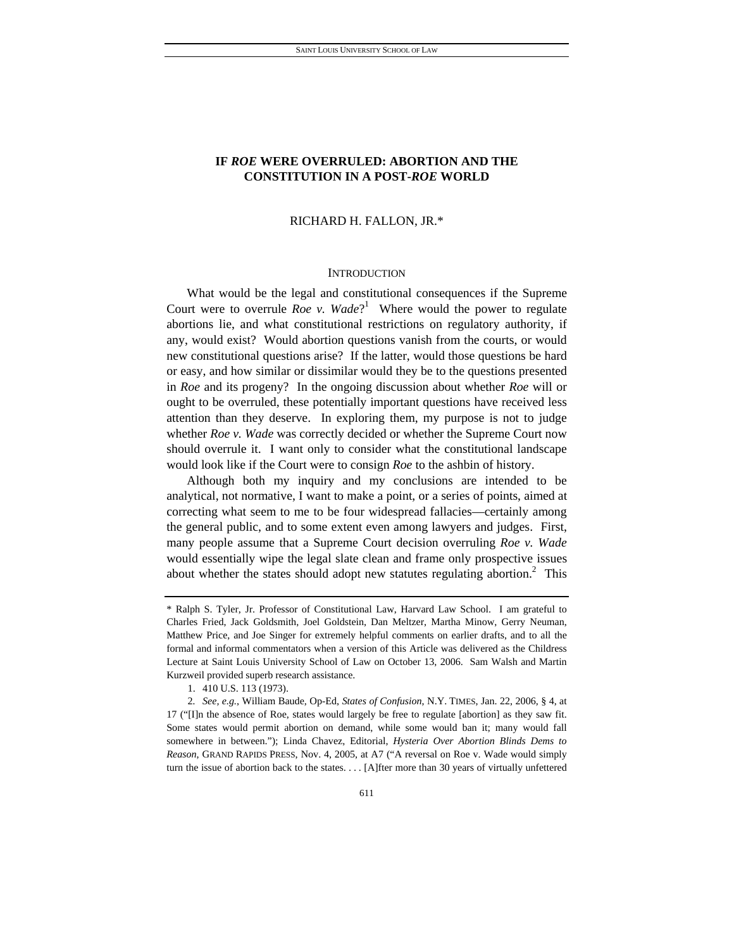# **IF** *ROE* **WERE OVERRULED: ABORTION AND THE CONSTITUTION IN A POST-***ROE* **WORLD**

### RICHARD H. FALLON, JR.\*

#### **INTRODUCTION**

What would be the legal and constitutional consequences if the Supreme Court were to overrule *Roe* v. Wade<sup>?1</sup> Where would the power to regulate abortions lie, and what constitutional restrictions on regulatory authority, if any, would exist? Would abortion questions vanish from the courts, or would new constitutional questions arise? If the latter, would those questions be hard or easy, and how similar or dissimilar would they be to the questions presented in *Roe* and its progeny? In the ongoing discussion about whether *Roe* will or ought to be overruled, these potentially important questions have received less attention than they deserve. In exploring them, my purpose is not to judge whether *Roe v. Wade* was correctly decided or whether the Supreme Court now should overrule it. I want only to consider what the constitutional landscape would look like if the Court were to consign *Roe* to the ashbin of history.

Although both my inquiry and my conclusions are intended to be analytical, not normative, I want to make a point, or a series of points, aimed at correcting what seem to me to be four widespread fallacies—certainly among the general public, and to some extent even among lawyers and judges. First, many people assume that a Supreme Court decision overruling *Roe v. Wade* would essentially wipe the legal slate clean and frame only prospective issues about whether the states should adopt new statutes regulating abortion.<sup>2</sup> This

1. 410 U.S. 113 (1973).

<sup>\*</sup> Ralph S. Tyler, Jr. Professor of Constitutional Law, Harvard Law School. I am grateful to Charles Fried, Jack Goldsmith, Joel Goldstein, Dan Meltzer, Martha Minow, Gerry Neuman, Matthew Price, and Joe Singer for extremely helpful comments on earlier drafts, and to all the formal and informal commentators when a version of this Article was delivered as the Childress Lecture at Saint Louis University School of Law on October 13, 2006. Sam Walsh and Martin Kurzweil provided superb research assistance.

<sup>2</sup>*. See, e.g.*, William Baude, Op-Ed, *States of Confusion*, N.Y. TIMES, Jan. 22, 2006, § 4, at 17 ("[I]n the absence of Roe, states would largely be free to regulate [abortion] as they saw fit. Some states would permit abortion on demand, while some would ban it; many would fall somewhere in between."); Linda Chavez, Editorial, *Hysteria Over Abortion Blinds Dems to Reason*, GRAND RAPIDS PRESS, Nov. 4, 2005, at A7 ("A reversal on Roe v. Wade would simply turn the issue of abortion back to the states. . . . [A]fter more than 30 years of virtually unfettered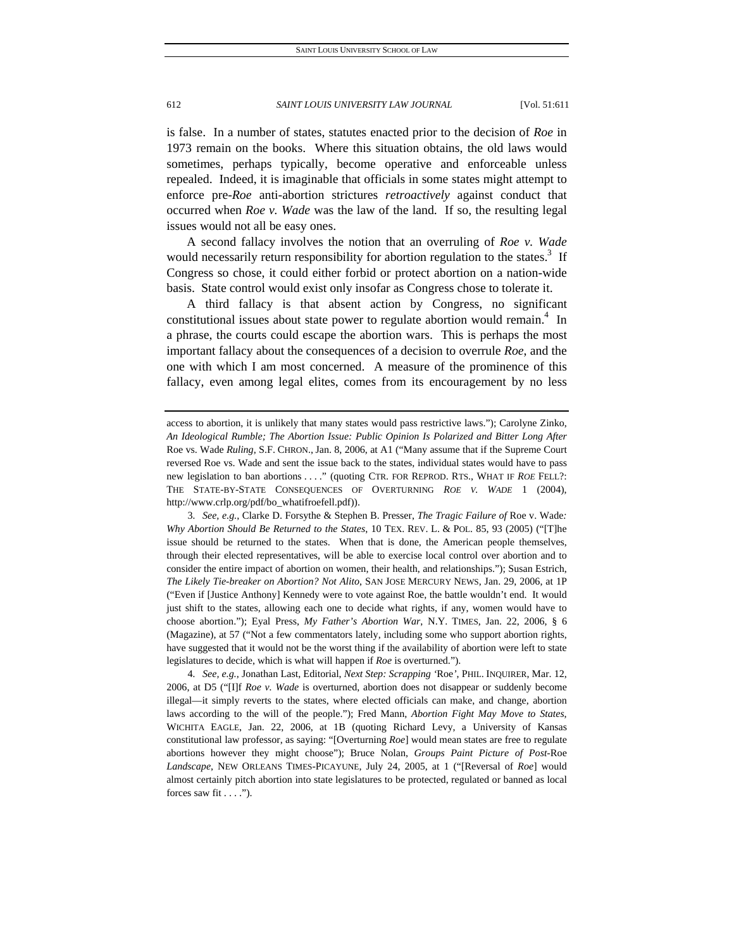is false. In a number of states, statutes enacted prior to the decision of *Roe* in 1973 remain on the books. Where this situation obtains, the old laws would sometimes, perhaps typically, become operative and enforceable unless repealed. Indeed, it is imaginable that officials in some states might attempt to enforce pre-*Roe* anti-abortion strictures *retroactively* against conduct that occurred when *Roe v. Wade* was the law of the land. If so, the resulting legal issues would not all be easy ones.

A second fallacy involves the notion that an overruling of *Roe v. Wade* would necessarily return responsibility for abortion regulation to the states. $3$  If Congress so chose, it could either forbid or protect abortion on a nation-wide basis. State control would exist only insofar as Congress chose to tolerate it.

A third fallacy is that absent action by Congress, no significant constitutional issues about state power to regulate abortion would remain.<sup>4</sup> In a phrase, the courts could escape the abortion wars. This is perhaps the most important fallacy about the consequences of a decision to overrule *Roe*, and the one with which I am most concerned. A measure of the prominence of this fallacy, even among legal elites, comes from its encouragement by no less

4*. See, e.g.*, Jonathan Last, Editorial, *Next Step: Scrapping '*Roe*'*, PHIL. INQUIRER, Mar. 12, 2006, at D5 ("[I]f *Roe v. Wade* is overturned, abortion does not disappear or suddenly become illegal—it simply reverts to the states, where elected officials can make, and change, abortion laws according to the will of the people."); Fred Mann, *Abortion Fight May Move to States*, WICHITA EAGLE, Jan. 22, 2006, at 1B (quoting Richard Levy, a University of Kansas constitutional law professor, as saying: "[Overturning *Roe*] would mean states are free to regulate abortions however they might choose"); Bruce Nolan, *Groups Paint Picture of Post-*Roe *Landscape*, NEW ORLEANS TIMES-PICAYUNE, July 24, 2005, at 1 ("[Reversal of *Roe*] would almost certainly pitch abortion into state legislatures to be protected, regulated or banned as local forces saw fit  $\dots$ .").

access to abortion, it is unlikely that many states would pass restrictive laws."); Carolyne Zinko, *An Ideological Rumble; The Abortion Issue: Public Opinion Is Polarized and Bitter Long After*  Roe vs. Wade *Ruling*, S.F. CHRON., Jan. 8, 2006, at A1 ("Many assume that if the Supreme Court reversed Roe vs. Wade and sent the issue back to the states, individual states would have to pass new legislation to ban abortions . . . ." (quoting CTR. FOR REPROD. RTS., WHAT IF *ROE* FELL?: THE STATE-BY-STATE CONSEQUENCES OF OVERTURNING *ROE V. WADE* 1 (2004), http://www.crlp.org/pdf/bo\_whatifroefell.pdf)).

<sup>3</sup>*. See, e.g.*, Clarke D. Forsythe & Stephen B. Presser, *The Tragic Failure of* Roe v. Wade*: Why Abortion Should Be Returned to the States*, 10 TEX. REV. L. & POL. 85, 93 (2005) ("[T]he issue should be returned to the states. When that is done, the American people themselves, through their elected representatives, will be able to exercise local control over abortion and to consider the entire impact of abortion on women, their health, and relationships."); Susan Estrich, *The Likely Tie-breaker on Abortion? Not Alito*, SAN JOSE MERCURY NEWS, Jan. 29, 2006, at 1P ("Even if [Justice Anthony] Kennedy were to vote against Roe, the battle wouldn't end. It would just shift to the states, allowing each one to decide what rights, if any, women would have to choose abortion."); Eyal Press, *My Father's Abortion War*, N.Y. TIMES, Jan. 22, 2006, § 6 (Magazine), at 57 ("Not a few commentators lately, including some who support abortion rights, have suggested that it would not be the worst thing if the availability of abortion were left to state legislatures to decide, which is what will happen if *Roe* is overturned.").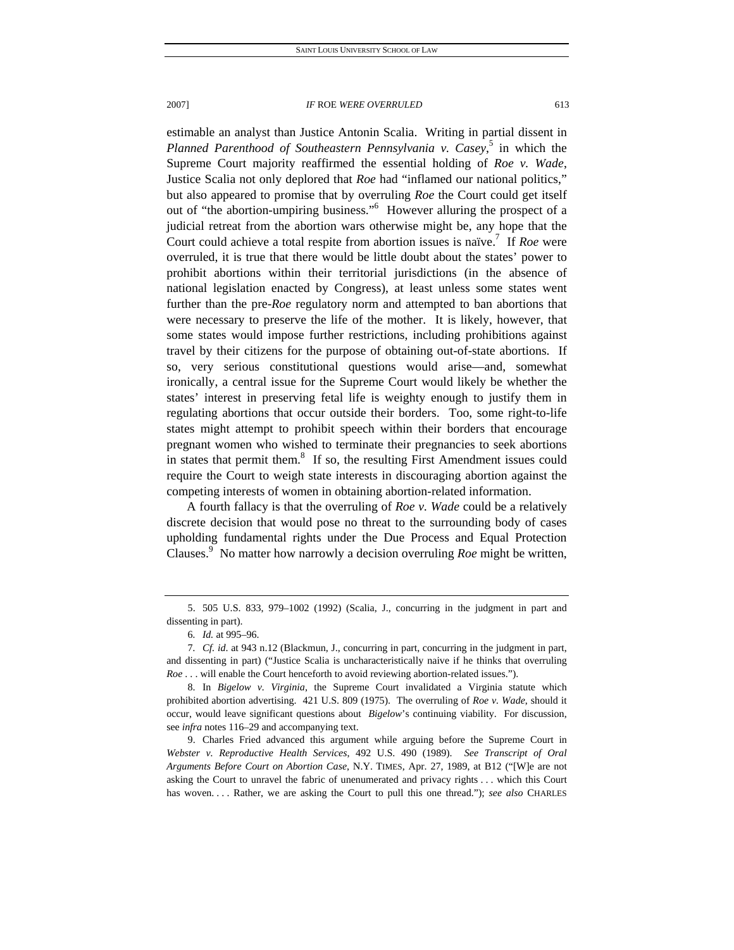estimable an analyst than Justice Antonin Scalia. Writing in partial dissent in Planned Parenthood of Southeastern Pennsylvania v. Casey,<sup>5</sup> in which the Supreme Court majority reaffirmed the essential holding of *Roe v. Wade*, Justice Scalia not only deplored that *Roe* had "inflamed our national politics," but also appeared to promise that by overruling *Roe* the Court could get itself out of "the abortion-umpiring business."<sup>6</sup> However alluring the prospect of a judicial retreat from the abortion wars otherwise might be, any hope that the Court could achieve a total respite from abortion issues is naïve.<sup>7</sup> If *Roe* were overruled, it is true that there would be little doubt about the states' power to prohibit abortions within their territorial jurisdictions (in the absence of national legislation enacted by Congress), at least unless some states went further than the pre-*Roe* regulatory norm and attempted to ban abortions that were necessary to preserve the life of the mother. It is likely, however, that some states would impose further restrictions, including prohibitions against travel by their citizens for the purpose of obtaining out-of-state abortions. If so, very serious constitutional questions would arise—and, somewhat ironically, a central issue for the Supreme Court would likely be whether the states' interest in preserving fetal life is weighty enough to justify them in regulating abortions that occur outside their borders. Too, some right-to-life states might attempt to prohibit speech within their borders that encourage pregnant women who wished to terminate their pregnancies to seek abortions in states that permit them. $8\,$  If so, the resulting First Amendment issues could require the Court to weigh state interests in discouraging abortion against the competing interests of women in obtaining abortion-related information.

A fourth fallacy is that the overruling of *Roe v. Wade* could be a relatively discrete decision that would pose no threat to the surrounding body of cases upholding fundamental rights under the Due Process and Equal Protection Clauses.9 No matter how narrowly a decision overruling *Roe* might be written,

 <sup>5. 505</sup> U.S. 833, 979–1002 (1992) (Scalia, J., concurring in the judgment in part and dissenting in part).

<sup>6</sup>*. Id.* at 995–96.

<sup>7</sup>*. Cf. id*. at 943 n.12 (Blackmun, J., concurring in part, concurring in the judgment in part, and dissenting in part) ("Justice Scalia is uncharacteristically naive if he thinks that overruling *Roe* . . . will enable the Court henceforth to avoid reviewing abortion-related issues.").

 <sup>8.</sup> In *Bigelow v. Virginia*, the Supreme Court invalidated a Virginia statute which prohibited abortion advertising. 421 U.S. 809 (1975). The overruling of *Roe v. Wade*, should it occur, would leave significant questions about *Bigelow*'s continuing viability. For discussion, see *infra* notes 116–29 and accompanying text.

 <sup>9.</sup> Charles Fried advanced this argument while arguing before the Supreme Court in *Webster v. Reproductive Health Services*, 492 U.S. 490 (1989). *See Transcript of Oral Arguments Before Court on Abortion Case*, N.Y. TIMES, Apr. 27, 1989, at B12 ("[W]e are not asking the Court to unravel the fabric of unenumerated and privacy rights . . . which this Court has woven. . . . Rather, we are asking the Court to pull this one thread."); *see also* CHARLES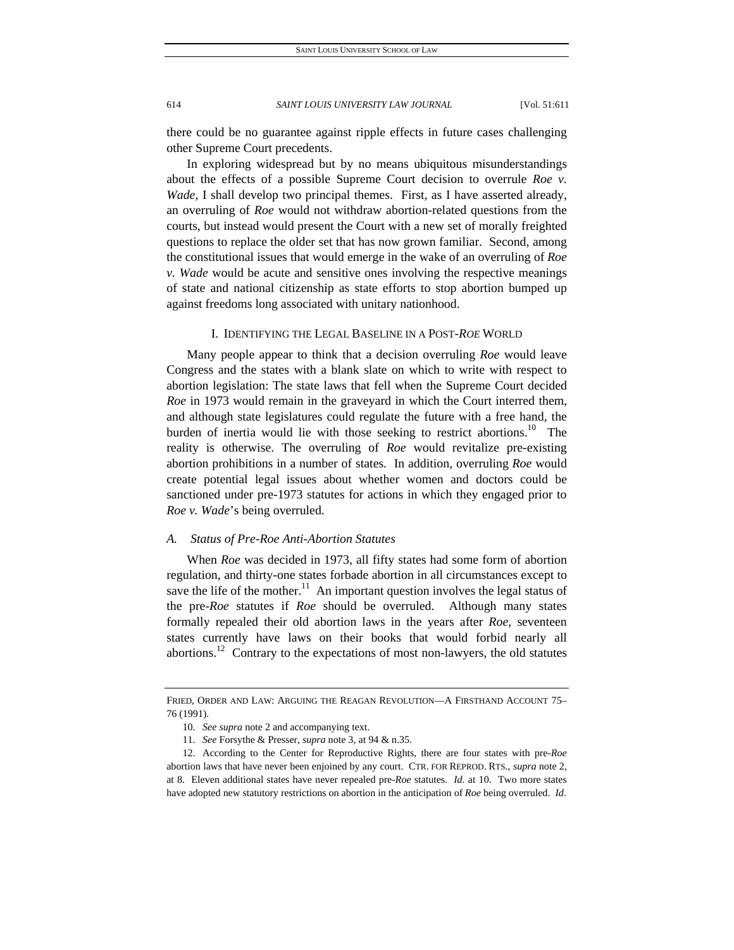there could be no guarantee against ripple effects in future cases challenging other Supreme Court precedents.

In exploring widespread but by no means ubiquitous misunderstandings about the effects of a possible Supreme Court decision to overrule *Roe v. Wade*, I shall develop two principal themes. First, as I have asserted already, an overruling of *Roe* would not withdraw abortion-related questions from the courts, but instead would present the Court with a new set of morally freighted questions to replace the older set that has now grown familiar. Second, among the constitutional issues that would emerge in the wake of an overruling of *Roe v. Wade* would be acute and sensitive ones involving the respective meanings of state and national citizenship as state efforts to stop abortion bumped up against freedoms long associated with unitary nationhood.

#### I. IDENTIFYING THE LEGAL BASELINE IN A POST-*ROE* WORLD

Many people appear to think that a decision overruling *Roe* would leave Congress and the states with a blank slate on which to write with respect to abortion legislation: The state laws that fell when the Supreme Court decided *Roe* in 1973 would remain in the graveyard in which the Court interred them, and although state legislatures could regulate the future with a free hand, the burden of inertia would lie with those seeking to restrict abortions.<sup>10</sup> The reality is otherwise. The overruling of *Roe* would revitalize pre-existing abortion prohibitions in a number of states. In addition, overruling *Roe* would create potential legal issues about whether women and doctors could be sanctioned under pre-1973 statutes for actions in which they engaged prior to *Roe v. Wade*'s being overruled.

#### *A. Status of Pre-Roe Anti-Abortion Statutes*

When *Roe* was decided in 1973, all fifty states had some form of abortion regulation, and thirty-one states forbade abortion in all circumstances except to save the life of the mother.<sup>11</sup> An important question involves the legal status of the pre-*Roe* statutes if *Roe* should be overruled. Although many states formally repealed their old abortion laws in the years after *Roe*, seventeen states currently have laws on their books that would forbid nearly all abortions.<sup>12</sup> Contrary to the expectations of most non-lawyers, the old statutes

FRIED, ORDER AND LAW: ARGUING THE REAGAN REVOLUTION—A FIRSTHAND ACCOUNT 75– 76 (1991).

<sup>10</sup>*. See supra* note 2 and accompanying text.

<sup>11</sup>*. See* Forsythe & Presser, *supra* note 3, at 94 & n.35.

 <sup>12.</sup> According to the Center for Reproductive Rights, there are four states with pre-*Roe* abortion laws that have never been enjoined by any court. CTR. FOR REPROD. RTS., *supra* note 2, at 8. Eleven additional states have never repealed pre-*Roe* statutes. *Id.* at 10. Two more states have adopted new statutory restrictions on abortion in the anticipation of *Roe* being overruled. *Id*.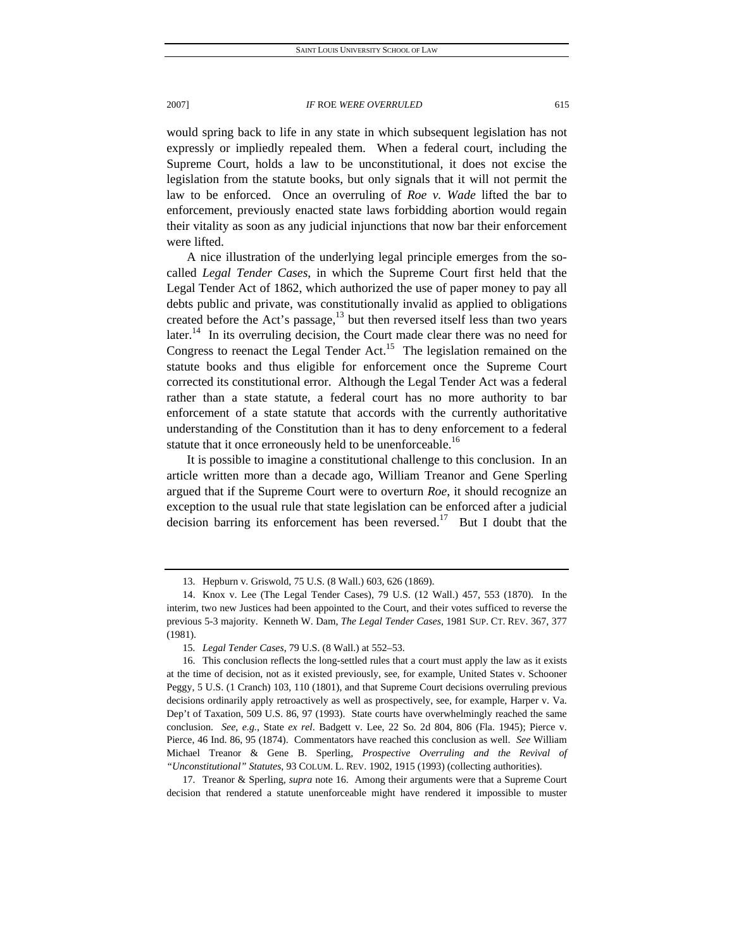would spring back to life in any state in which subsequent legislation has not expressly or impliedly repealed them. When a federal court, including the Supreme Court, holds a law to be unconstitutional, it does not excise the legislation from the statute books, but only signals that it will not permit the law to be enforced. Once an overruling of *Roe v. Wade* lifted the bar to enforcement, previously enacted state laws forbidding abortion would regain their vitality as soon as any judicial injunctions that now bar their enforcement were lifted.

A nice illustration of the underlying legal principle emerges from the socalled *Legal Tender Cases*, in which the Supreme Court first held that the Legal Tender Act of 1862, which authorized the use of paper money to pay all debts public and private, was constitutionally invalid as applied to obligations created before the Act's passage, $^{13}$  but then reversed itself less than two years later.<sup>14</sup> In its overruling decision, the Court made clear there was no need for Congress to reenact the Legal Tender Act.<sup>15</sup> The legislation remained on the statute books and thus eligible for enforcement once the Supreme Court corrected its constitutional error. Although the Legal Tender Act was a federal rather than a state statute, a federal court has no more authority to bar enforcement of a state statute that accords with the currently authoritative understanding of the Constitution than it has to deny enforcement to a federal statute that it once erroneously held to be unenforceable.<sup>16</sup>

It is possible to imagine a constitutional challenge to this conclusion. In an article written more than a decade ago, William Treanor and Gene Sperling argued that if the Supreme Court were to overturn *Roe*, it should recognize an exception to the usual rule that state legislation can be enforced after a judicial decision barring its enforcement has been reversed.<sup>17</sup> But I doubt that the

 17. Treanor & Sperling, *supra* note 16. Among their arguments were that a Supreme Court decision that rendered a statute unenforceable might have rendered it impossible to muster

 <sup>13.</sup> Hepburn v. Griswold, 75 U.S. (8 Wall.) 603, 626 (1869).

 <sup>14.</sup> Knox v. Lee (The Legal Tender Cases), 79 U.S. (12 Wall.) 457, 553 (1870). In the interim, two new Justices had been appointed to the Court, and their votes sufficed to reverse the previous 5-3 majority. Kenneth W. Dam, *The Legal Tender Cases*, 1981 SUP. CT. REV. 367, 377 (1981).

<sup>15</sup>*. Legal Tender Cases*, 79 U.S. (8 Wall.) at 552–53.

 <sup>16.</sup> This conclusion reflects the long-settled rules that a court must apply the law as it exists at the time of decision, not as it existed previously, see, for example, United States v. Schooner Peggy, 5 U.S. (1 Cranch) 103, 110 (1801), and that Supreme Court decisions overruling previous decisions ordinarily apply retroactively as well as prospectively, see, for example, Harper v. Va. Dep't of Taxation, 509 U.S. 86, 97 (1993). State courts have overwhelmingly reached the same conclusion. *See, e.g.*, State *ex rel*. Badgett v. Lee, 22 So. 2d 804, 806 (Fla. 1945); Pierce v. Pierce, 46 Ind. 86, 95 (1874). Commentators have reached this conclusion as well. *See* William Michael Treanor & Gene B. Sperling, *Prospective Overruling and the Revival of "Unconstitutional" Statutes*, 93 COLUM. L. REV. 1902, 1915 (1993) (collecting authorities).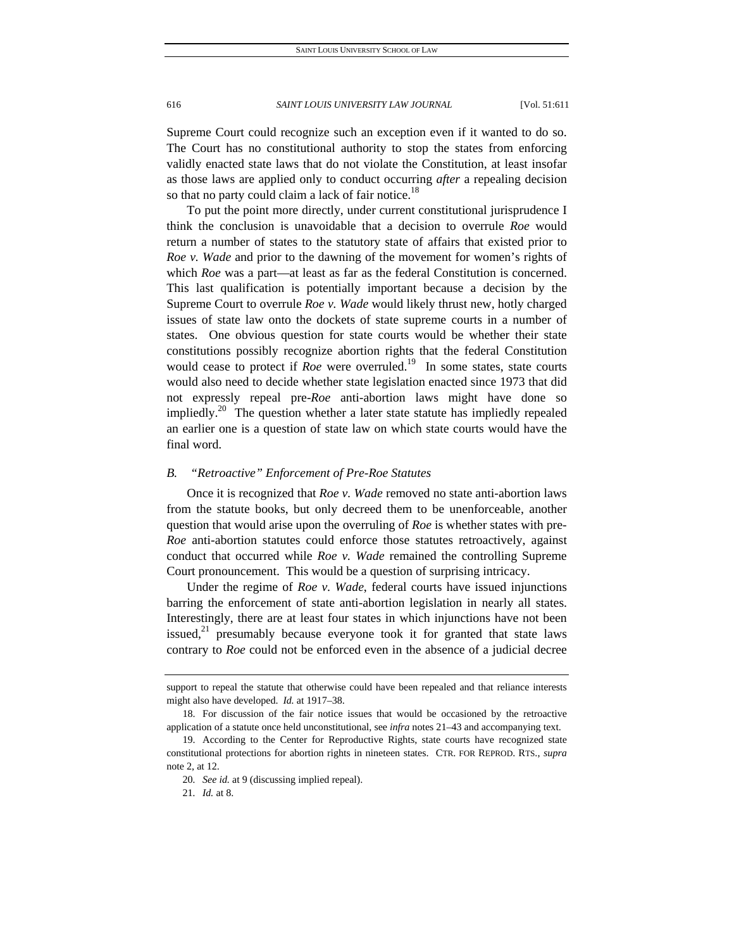Supreme Court could recognize such an exception even if it wanted to do so. The Court has no constitutional authority to stop the states from enforcing validly enacted state laws that do not violate the Constitution, at least insofar as those laws are applied only to conduct occurring *after* a repealing decision so that no party could claim a lack of fair notice.<sup>18</sup>

To put the point more directly, under current constitutional jurisprudence I think the conclusion is unavoidable that a decision to overrule *Roe* would return a number of states to the statutory state of affairs that existed prior to *Roe v. Wade* and prior to the dawning of the movement for women's rights of which *Roe* was a part—at least as far as the federal Constitution is concerned. This last qualification is potentially important because a decision by the Supreme Court to overrule *Roe v. Wade* would likely thrust new, hotly charged issues of state law onto the dockets of state supreme courts in a number of states. One obvious question for state courts would be whether their state constitutions possibly recognize abortion rights that the federal Constitution would cease to protect if *Roe* were overruled.<sup>19</sup> In some states, state courts would also need to decide whether state legislation enacted since 1973 that did not expressly repeal pre-*Roe* anti-abortion laws might have done so impliedly.<sup>20</sup> The question whether a later state statute has impliedly repealed an earlier one is a question of state law on which state courts would have the final word.

# *B. "Retroactive" Enforcement of Pre-Roe Statutes*

Once it is recognized that *Roe v. Wade* removed no state anti-abortion laws from the statute books, but only decreed them to be unenforceable, another question that would arise upon the overruling of *Roe* is whether states with pre-*Roe* anti-abortion statutes could enforce those statutes retroactively, against conduct that occurred while *Roe v. Wade* remained the controlling Supreme Court pronouncement. This would be a question of surprising intricacy.

Under the regime of *Roe v. Wade*, federal courts have issued injunctions barring the enforcement of state anti-abortion legislation in nearly all states. Interestingly, there are at least four states in which injunctions have not been issued, $2<sup>1</sup>$  presumably because everyone took it for granted that state laws contrary to *Roe* could not be enforced even in the absence of a judicial decree

support to repeal the statute that otherwise could have been repealed and that reliance interests might also have developed. *Id.* at 1917–38.

 <sup>18.</sup> For discussion of the fair notice issues that would be occasioned by the retroactive application of a statute once held unconstitutional, see *infra* notes 21–43 and accompanying text.

 <sup>19.</sup> According to the Center for Reproductive Rights, state courts have recognized state constitutional protections for abortion rights in nineteen states. CTR. FOR REPROD. RTS., *supra* note 2, at 12.

<sup>20</sup>*. See id.* at 9 (discussing implied repeal).

<sup>21</sup>*. Id.* at 8.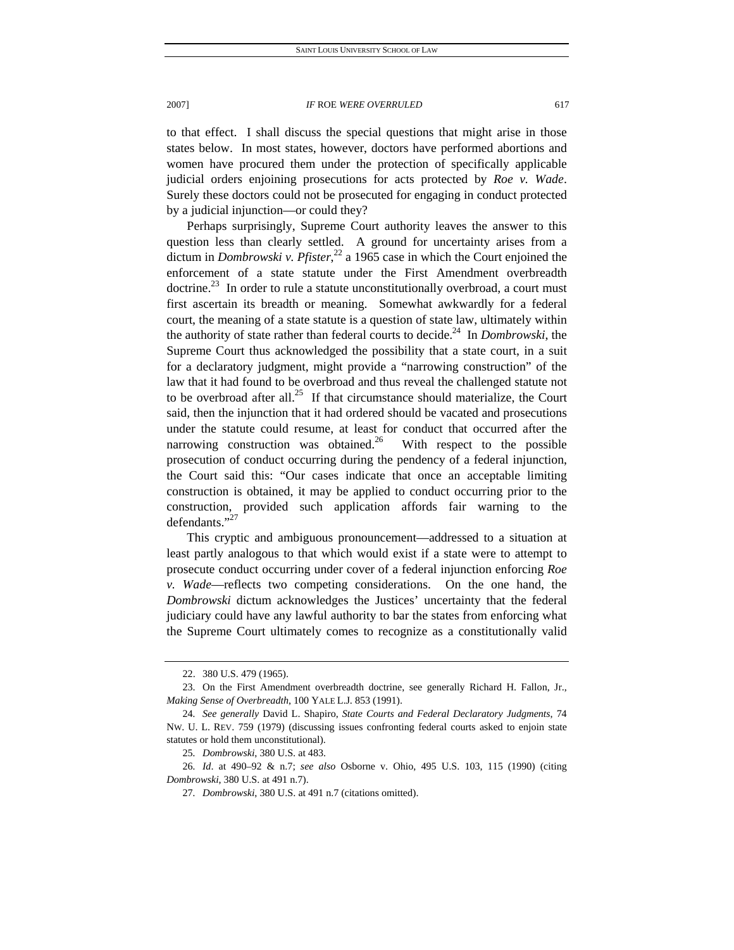to that effect. I shall discuss the special questions that might arise in those states below. In most states, however, doctors have performed abortions and women have procured them under the protection of specifically applicable judicial orders enjoining prosecutions for acts protected by *Roe v. Wade*. Surely these doctors could not be prosecuted for engaging in conduct protected by a judicial injunction—or could they?

Perhaps surprisingly, Supreme Court authority leaves the answer to this question less than clearly settled. A ground for uncertainty arises from a dictum in *Dombrowski v. Pfister*, 22 a 1965 case in which the Court enjoined the enforcement of a state statute under the First Amendment overbreadth doctrine.<sup>23</sup> In order to rule a statute unconstitutionally overbroad, a court must first ascertain its breadth or meaning. Somewhat awkwardly for a federal court, the meaning of a state statute is a question of state law, ultimately within the authority of state rather than federal courts to decide.24 In *Dombrowski*, the Supreme Court thus acknowledged the possibility that a state court, in a suit for a declaratory judgment, might provide a "narrowing construction" of the law that it had found to be overbroad and thus reveal the challenged statute not to be overbroad after all.<sup>25</sup> If that circumstance should materialize, the Court said, then the injunction that it had ordered should be vacated and prosecutions under the statute could resume, at least for conduct that occurred after the narrowing construction was obtained.<sup>26</sup> With respect to the possible prosecution of conduct occurring during the pendency of a federal injunction, the Court said this: "Our cases indicate that once an acceptable limiting construction is obtained, it may be applied to conduct occurring prior to the construction, provided such application affords fair warning to the defendants."<sup>27</sup>

This cryptic and ambiguous pronouncement—addressed to a situation at least partly analogous to that which would exist if a state were to attempt to prosecute conduct occurring under cover of a federal injunction enforcing *Roe v. Wade*—reflects two competing considerations. On the one hand, the *Dombrowski* dictum acknowledges the Justices' uncertainty that the federal judiciary could have any lawful authority to bar the states from enforcing what the Supreme Court ultimately comes to recognize as a constitutionally valid

 <sup>22. 380</sup> U.S. 479 (1965).

 <sup>23.</sup> On the First Amendment overbreadth doctrine, see generally Richard H. Fallon, Jr., *Making Sense of Overbreadth*, 100 YALE L.J. 853 (1991).

<sup>24</sup>*. See generally* David L. Shapiro, *State Courts and Federal Declaratory Judgments*, 74 NW. U. L. REV. 759 (1979) (discussing issues confronting federal courts asked to enjoin state statutes or hold them unconstitutional).

<sup>25</sup>*. Dombrowski*, 380 U.S. at 483.

<sup>26</sup>*. Id*. at 490–92 & n.7; *see also* Osborne v. Ohio, 495 U.S. 103, 115 (1990) (citing *Dombrowski*, 380 U.S. at 491 n.7).

<sup>27</sup>*. Dombrowski*, 380 U.S. at 491 n.7 (citations omitted).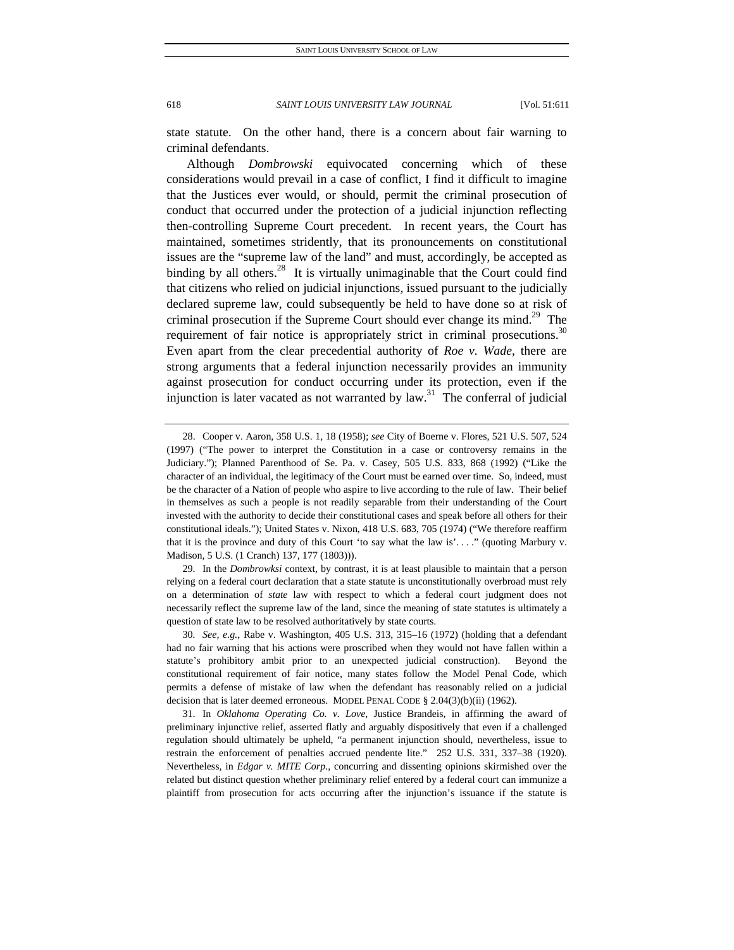state statute. On the other hand, there is a concern about fair warning to criminal defendants.

Although *Dombrowski* equivocated concerning which of these considerations would prevail in a case of conflict, I find it difficult to imagine that the Justices ever would, or should, permit the criminal prosecution of conduct that occurred under the protection of a judicial injunction reflecting then-controlling Supreme Court precedent. In recent years, the Court has maintained, sometimes stridently, that its pronouncements on constitutional issues are the "supreme law of the land" and must, accordingly, be accepted as binding by all others.<sup>28</sup> It is virtually unimaginable that the Court could find that citizens who relied on judicial injunctions, issued pursuant to the judicially declared supreme law, could subsequently be held to have done so at risk of criminal prosecution if the Supreme Court should ever change its mind.<sup>29</sup> The requirement of fair notice is appropriately strict in criminal prosecutions.<sup>30</sup> Even apart from the clear precedential authority of *Roe v. Wade*, there are strong arguments that a federal injunction necessarily provides an immunity against prosecution for conduct occurring under its protection, even if the injunction is later vacated as not warranted by  $law$ <sup>31</sup>. The conferral of judicial

 29. In the *Dombrowksi* context, by contrast, it is at least plausible to maintain that a person relying on a federal court declaration that a state statute is unconstitutionally overbroad must rely on a determination of *state* law with respect to which a federal court judgment does not necessarily reflect the supreme law of the land, since the meaning of state statutes is ultimately a question of state law to be resolved authoritatively by state courts.

30*. See, e.g.*, Rabe v. Washington, 405 U.S. 313, 315–16 (1972) (holding that a defendant had no fair warning that his actions were proscribed when they would not have fallen within a statute's prohibitory ambit prior to an unexpected judicial construction). Beyond the constitutional requirement of fair notice, many states follow the Model Penal Code, which permits a defense of mistake of law when the defendant has reasonably relied on a judicial decision that is later deemed erroneous. MODEL PENAL CODE § 2.04(3)(b)(ii) (1962).

 31. In *Oklahoma Operating Co. v. Love*, Justice Brandeis, in affirming the award of preliminary injunctive relief, asserted flatly and arguably dispositively that even if a challenged regulation should ultimately be upheld, "a permanent injunction should, nevertheless, issue to restrain the enforcement of penalties accrued pendente lite." 252 U.S. 331, 337–38 (1920). Nevertheless, in *Edgar v. MITE Corp.*, concurring and dissenting opinions skirmished over the related but distinct question whether preliminary relief entered by a federal court can immunize a plaintiff from prosecution for acts occurring after the injunction's issuance if the statute is

 <sup>28.</sup> Cooper v. Aaron, 358 U.S. 1, 18 (1958); *see* City of Boerne v. Flores, 521 U.S. 507, 524 (1997) ("The power to interpret the Constitution in a case or controversy remains in the Judiciary."); Planned Parenthood of Se. Pa. v. Casey, 505 U.S. 833, 868 (1992) ("Like the character of an individual, the legitimacy of the Court must be earned over time. So, indeed, must be the character of a Nation of people who aspire to live according to the rule of law. Their belief in themselves as such a people is not readily separable from their understanding of the Court invested with the authority to decide their constitutional cases and speak before all others for their constitutional ideals."); United States v. Nixon, 418 U.S. 683, 705 (1974) ("We therefore reaffirm that it is the province and duty of this Court 'to say what the law is'...." (quoting Marbury  $v$ . Madison, 5 U.S. (1 Cranch) 137, 177 (1803))).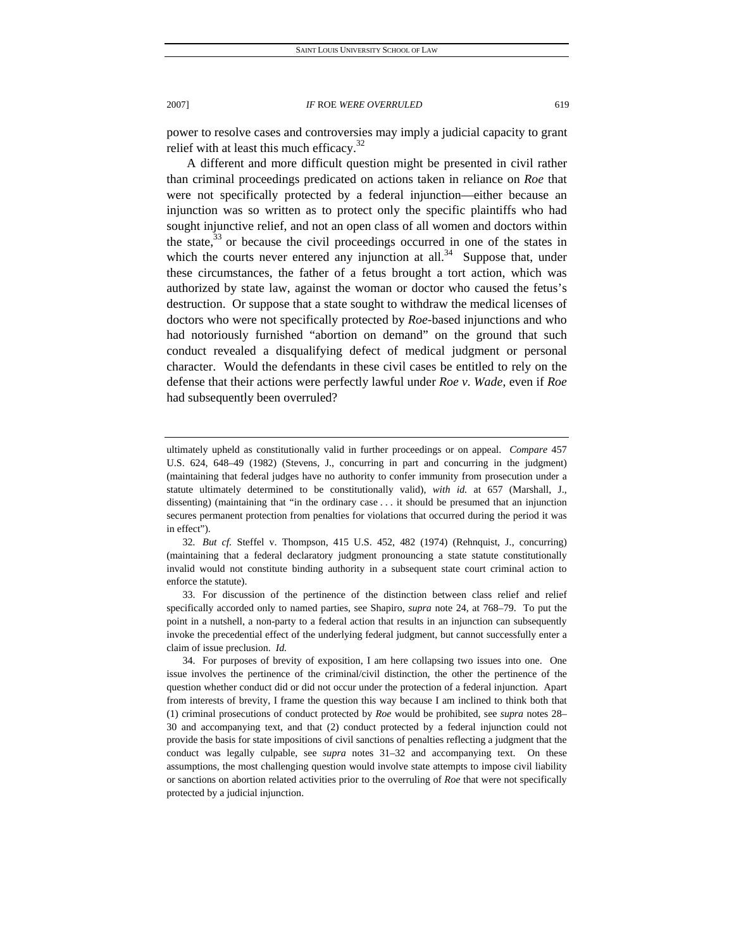power to resolve cases and controversies may imply a judicial capacity to grant relief with at least this much efficacy.<sup>32</sup>

A different and more difficult question might be presented in civil rather than criminal proceedings predicated on actions taken in reliance on *Roe* that were not specifically protected by a federal injunction—either because an injunction was so written as to protect only the specific plaintiffs who had sought injunctive relief, and not an open class of all women and doctors within the state, $33$  or because the civil proceedings occurred in one of the states in which the courts never entered any injunction at all.<sup>34</sup> Suppose that, under these circumstances, the father of a fetus brought a tort action, which was authorized by state law, against the woman or doctor who caused the fetus's destruction. Or suppose that a state sought to withdraw the medical licenses of doctors who were not specifically protected by *Roe*-based injunctions and who had notoriously furnished "abortion on demand" on the ground that such conduct revealed a disqualifying defect of medical judgment or personal character. Would the defendants in these civil cases be entitled to rely on the defense that their actions were perfectly lawful under *Roe v. Wade*, even if *Roe* had subsequently been overruled?

 33. For discussion of the pertinence of the distinction between class relief and relief specifically accorded only to named parties, see Shapiro, *supra* note 24, at 768–79. To put the point in a nutshell, a non-party to a federal action that results in an injunction can subsequently invoke the precedential effect of the underlying federal judgment, but cannot successfully enter a claim of issue preclusion. *Id.*

ultimately upheld as constitutionally valid in further proceedings or on appeal. *Compare* 457 U.S. 624, 648–49 (1982) (Stevens, J., concurring in part and concurring in the judgment) (maintaining that federal judges have no authority to confer immunity from prosecution under a statute ultimately determined to be constitutionally valid), *with id.* at 657 (Marshall, J., dissenting) (maintaining that "in the ordinary case . . . it should be presumed that an injunction secures permanent protection from penalties for violations that occurred during the period it was in effect").

<sup>32</sup>*. But cf.* Steffel v. Thompson, 415 U.S. 452, 482 (1974) (Rehnquist, J., concurring) (maintaining that a federal declaratory judgment pronouncing a state statute constitutionally invalid would not constitute binding authority in a subsequent state court criminal action to enforce the statute).

 <sup>34.</sup> For purposes of brevity of exposition, I am here collapsing two issues into one. One issue involves the pertinence of the criminal/civil distinction, the other the pertinence of the question whether conduct did or did not occur under the protection of a federal injunction. Apart from interests of brevity, I frame the question this way because I am inclined to think both that (1) criminal prosecutions of conduct protected by *Roe* would be prohibited, see *supra* notes 28– 30 and accompanying text, and that (2) conduct protected by a federal injunction could not provide the basis for state impositions of civil sanctions of penalties reflecting a judgment that the conduct was legally culpable, see *supra* notes 31–32 and accompanying text. On these assumptions, the most challenging question would involve state attempts to impose civil liability or sanctions on abortion related activities prior to the overruling of *Roe* that were not specifically protected by a judicial injunction.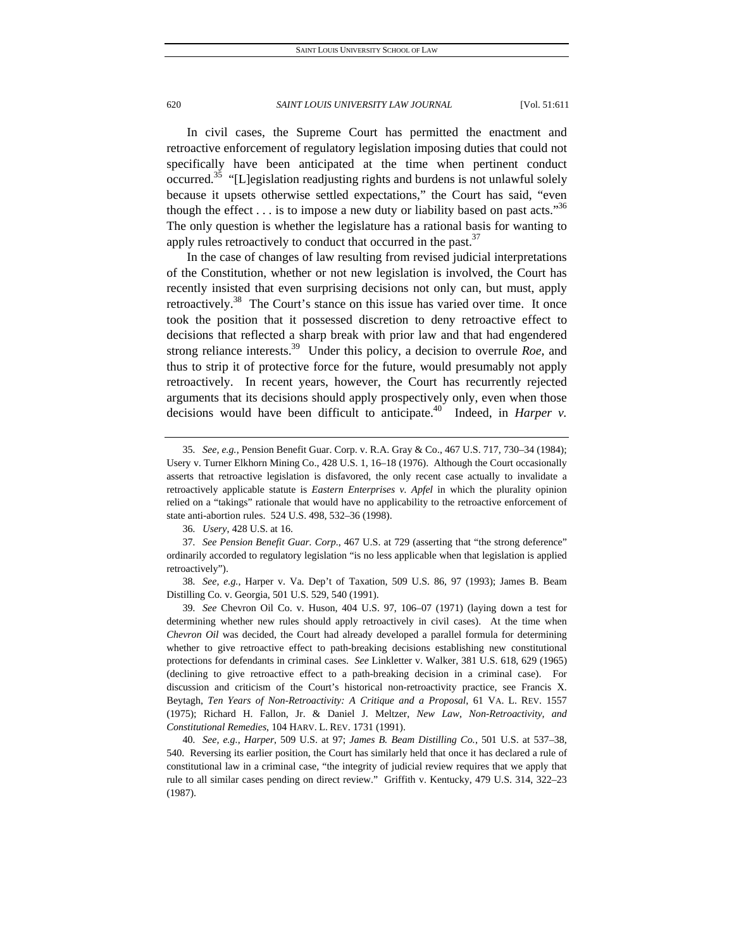In civil cases, the Supreme Court has permitted the enactment and retroactive enforcement of regulatory legislation imposing duties that could not specifically have been anticipated at the time when pertinent conduct occurred.<sup>35</sup> "[L]egislation readjusting rights and burdens is not unlawful solely because it upsets otherwise settled expectations," the Court has said, "even though the effect  $\dots$  is to impose a new duty or liability based on past acts."<sup>36</sup> The only question is whether the legislature has a rational basis for wanting to apply rules retroactively to conduct that occurred in the past.<sup>37</sup>

In the case of changes of law resulting from revised judicial interpretations of the Constitution, whether or not new legislation is involved, the Court has recently insisted that even surprising decisions not only can, but must, apply retroactively.<sup>38</sup> The Court's stance on this issue has varied over time. It once took the position that it possessed discretion to deny retroactive effect to decisions that reflected a sharp break with prior law and that had engendered strong reliance interests.39 Under this policy, a decision to overrule *Roe*, and thus to strip it of protective force for the future, would presumably not apply retroactively. In recent years, however, the Court has recurrently rejected arguments that its decisions should apply prospectively only, even when those decisions would have been difficult to anticipate.<sup>40</sup> Indeed, in *Harper v.* 

36*. Usery*, 428 U.S. at 16.

37*. See Pension Benefit Guar. Corp.*, 467 U.S. at 729 (asserting that "the strong deference" ordinarily accorded to regulatory legislation "is no less applicable when that legislation is applied retroactively").

38*. See, e.g.*, Harper v. Va. Dep't of Taxation, 509 U.S. 86, 97 (1993); James B. Beam Distilling Co. v. Georgia, 501 U.S. 529, 540 (1991).

39*. See* Chevron Oil Co. v. Huson, 404 U.S. 97, 106–07 (1971) (laying down a test for determining whether new rules should apply retroactively in civil cases). At the time when *Chevron Oil* was decided, the Court had already developed a parallel formula for determining whether to give retroactive effect to path-breaking decisions establishing new constitutional protections for defendants in criminal cases. *See* Linkletter v. Walker, 381 U.S. 618, 629 (1965) (declining to give retroactive effect to a path-breaking decision in a criminal case). For discussion and criticism of the Court's historical non-retroactivity practice, see Francis X. Beytagh, *Ten Years of Non-Retroactivity: A Critique and a Proposal*, 61 VA. L. REV. 1557 (1975); Richard H. Fallon, Jr. & Daniel J. Meltzer, *New Law, Non-Retroactivity, and Constitutional Remedies*, 104 HARV. L. REV. 1731 (1991).

40*. See, e.g.*, *Harper*, 509 U.S. at 97; *James B. Beam Distilling Co.*, 501 U.S. at 537–38, 540. Reversing its earlier position, the Court has similarly held that once it has declared a rule of constitutional law in a criminal case, "the integrity of judicial review requires that we apply that rule to all similar cases pending on direct review." Griffith v. Kentucky, 479 U.S. 314, 322–23 (1987).

<sup>35</sup>*. See, e.g.*, Pension Benefit Guar. Corp. v. R.A. Gray & Co., 467 U.S. 717, 730–34 (1984); Usery v. Turner Elkhorn Mining Co., 428 U.S. 1, 16–18 (1976). Although the Court occasionally asserts that retroactive legislation is disfavored, the only recent case actually to invalidate a retroactively applicable statute is *Eastern Enterprises v. Apfel* in which the plurality opinion relied on a "takings" rationale that would have no applicability to the retroactive enforcement of state anti-abortion rules. 524 U.S. 498, 532–36 (1998).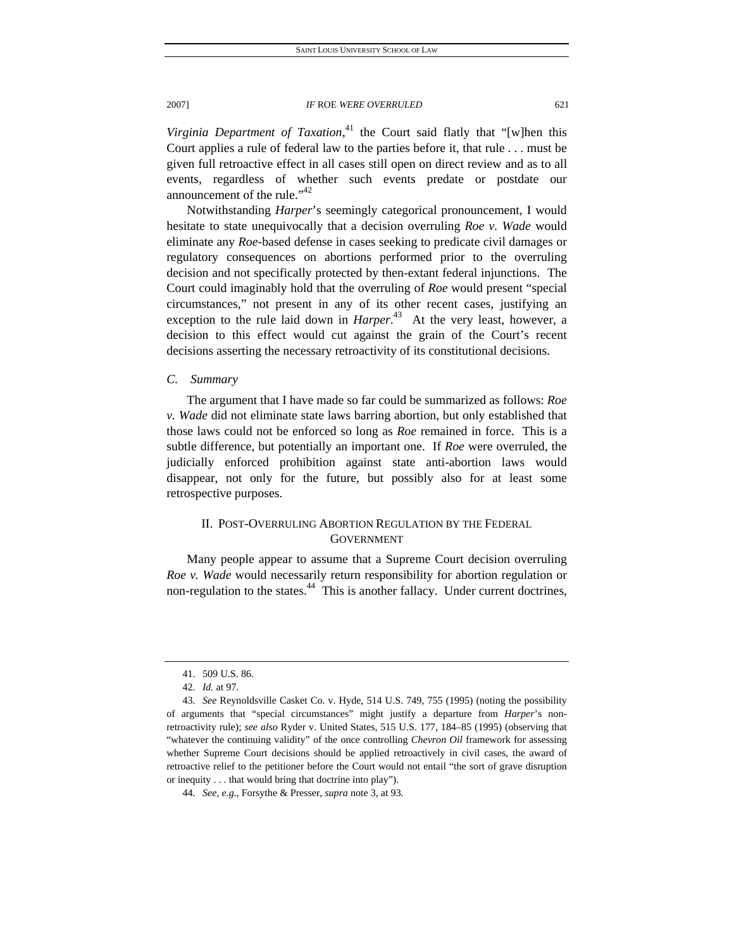*Virginia Department of Taxation*, 41 the Court said flatly that "[w]hen this Court applies a rule of federal law to the parties before it, that rule . . . must be given full retroactive effect in all cases still open on direct review and as to all events, regardless of whether such events predate or postdate our announcement of the rule."<sup>42</sup>

Notwithstanding *Harper*'s seemingly categorical pronouncement, I would hesitate to state unequivocally that a decision overruling *Roe v. Wade* would eliminate any *Roe*-based defense in cases seeking to predicate civil damages or regulatory consequences on abortions performed prior to the overruling decision and not specifically protected by then-extant federal injunctions. The Court could imaginably hold that the overruling of *Roe* would present "special circumstances," not present in any of its other recent cases, justifying an exception to the rule laid down in *Harper*.<sup>43</sup> At the very least, however, a decision to this effect would cut against the grain of the Court's recent decisions asserting the necessary retroactivity of its constitutional decisions.

#### *C. Summary*

The argument that I have made so far could be summarized as follows: *Roe v. Wade* did not eliminate state laws barring abortion, but only established that those laws could not be enforced so long as *Roe* remained in force. This is a subtle difference, but potentially an important one. If *Roe* were overruled, the judicially enforced prohibition against state anti-abortion laws would disappear, not only for the future, but possibly also for at least some retrospective purposes.

# II. POST-OVERRULING ABORTION REGULATION BY THE FEDERAL GOVERNMENT

Many people appear to assume that a Supreme Court decision overruling *Roe v. Wade* would necessarily return responsibility for abortion regulation or non-regulation to the states.<sup>44</sup> This is another fallacy. Under current doctrines,

 <sup>41. 509</sup> U.S. 86.

<sup>42</sup>*. Id.* at 97.

<sup>43</sup>*. See* Reynoldsville Casket Co. v. Hyde, 514 U.S. 749, 755 (1995) (noting the possibility of arguments that "special circumstances" might justify a departure from *Harper*'s nonretroactivity rule); *see also* Ryder v. United States, 515 U.S. 177, 184–85 (1995) (observing that "whatever the continuing validity" of the once controlling *Chevron Oil* framework for assessing whether Supreme Court decisions should be applied retroactively in civil cases, the award of retroactive relief to the petitioner before the Court would not entail "the sort of grave disruption or inequity . . . that would bring that doctrine into play").

<sup>44</sup>*. See, e.g.*, Forsythe & Presser, *supra* note 3, at 93.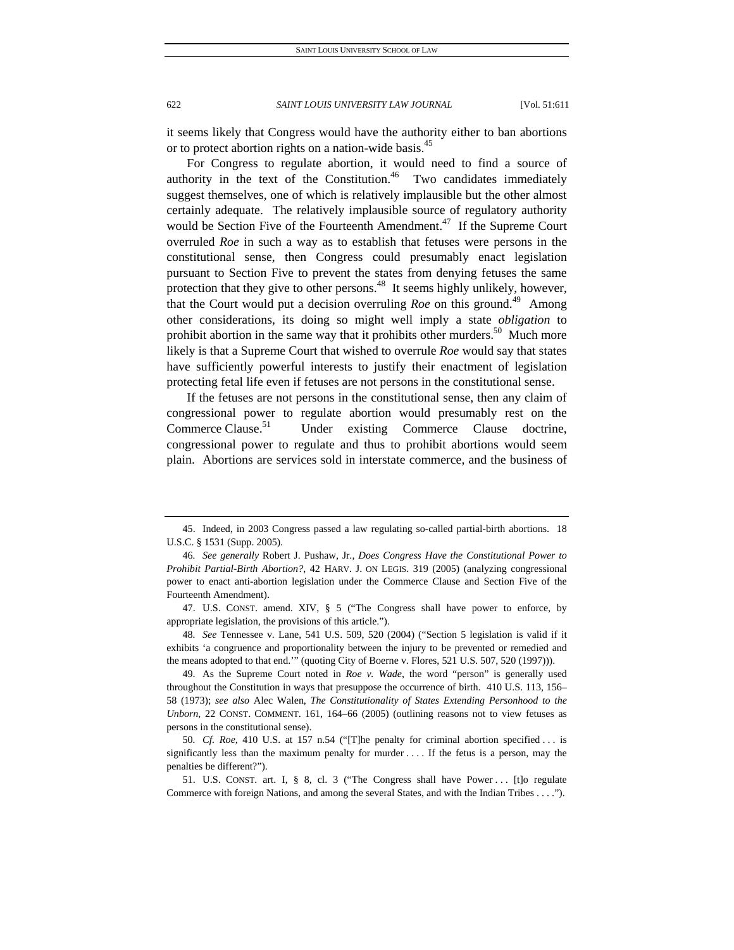it seems likely that Congress would have the authority either to ban abortions or to protect abortion rights on a nation-wide basis.<sup>45</sup>

For Congress to regulate abortion, it would need to find a source of authority in the text of the Constitution. $46$  Two candidates immediately suggest themselves, one of which is relatively implausible but the other almost certainly adequate. The relatively implausible source of regulatory authority would be Section Five of the Fourteenth Amendment.<sup>47</sup> If the Supreme Court overruled *Roe* in such a way as to establish that fetuses were persons in the constitutional sense, then Congress could presumably enact legislation pursuant to Section Five to prevent the states from denying fetuses the same protection that they give to other persons.<sup>48</sup> It seems highly unlikely, however, that the Court would put a decision overruling  $Roe$  on this ground.<sup>49</sup> Among other considerations, its doing so might well imply a state *obligation* to prohibit abortion in the same way that it prohibits other murders.<sup>50</sup> Much more likely is that a Supreme Court that wished to overrule *Roe* would say that states have sufficiently powerful interests to justify their enactment of legislation protecting fetal life even if fetuses are not persons in the constitutional sense.

If the fetuses are not persons in the constitutional sense, then any claim of congressional power to regulate abortion would presumably rest on the Commerce Clause.<sup>51</sup> Under existing Commerce Clause doctrine, congressional power to regulate and thus to prohibit abortions would seem plain. Abortions are services sold in interstate commerce, and the business of

 47. U.S. CONST. amend. XIV, § 5 ("The Congress shall have power to enforce, by appropriate legislation, the provisions of this article.").

48*. See* Tennessee v. Lane, 541 U.S. 509, 520 (2004) ("Section 5 legislation is valid if it exhibits 'a congruence and proportionality between the injury to be prevented or remedied and the means adopted to that end.'" (quoting City of Boerne v. Flores, 521 U.S. 507, 520 (1997))).

 49. As the Supreme Court noted in *Roe v. Wade*, the word "person" is generally used throughout the Constitution in ways that presuppose the occurrence of birth. 410 U.S. 113, 156– 58 (1973); *see also* Alec Walen, *The Constitutionality of States Extending Personhood to the Unborn*, 22 CONST. COMMENT. 161, 164–66 (2005) (outlining reasons not to view fetuses as persons in the constitutional sense).

50*. Cf. Roe*, 410 U.S. at 157 n.54 ("[T]he penalty for criminal abortion specified . . . is significantly less than the maximum penalty for murder . . . . If the fetus is a person, may the penalties be different?").

 51. U.S. CONST. art. I, § 8, cl. 3 ("The Congress shall have Power . . . [t]o regulate Commerce with foreign Nations, and among the several States, and with the Indian Tribes . . . .").

 <sup>45.</sup> Indeed, in 2003 Congress passed a law regulating so-called partial-birth abortions. 18 U.S.C. § 1531 (Supp. 2005).

<sup>46</sup>*. See generally* Robert J. Pushaw, Jr., *Does Congress Have the Constitutional Power to Prohibit Partial-Birth Abortion?*, 42 HARV. J. ON LEGIS. 319 (2005) (analyzing congressional power to enact anti-abortion legislation under the Commerce Clause and Section Five of the Fourteenth Amendment).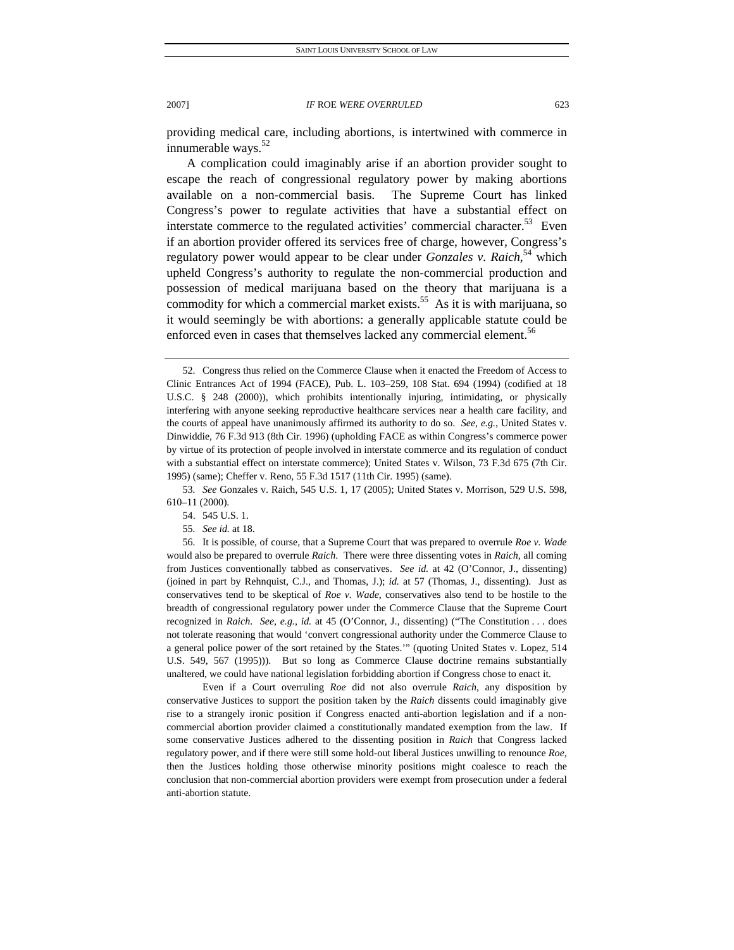providing medical care, including abortions, is intertwined with commerce in innumerable ways. $52$ 

A complication could imaginably arise if an abortion provider sought to escape the reach of congressional regulatory power by making abortions available on a non-commercial basis. The Supreme Court has linked Congress's power to regulate activities that have a substantial effect on interstate commerce to the regulated activities' commercial character.<sup>53</sup> Even if an abortion provider offered its services free of charge, however, Congress's regulatory power would appear to be clear under *Gonzales v. Raich*, 54 which upheld Congress's authority to regulate the non-commercial production and possession of medical marijuana based on the theory that marijuana is a commodity for which a commercial market exists.<sup>55</sup> As it is with marijuana, so it would seemingly be with abortions: a generally applicable statute could be enforced even in cases that themselves lacked any commercial element.<sup>56</sup>

53*. See* Gonzales v. Raich, 545 U.S. 1, 17 (2005); United States v. Morrison, 529 U.S. 598, 610–11 (2000).

 Even if a Court overruling *Roe* did not also overrule *Raich*, any disposition by conservative Justices to support the position taken by the *Raich* dissents could imaginably give rise to a strangely ironic position if Congress enacted anti-abortion legislation and if a noncommercial abortion provider claimed a constitutionally mandated exemption from the law. If some conservative Justices adhered to the dissenting position in *Raich* that Congress lacked regulatory power, and if there were still some hold-out liberal Justices unwilling to renounce *Roe*, then the Justices holding those otherwise minority positions might coalesce to reach the conclusion that non-commercial abortion providers were exempt from prosecution under a federal anti-abortion statute.

 <sup>52.</sup> Congress thus relied on the Commerce Clause when it enacted the Freedom of Access to Clinic Entrances Act of 1994 (FACE), Pub. L. 103–259, 108 Stat. 694 (1994) (codified at 18 U.S.C. § 248 (2000)), which prohibits intentionally injuring, intimidating, or physically interfering with anyone seeking reproductive healthcare services near a health care facility, and the courts of appeal have unanimously affirmed its authority to do so. *See, e.g.*, United States v. Dinwiddie, 76 F.3d 913 (8th Cir. 1996) (upholding FACE as within Congress's commerce power by virtue of its protection of people involved in interstate commerce and its regulation of conduct with a substantial effect on interstate commerce); United States v. Wilson, 73 F.3d 675 (7th Cir. 1995) (same); Cheffer v. Reno, 55 F.3d 1517 (11th Cir. 1995) (same).

 <sup>54. 545</sup> U.S. 1.

<sup>55</sup>*. See id.* at 18.

 <sup>56.</sup> It is possible, of course, that a Supreme Court that was prepared to overrule *Roe v. Wade* would also be prepared to overrule *Raich*. There were three dissenting votes in *Raich*, all coming from Justices conventionally tabbed as conservatives. *See id.* at 42 (O'Connor, J., dissenting) (joined in part by Rehnquist, C.J., and Thomas, J.); *id.* at 57 (Thomas, J., dissenting). Just as conservatives tend to be skeptical of *Roe v. Wade*, conservatives also tend to be hostile to the breadth of congressional regulatory power under the Commerce Clause that the Supreme Court recognized in *Raich*. *See, e.g.*, *id.* at 45 (O'Connor, J., dissenting) ("The Constitution . . . does not tolerate reasoning that would 'convert congressional authority under the Commerce Clause to a general police power of the sort retained by the States.'" (quoting United States v. Lopez, 514 U.S. 549, 567 (1995))). But so long as Commerce Clause doctrine remains substantially unaltered, we could have national legislation forbidding abortion if Congress chose to enact it.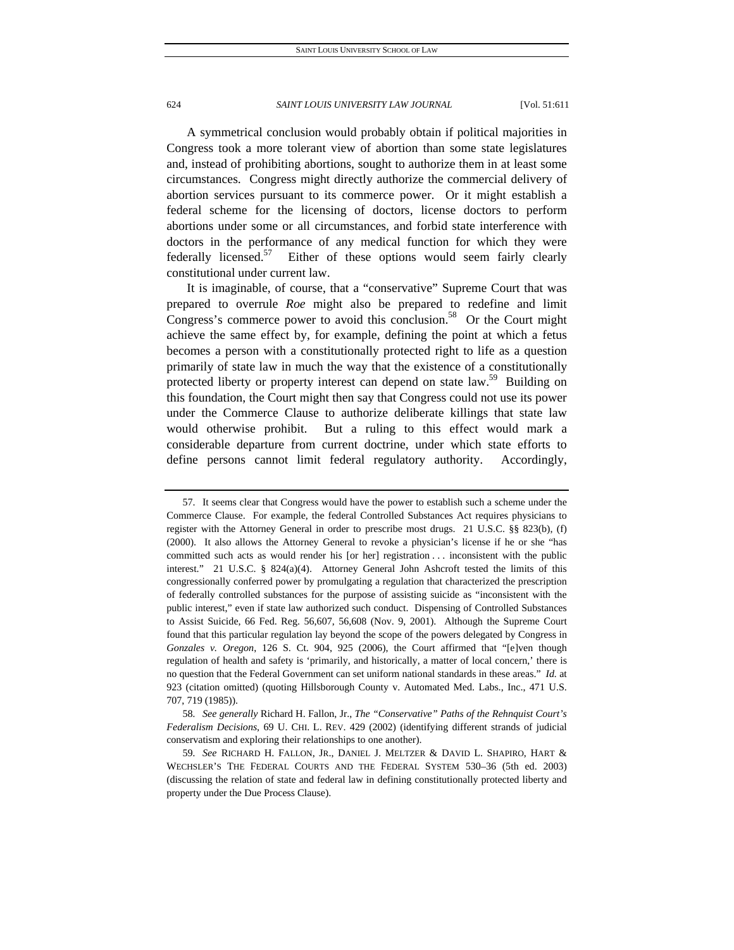A symmetrical conclusion would probably obtain if political majorities in Congress took a more tolerant view of abortion than some state legislatures and, instead of prohibiting abortions, sought to authorize them in at least some circumstances. Congress might directly authorize the commercial delivery of abortion services pursuant to its commerce power. Or it might establish a federal scheme for the licensing of doctors, license doctors to perform abortions under some or all circumstances, and forbid state interference with doctors in the performance of any medical function for which they were federally licensed.<sup>57</sup> Either of these options would seem fairly clearly constitutional under current law.

It is imaginable, of course, that a "conservative" Supreme Court that was prepared to overrule *Roe* might also be prepared to redefine and limit Congress's commerce power to avoid this conclusion.<sup>58</sup> Or the Court might achieve the same effect by, for example, defining the point at which a fetus becomes a person with a constitutionally protected right to life as a question primarily of state law in much the way that the existence of a constitutionally protected liberty or property interest can depend on state law.<sup>59</sup> Building on this foundation, the Court might then say that Congress could not use its power under the Commerce Clause to authorize deliberate killings that state law would otherwise prohibit. But a ruling to this effect would mark a considerable departure from current doctrine, under which state efforts to define persons cannot limit federal regulatory authority. Accordingly,

 <sup>57.</sup> It seems clear that Congress would have the power to establish such a scheme under the Commerce Clause. For example, the federal Controlled Substances Act requires physicians to register with the Attorney General in order to prescribe most drugs. 21 U.S.C. §§ 823(b), (f) (2000). It also allows the Attorney General to revoke a physician's license if he or she "has committed such acts as would render his [or her] registration . . . inconsistent with the public interest." 21 U.S.C. § 824(a)(4). Attorney General John Ashcroft tested the limits of this congressionally conferred power by promulgating a regulation that characterized the prescription of federally controlled substances for the purpose of assisting suicide as "inconsistent with the public interest," even if state law authorized such conduct. Dispensing of Controlled Substances to Assist Suicide, 66 Fed. Reg. 56,607, 56,608 (Nov. 9, 2001). Although the Supreme Court found that this particular regulation lay beyond the scope of the powers delegated by Congress in *Gonzales v. Oregon*, 126 S. Ct. 904, 925 (2006), the Court affirmed that "[e]ven though regulation of health and safety is 'primarily, and historically, a matter of local concern,' there is no question that the Federal Government can set uniform national standards in these areas." *Id.* at 923 (citation omitted) (quoting Hillsborough County v. Automated Med. Labs., Inc., 471 U.S. 707, 719 (1985)).

<sup>58</sup>*. See generally* Richard H. Fallon, Jr., *The "Conservative" Paths of the Rehnquist Court's Federalism Decisions*, 69 U. CHI. L. REV. 429 (2002) (identifying different strands of judicial conservatism and exploring their relationships to one another).

<sup>59</sup>*. See* RICHARD H. FALLON, JR., DANIEL J. MELTZER & DAVID L. SHAPIRO, HART & WECHSLER'S THE FEDERAL COURTS AND THE FEDERAL SYSTEM 530–36 (5th ed. 2003) (discussing the relation of state and federal law in defining constitutionally protected liberty and property under the Due Process Clause).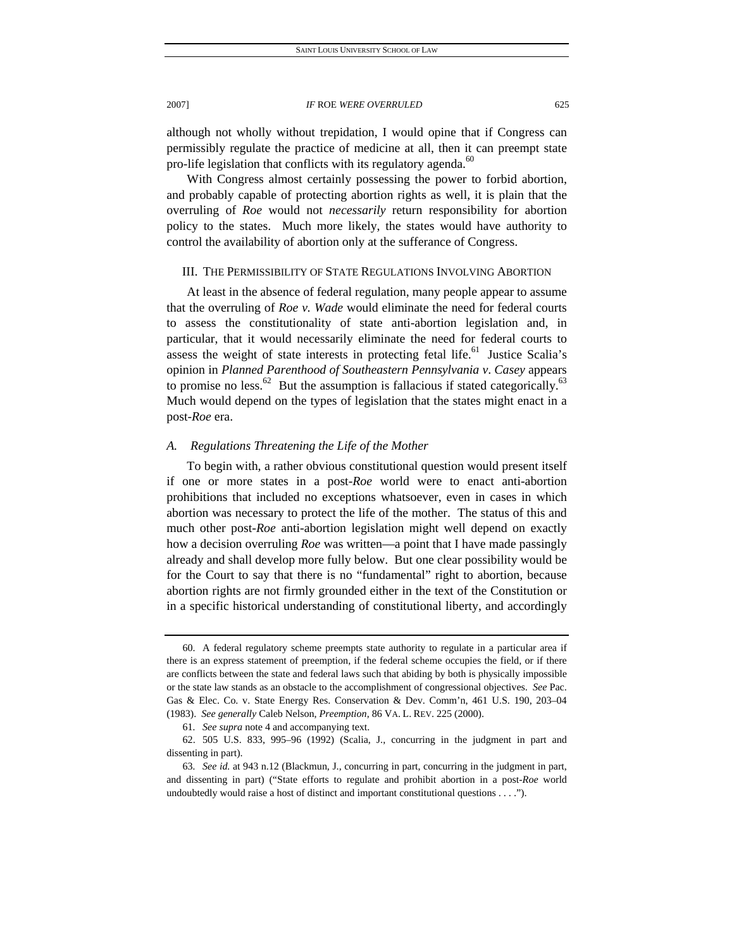although not wholly without trepidation, I would opine that if Congress can permissibly regulate the practice of medicine at all, then it can preempt state pro-life legislation that conflicts with its regulatory agenda.<sup>60</sup>

With Congress almost certainly possessing the power to forbid abortion, and probably capable of protecting abortion rights as well, it is plain that the overruling of *Roe* would not *necessarily* return responsibility for abortion policy to the states. Much more likely, the states would have authority to control the availability of abortion only at the sufferance of Congress.

#### III. THE PERMISSIBILITY OF STATE REGULATIONS INVOLVING ABORTION

At least in the absence of federal regulation, many people appear to assume that the overruling of *Roe v. Wade* would eliminate the need for federal courts to assess the constitutionality of state anti-abortion legislation and, in particular, that it would necessarily eliminate the need for federal courts to assess the weight of state interests in protecting fetal life.<sup>61</sup> Justice Scalia's opinion in *Planned Parenthood of Southeastern Pennsylvania v*. *Casey* appears to promise no less.<sup>62</sup> But the assumption is fallacious if stated categorically.<sup>63</sup> Much would depend on the types of legislation that the states might enact in a post-*Roe* era.

#### *A. Regulations Threatening the Life of the Mother*

To begin with, a rather obvious constitutional question would present itself if one or more states in a post-*Roe* world were to enact anti-abortion prohibitions that included no exceptions whatsoever, even in cases in which abortion was necessary to protect the life of the mother. The status of this and much other post-*Roe* anti-abortion legislation might well depend on exactly how a decision overruling *Roe* was written—a point that I have made passingly already and shall develop more fully below. But one clear possibility would be for the Court to say that there is no "fundamental" right to abortion, because abortion rights are not firmly grounded either in the text of the Constitution or in a specific historical understanding of constitutional liberty, and accordingly

 <sup>60.</sup> A federal regulatory scheme preempts state authority to regulate in a particular area if there is an express statement of preemption, if the federal scheme occupies the field, or if there are conflicts between the state and federal laws such that abiding by both is physically impossible or the state law stands as an obstacle to the accomplishment of congressional objectives. *See* Pac. Gas & Elec. Co. v. State Energy Res. Conservation & Dev. Comm'n, 461 U.S. 190, 203–04 (1983). *See generally* Caleb Nelson, *Preemption*, 86 VA. L. REV. 225 (2000).

<sup>61</sup>*. See supra* note 4 and accompanying text.

 <sup>62. 505</sup> U.S. 833, 995–96 (1992) (Scalia, J., concurring in the judgment in part and dissenting in part).

<sup>63</sup>*. See id.* at 943 n.12 (Blackmun, J., concurring in part, concurring in the judgment in part, and dissenting in part) ("State efforts to regulate and prohibit abortion in a post-*Roe* world undoubtedly would raise a host of distinct and important constitutional questions . . . .").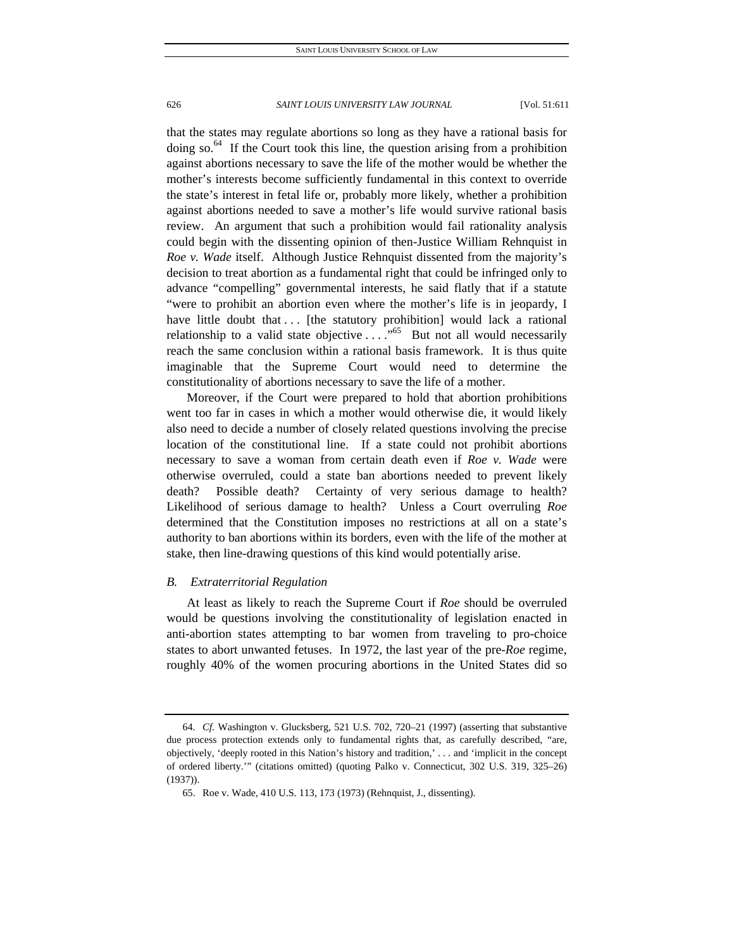that the states may regulate abortions so long as they have a rational basis for doing so. $^{64}$  If the Court took this line, the question arising from a prohibition against abortions necessary to save the life of the mother would be whether the mother's interests become sufficiently fundamental in this context to override the state's interest in fetal life or, probably more likely, whether a prohibition against abortions needed to save a mother's life would survive rational basis review. An argument that such a prohibition would fail rationality analysis could begin with the dissenting opinion of then-Justice William Rehnquist in *Roe v. Wade* itself. Although Justice Rehnquist dissented from the majority's decision to treat abortion as a fundamental right that could be infringed only to advance "compelling" governmental interests, he said flatly that if a statute "were to prohibit an abortion even where the mother's life is in jeopardy, I have little doubt that ... [the statutory prohibition] would lack a rational relationship to a valid state objective  $\dots$ ."<sup>65</sup> But not all would necessarily reach the same conclusion within a rational basis framework. It is thus quite imaginable that the Supreme Court would need to determine the constitutionality of abortions necessary to save the life of a mother.

Moreover, if the Court were prepared to hold that abortion prohibitions went too far in cases in which a mother would otherwise die, it would likely also need to decide a number of closely related questions involving the precise location of the constitutional line. If a state could not prohibit abortions necessary to save a woman from certain death even if *Roe v. Wade* were otherwise overruled, could a state ban abortions needed to prevent likely death? Possible death? Certainty of very serious damage to health? Likelihood of serious damage to health? Unless a Court overruling *Roe* determined that the Constitution imposes no restrictions at all on a state's authority to ban abortions within its borders, even with the life of the mother at stake, then line-drawing questions of this kind would potentially arise.

#### *B. Extraterritorial Regulation*

At least as likely to reach the Supreme Court if *Roe* should be overruled would be questions involving the constitutionality of legislation enacted in anti-abortion states attempting to bar women from traveling to pro-choice states to abort unwanted fetuses. In 1972, the last year of the pre-*Roe* regime, roughly 40% of the women procuring abortions in the United States did so

<sup>64</sup>*. Cf.* Washington v. Glucksberg, 521 U.S. 702, 720–21 (1997) (asserting that substantive due process protection extends only to fundamental rights that, as carefully described, "are, objectively, 'deeply rooted in this Nation's history and tradition,' . . . and 'implicit in the concept of ordered liberty.'" (citations omitted) (quoting Palko v. Connecticut, 302 U.S. 319, 325–26) (1937)).

 <sup>65.</sup> Roe v. Wade, 410 U.S. 113, 173 (1973) (Rehnquist, J., dissenting).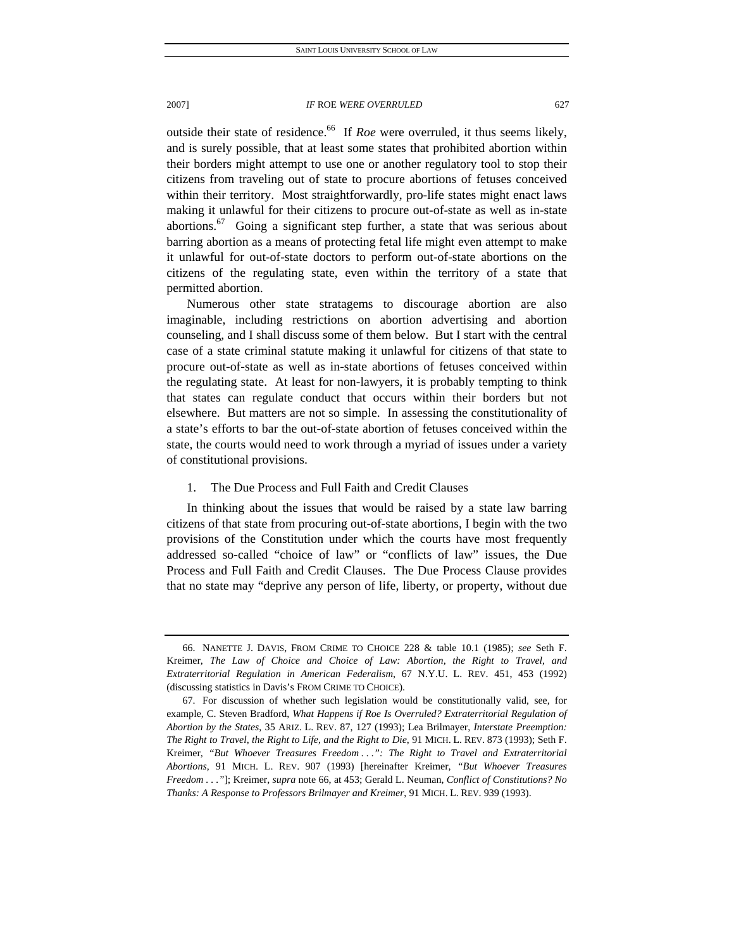outside their state of residence.<sup>66</sup> If *Roe* were overruled, it thus seems likely, and is surely possible, that at least some states that prohibited abortion within their borders might attempt to use one or another regulatory tool to stop their citizens from traveling out of state to procure abortions of fetuses conceived within their territory. Most straightforwardly, pro-life states might enact laws making it unlawful for their citizens to procure out-of-state as well as in-state abortions. $67$  Going a significant step further, a state that was serious about barring abortion as a means of protecting fetal life might even attempt to make it unlawful for out-of-state doctors to perform out-of-state abortions on the citizens of the regulating state, even within the territory of a state that permitted abortion.

Numerous other state stratagems to discourage abortion are also imaginable, including restrictions on abortion advertising and abortion counseling, and I shall discuss some of them below. But I start with the central case of a state criminal statute making it unlawful for citizens of that state to procure out-of-state as well as in-state abortions of fetuses conceived within the regulating state. At least for non-lawyers, it is probably tempting to think that states can regulate conduct that occurs within their borders but not elsewhere. But matters are not so simple. In assessing the constitutionality of a state's efforts to bar the out-of-state abortion of fetuses conceived within the state, the courts would need to work through a myriad of issues under a variety of constitutional provisions.

# 1. The Due Process and Full Faith and Credit Clauses

In thinking about the issues that would be raised by a state law barring citizens of that state from procuring out-of-state abortions, I begin with the two provisions of the Constitution under which the courts have most frequently addressed so-called "choice of law" or "conflicts of law" issues, the Due Process and Full Faith and Credit Clauses. The Due Process Clause provides that no state may "deprive any person of life, liberty, or property, without due

 <sup>66.</sup> NANETTE J. DAVIS, FROM CRIME TO CHOICE 228 & table 10.1 (1985); *see* Seth F. Kreimer, *The Law of Choice and Choice of Law: Abortion, the Right to Travel, and Extraterritorial Regulation in American Federalism*, 67 N.Y.U. L. REV. 451, 453 (1992) (discussing statistics in Davis's FROM CRIME TO CHOICE).

 <sup>67.</sup> For discussion of whether such legislation would be constitutionally valid, see, for example, C. Steven Bradford, *What Happens if Roe Is Overruled? Extraterritorial Regulation of Abortion by the States*, 35 ARIZ. L. REV. 87, 127 (1993); Lea Brilmayer, *Interstate Preemption: The Right to Travel, the Right to Life, and the Right to Die*, 91 MICH. L. REV. 873 (1993); Seth F. Kreimer, *"But Whoever Treasures Freedom . . .": The Right to Travel and Extraterritorial Abortions*, 91 MICH. L. REV. 907 (1993) [hereinafter Kreimer, *"But Whoever Treasures Freedom . . ."*]; Kreimer, *supra* note 66, at 453; Gerald L. Neuman, *Conflict of Constitutions? No Thanks: A Response to Professors Brilmayer and Kreimer*, 91 MICH. L. REV. 939 (1993).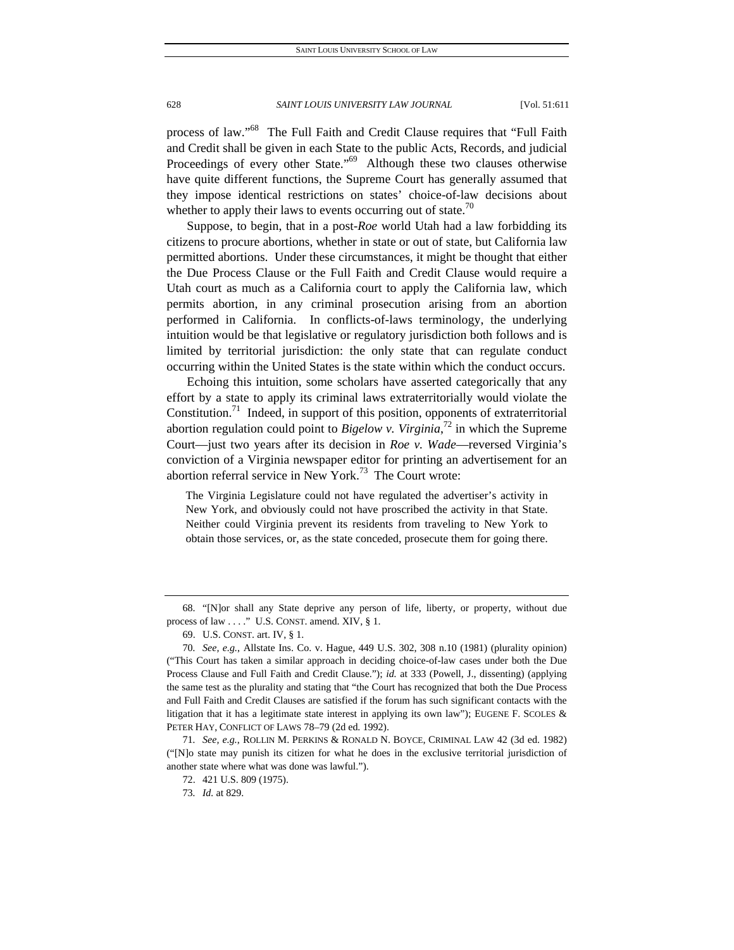process of law."68 The Full Faith and Credit Clause requires that "Full Faith and Credit shall be given in each State to the public Acts, Records, and judicial Proceedings of every other State."<sup>69</sup> Although these two clauses otherwise have quite different functions, the Supreme Court has generally assumed that they impose identical restrictions on states' choice-of-law decisions about whether to apply their laws to events occurring out of state.<sup>70</sup>

Suppose, to begin, that in a post-*Roe* world Utah had a law forbidding its citizens to procure abortions, whether in state or out of state, but California law permitted abortions. Under these circumstances, it might be thought that either the Due Process Clause or the Full Faith and Credit Clause would require a Utah court as much as a California court to apply the California law, which permits abortion, in any criminal prosecution arising from an abortion performed in California. In conflicts-of-laws terminology, the underlying intuition would be that legislative or regulatory jurisdiction both follows and is limited by territorial jurisdiction: the only state that can regulate conduct occurring within the United States is the state within which the conduct occurs.

Echoing this intuition, some scholars have asserted categorically that any effort by a state to apply its criminal laws extraterritorially would violate the Constitution.<sup>71</sup> Indeed, in support of this position, opponents of extraterritorial abortion regulation could point to *Bigelow v. Virginia*,<sup>72</sup> in which the Supreme Court—just two years after its decision in *Roe v. Wade*—reversed Virginia's conviction of a Virginia newspaper editor for printing an advertisement for an abortion referral service in New York.<sup>73</sup> The Court wrote:

The Virginia Legislature could not have regulated the advertiser's activity in New York, and obviously could not have proscribed the activity in that State. Neither could Virginia prevent its residents from traveling to New York to obtain those services, or, as the state conceded, prosecute them for going there.

 <sup>68. &</sup>quot;[N]or shall any State deprive any person of life, liberty, or property, without due process of law . . . ." U.S. CONST. amend. XIV, § 1.

 <sup>69.</sup> U.S. CONST. art. IV, § 1.

<sup>70</sup>*. See, e.g.*, Allstate Ins. Co. v. Hague, 449 U.S. 302, 308 n.10 (1981) (plurality opinion) ("This Court has taken a similar approach in deciding choice-of-law cases under both the Due Process Clause and Full Faith and Credit Clause."); *id.* at 333 (Powell, J., dissenting) (applying the same test as the plurality and stating that "the Court has recognized that both the Due Process and Full Faith and Credit Clauses are satisfied if the forum has such significant contacts with the litigation that it has a legitimate state interest in applying its own law"); EUGENE F. SCOLES & PETER HAY, CONFLICT OF LAWS 78–79 (2d ed. 1992).

<sup>71</sup>*. See, e.g.*, ROLLIN M. PERKINS & RONALD N. BOYCE, CRIMINAL LAW 42 (3d ed. 1982) ("[N]o state may punish its citizen for what he does in the exclusive territorial jurisdiction of another state where what was done was lawful.").

 <sup>72. 421</sup> U.S. 809 (1975).

<sup>73</sup>*. Id.* at 829.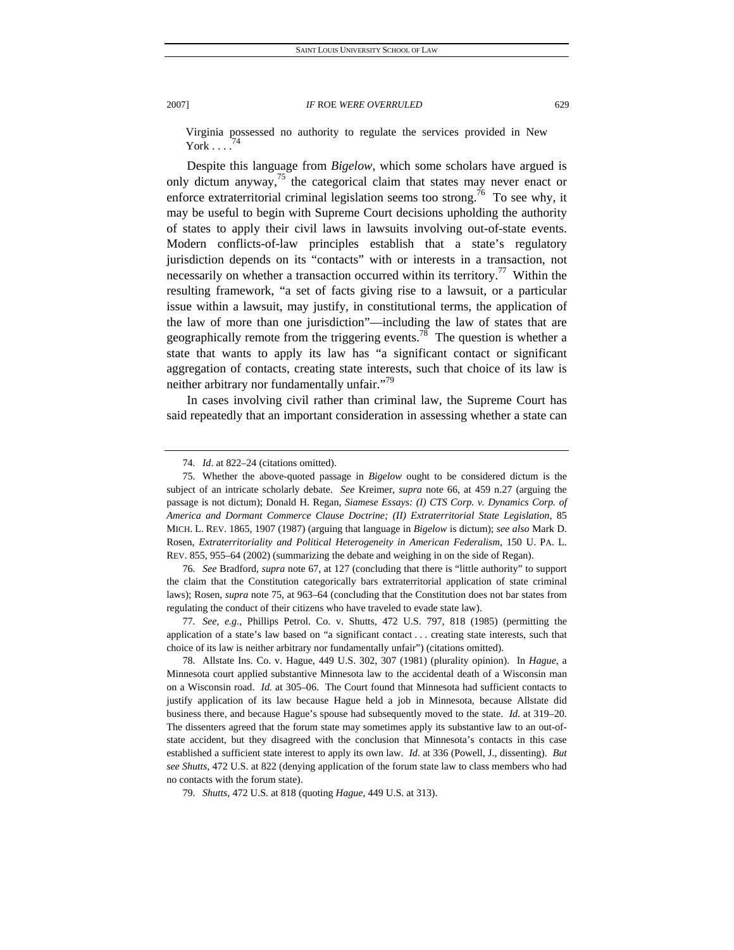Virginia possessed no authority to regulate the services provided in New  $York \dots$ 

Despite this language from *Bigelow*, which some scholars have argued is only dictum anyway,<sup>75</sup> the categorical claim that states may never enact or enforce extraterritorial criminal legislation seems too strong.<sup>76</sup> To see why, it may be useful to begin with Supreme Court decisions upholding the authority of states to apply their civil laws in lawsuits involving out-of-state events. Modern conflicts-of-law principles establish that a state's regulatory jurisdiction depends on its "contacts" with or interests in a transaction, not necessarily on whether a transaction occurred within its territory.<sup>77</sup> Within the resulting framework, "a set of facts giving rise to a lawsuit, or a particular issue within a lawsuit, may justify, in constitutional terms, the application of the law of more than one jurisdiction"—including the law of states that are geographically remote from the triggering events.<sup>78</sup> The question is whether a state that wants to apply its law has "a significant contact or significant aggregation of contacts, creating state interests, such that choice of its law is neither arbitrary nor fundamentally unfair."<sup>79</sup>

In cases involving civil rather than criminal law, the Supreme Court has said repeatedly that an important consideration in assessing whether a state can

76*. See* Bradford, *supra* note 67, at 127 (concluding that there is "little authority" to support the claim that the Constitution categorically bars extraterritorial application of state criminal laws); Rosen, *supra* note 75, at 963–64 (concluding that the Constitution does not bar states from regulating the conduct of their citizens who have traveled to evade state law).

77*. See, e.g.*, Phillips Petrol. Co. v. Shutts, 472 U.S. 797, 818 (1985) (permitting the application of a state's law based on "a significant contact . . . creating state interests, such that choice of its law is neither arbitrary nor fundamentally unfair") (citations omitted).

 78. Allstate Ins. Co. v. Hague, 449 U.S. 302, 307 (1981) (plurality opinion). In *Hague*, a Minnesota court applied substantive Minnesota law to the accidental death of a Wisconsin man on a Wisconsin road. *Id.* at 305–06. The Court found that Minnesota had sufficient contacts to justify application of its law because Hague held a job in Minnesota, because Allstate did business there, and because Hague's spouse had subsequently moved to the state. *Id*. at 319–20. The dissenters agreed that the forum state may sometimes apply its substantive law to an out-ofstate accident, but they disagreed with the conclusion that Minnesota's contacts in this case established a sufficient state interest to apply its own law. *Id*. at 336 (Powell, J., dissenting). *But see Shutts*, 472 U.S. at 822 (denying application of the forum state law to class members who had no contacts with the forum state).

79*. Shutts*, 472 U.S. at 818 (quoting *Hague*, 449 U.S. at 313).

<sup>74</sup>*. Id*. at 822–24 (citations omitted).

 <sup>75.</sup> Whether the above-quoted passage in *Bigelow* ought to be considered dictum is the subject of an intricate scholarly debate. *See* Kreimer, *supra* note 66, at 459 n.27 (arguing the passage is not dictum); Donald H. Regan, *Siamese Essays: (I) CTS Corp. v. Dynamics Corp. of America and Dormant Commerce Clause Doctrine; (II) Extraterritorial State Legislation*, 85 MICH. L. REV. 1865, 1907 (1987) (arguing that language in *Bigelow* is dictum); *see also* Mark D. Rosen, *Extraterritoriality and Political Heterogeneity in American Federalism*, 150 U. PA. L. REV. 855, 955–64 (2002) (summarizing the debate and weighing in on the side of Regan).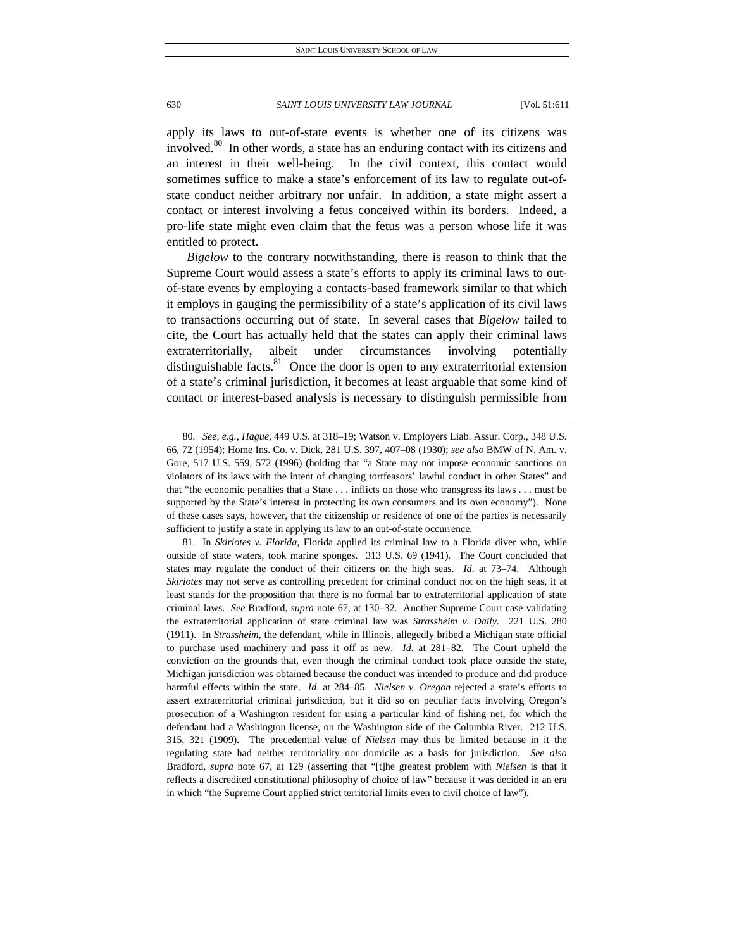apply its laws to out-of-state events is whether one of its citizens was involved.<sup>80</sup> In other words, a state has an enduring contact with its citizens and an interest in their well-being. In the civil context, this contact would sometimes suffice to make a state's enforcement of its law to regulate out-ofstate conduct neither arbitrary nor unfair. In addition, a state might assert a contact or interest involving a fetus conceived within its borders. Indeed, a pro-life state might even claim that the fetus was a person whose life it was entitled to protect.

*Bigelow* to the contrary notwithstanding, there is reason to think that the Supreme Court would assess a state's efforts to apply its criminal laws to outof-state events by employing a contacts-based framework similar to that which it employs in gauging the permissibility of a state's application of its civil laws to transactions occurring out of state. In several cases that *Bigelow* failed to cite, the Court has actually held that the states can apply their criminal laws extraterritorially, albeit under circumstances involving potentially distinguishable facts.  $81$  Once the door is open to any extraterritorial extension of a state's criminal jurisdiction, it becomes at least arguable that some kind of contact or interest-based analysis is necessary to distinguish permissible from

<sup>80</sup>*. See, e.g.*, *Hague*, 449 U.S. at 318–19; Watson v. Employers Liab. Assur. Corp., 348 U.S. 66, 72 (1954); Home Ins. Co. v. Dick, 281 U.S. 397, 407–08 (1930); *see also* BMW of N. Am. v. Gore, 517 U.S. 559, 572 (1996) (holding that "a State may not impose economic sanctions on violators of its laws with the intent of changing tortfeasors' lawful conduct in other States" and that "the economic penalties that a State . . . inflicts on those who transgress its laws . . . must be supported by the State's interest in protecting its own consumers and its own economy"). None of these cases says, however, that the citizenship or residence of one of the parties is necessarily sufficient to justify a state in applying its law to an out-of-state occurrence.

 <sup>81.</sup> In *Skiriotes v. Florida*, Florida applied its criminal law to a Florida diver who, while outside of state waters, took marine sponges. 313 U.S. 69 (1941). The Court concluded that states may regulate the conduct of their citizens on the high seas. *Id*. at 73–74. Although *Skiriotes* may not serve as controlling precedent for criminal conduct not on the high seas, it at least stands for the proposition that there is no formal bar to extraterritorial application of state criminal laws. *See* Bradford, *supra* note 67, at 130–32. Another Supreme Court case validating the extraterritorial application of state criminal law was *Strassheim v. Daily*. 221 U.S. 280 (1911). In *Strassheim*, the defendant, while in Illinois, allegedly bribed a Michigan state official to purchase used machinery and pass it off as new. *Id*. at 281–82. The Court upheld the conviction on the grounds that, even though the criminal conduct took place outside the state, Michigan jurisdiction was obtained because the conduct was intended to produce and did produce harmful effects within the state. *Id*. at 284–85. *Nielsen v. Oregon* rejected a state's efforts to assert extraterritorial criminal jurisdiction, but it did so on peculiar facts involving Oregon's prosecution of a Washington resident for using a particular kind of fishing net, for which the defendant had a Washington license, on the Washington side of the Columbia River. 212 U.S. 315, 321 (1909). The precedential value of *Nielsen* may thus be limited because in it the regulating state had neither territoriality nor domicile as a basis for jurisdiction. *See also* Bradford, *supra* note 67, at 129 (asserting that "[t]he greatest problem with *Nielsen* is that it reflects a discredited constitutional philosophy of choice of law" because it was decided in an era in which "the Supreme Court applied strict territorial limits even to civil choice of law").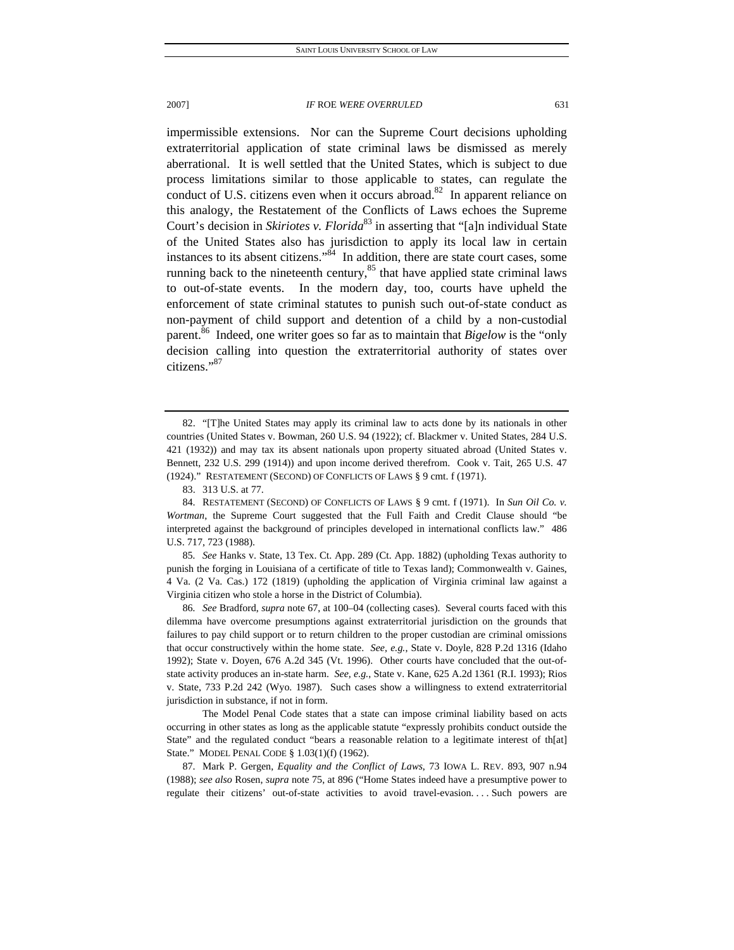impermissible extensions. Nor can the Supreme Court decisions upholding extraterritorial application of state criminal laws be dismissed as merely aberrational. It is well settled that the United States, which is subject to due process limitations similar to those applicable to states, can regulate the conduct of U.S. citizens even when it occurs abroad.<sup>82</sup> In apparent reliance on this analogy, the Restatement of the Conflicts of Laws echoes the Supreme Court's decision in *Skiriotes v. Florida*<sup>83</sup> in asserting that "[a]n individual State of the United States also has jurisdiction to apply its local law in certain instances to its absent citizens."84 In addition, there are state court cases, some running back to the nineteenth century, $85$  that have applied state criminal laws to out-of-state events. In the modern day, too, courts have upheld the enforcement of state criminal statutes to punish such out-of-state conduct as non-payment of child support and detention of a child by a non-custodial parent.<sup>86</sup> Indeed, one writer goes so far as to maintain that *Bigelow* is the "only decision calling into question the extraterritorial authority of states over citizens."87

85*. See* Hanks v. State, 13 Tex. Ct. App. 289 (Ct. App. 1882) (upholding Texas authority to punish the forging in Louisiana of a certificate of title to Texas land); Commonwealth v. Gaines, 4 Va. (2 Va. Cas.) 172 (1819) (upholding the application of Virginia criminal law against a Virginia citizen who stole a horse in the District of Columbia).

86*. See* Bradford, *supra* note 67, at 100–04 (collecting cases). Several courts faced with this dilemma have overcome presumptions against extraterritorial jurisdiction on the grounds that failures to pay child support or to return children to the proper custodian are criminal omissions that occur constructively within the home state. *See, e.g.*, State v. Doyle, 828 P.2d 1316 (Idaho 1992); State v. Doyen, 676 A.2d 345 (Vt. 1996). Other courts have concluded that the out-ofstate activity produces an in-state harm. *See, e.g.*, State v. Kane, 625 A.2d 1361 (R.I. 1993); Rios v. State, 733 P.2d 242 (Wyo. 1987). Such cases show a willingness to extend extraterritorial jurisdiction in substance, if not in form.

 The Model Penal Code states that a state can impose criminal liability based on acts occurring in other states as long as the applicable statute "expressly prohibits conduct outside the State" and the regulated conduct "bears a reasonable relation to a legitimate interest of th[at] State." MODEL PENAL CODE § 1.03(1)(f) (1962).

 87. Mark P. Gergen, *Equality and the Conflict of Laws*, 73 IOWA L. REV. 893, 907 n.94 (1988); *see also* Rosen, *supra* note 75, at 896 ("Home States indeed have a presumptive power to regulate their citizens' out-of-state activities to avoid travel-evasion. . . . Such powers are

 <sup>82. &</sup>quot;[T]he United States may apply its criminal law to acts done by its nationals in other countries (United States v. Bowman, 260 U.S. 94 (1922); cf. Blackmer v. United States, 284 U.S. 421 (1932)) and may tax its absent nationals upon property situated abroad (United States v. Bennett, 232 U.S. 299 (1914)) and upon income derived therefrom. Cook v. Tait, 265 U.S. 47 (1924)." RESTATEMENT (SECOND) OF CONFLICTS OF LAWS § 9 cmt. f (1971).

 <sup>83. 313</sup> U.S. at 77.

<sup>84.</sup> RESTATEMENT (SECOND) OF CONFLICTS OF LAWS § 9 cmt. f (1971). In *Sun Oil Co. v. Wortman*, the Supreme Court suggested that the Full Faith and Credit Clause should "be interpreted against the background of principles developed in international conflicts law." 486 U.S. 717, 723 (1988).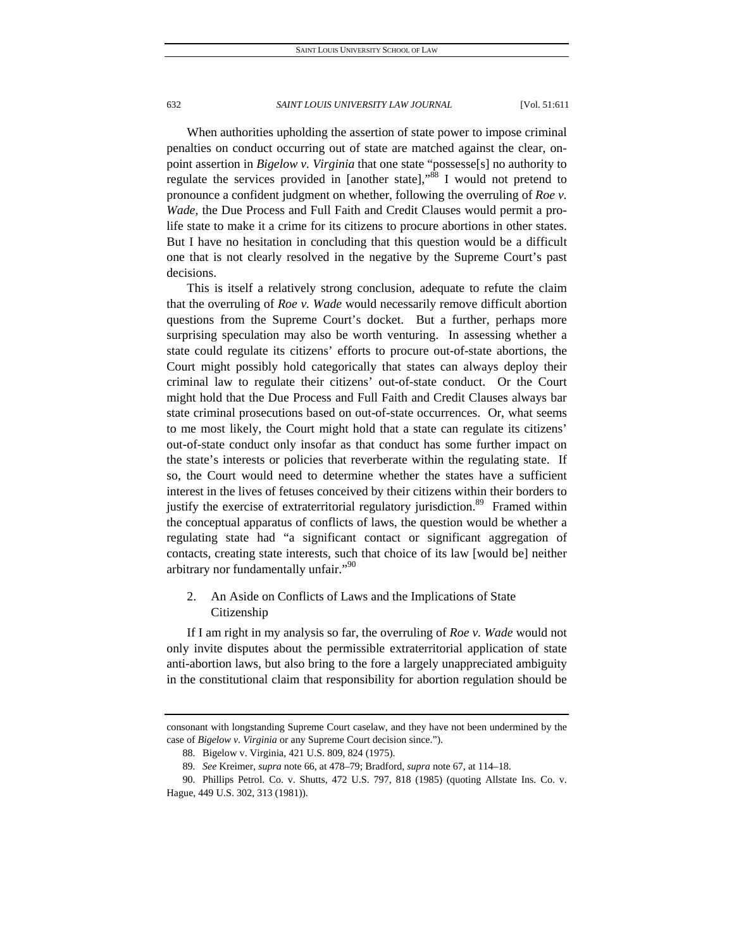When authorities upholding the assertion of state power to impose criminal penalties on conduct occurring out of state are matched against the clear, onpoint assertion in *Bigelow v. Virginia* that one state "possesse[s] no authority to regulate the services provided in [another state],"<sup>88</sup> I would not pretend to pronounce a confident judgment on whether, following the overruling of *Roe v. Wade*, the Due Process and Full Faith and Credit Clauses would permit a prolife state to make it a crime for its citizens to procure abortions in other states. But I have no hesitation in concluding that this question would be a difficult one that is not clearly resolved in the negative by the Supreme Court's past decisions.

This is itself a relatively strong conclusion, adequate to refute the claim that the overruling of *Roe v. Wade* would necessarily remove difficult abortion questions from the Supreme Court's docket. But a further, perhaps more surprising speculation may also be worth venturing. In assessing whether a state could regulate its citizens' efforts to procure out-of-state abortions, the Court might possibly hold categorically that states can always deploy their criminal law to regulate their citizens' out-of-state conduct. Or the Court might hold that the Due Process and Full Faith and Credit Clauses always bar state criminal prosecutions based on out-of-state occurrences. Or, what seems to me most likely, the Court might hold that a state can regulate its citizens' out-of-state conduct only insofar as that conduct has some further impact on the state's interests or policies that reverberate within the regulating state. If so, the Court would need to determine whether the states have a sufficient interest in the lives of fetuses conceived by their citizens within their borders to justify the exercise of extraterritorial regulatory jurisdiction.<sup>89</sup> Framed within the conceptual apparatus of conflicts of laws, the question would be whether a regulating state had "a significant contact or significant aggregation of contacts, creating state interests, such that choice of its law [would be] neither arbitrary nor fundamentally unfair."<sup>90</sup>

# 2. An Aside on Conflicts of Laws and the Implications of State Citizenship

If I am right in my analysis so far, the overruling of *Roe v. Wade* would not only invite disputes about the permissible extraterritorial application of state anti-abortion laws, but also bring to the fore a largely unappreciated ambiguity in the constitutional claim that responsibility for abortion regulation should be

consonant with longstanding Supreme Court caselaw, and they have not been undermined by the case of *Bigelow v. Virginia* or any Supreme Court decision since.").

 <sup>88.</sup> Bigelow v. Virginia, 421 U.S. 809, 824 (1975).

<sup>89</sup>*. See* Kreimer, *supra* note 66, at 478–79; Bradford, *supra* note 67, at 114–18.

 <sup>90.</sup> Phillips Petrol. Co. v. Shutts, 472 U.S. 797, 818 (1985) (quoting Allstate Ins. Co. v. Hague, 449 U.S. 302, 313 (1981)).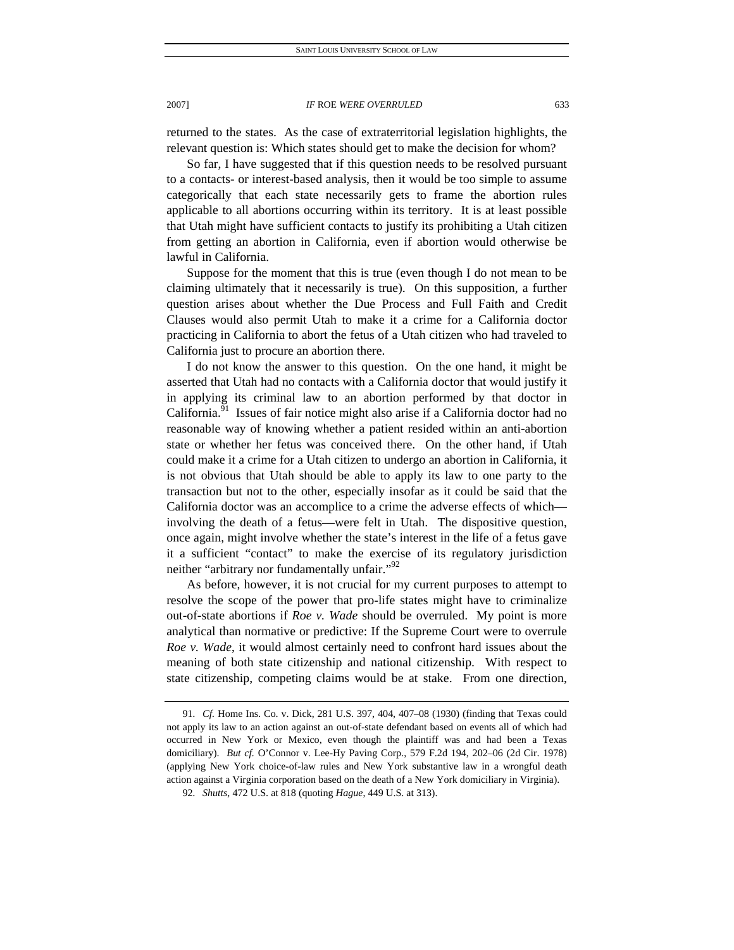returned to the states. As the case of extraterritorial legislation highlights, the relevant question is: Which states should get to make the decision for whom?

So far, I have suggested that if this question needs to be resolved pursuant to a contacts- or interest-based analysis, then it would be too simple to assume categorically that each state necessarily gets to frame the abortion rules applicable to all abortions occurring within its territory. It is at least possible that Utah might have sufficient contacts to justify its prohibiting a Utah citizen from getting an abortion in California, even if abortion would otherwise be lawful in California.

Suppose for the moment that this is true (even though I do not mean to be claiming ultimately that it necessarily is true). On this supposition, a further question arises about whether the Due Process and Full Faith and Credit Clauses would also permit Utah to make it a crime for a California doctor practicing in California to abort the fetus of a Utah citizen who had traveled to California just to procure an abortion there.

I do not know the answer to this question. On the one hand, it might be asserted that Utah had no contacts with a California doctor that would justify it in applying its criminal law to an abortion performed by that doctor in California.<sup>91</sup> Issues of fair notice might also arise if a California doctor had no reasonable way of knowing whether a patient resided within an anti-abortion state or whether her fetus was conceived there. On the other hand, if Utah could make it a crime for a Utah citizen to undergo an abortion in California, it is not obvious that Utah should be able to apply its law to one party to the transaction but not to the other, especially insofar as it could be said that the California doctor was an accomplice to a crime the adverse effects of which involving the death of a fetus—were felt in Utah. The dispositive question, once again, might involve whether the state's interest in the life of a fetus gave it a sufficient "contact" to make the exercise of its regulatory jurisdiction neither "arbitrary nor fundamentally unfair."<sup>92</sup>

As before, however, it is not crucial for my current purposes to attempt to resolve the scope of the power that pro-life states might have to criminalize out-of-state abortions if *Roe v. Wade* should be overruled. My point is more analytical than normative or predictive: If the Supreme Court were to overrule *Roe v. Wade*, it would almost certainly need to confront hard issues about the meaning of both state citizenship and national citizenship. With respect to state citizenship, competing claims would be at stake. From one direction,

<sup>91</sup>*. Cf.* Home Ins. Co. v. Dick, 281 U.S. 397, 404, 407–08 (1930) (finding that Texas could not apply its law to an action against an out-of-state defendant based on events all of which had occurred in New York or Mexico, even though the plaintiff was and had been a Texas domiciliary). *But cf.* O'Connor v. Lee-Hy Paving Corp., 579 F.2d 194, 202–06 (2d Cir. 1978) (applying New York choice-of-law rules and New York substantive law in a wrongful death action against a Virginia corporation based on the death of a New York domiciliary in Virginia).

<sup>92</sup>*. Shutts*, 472 U.S. at 818 (quoting *Hague*, 449 U.S. at 313).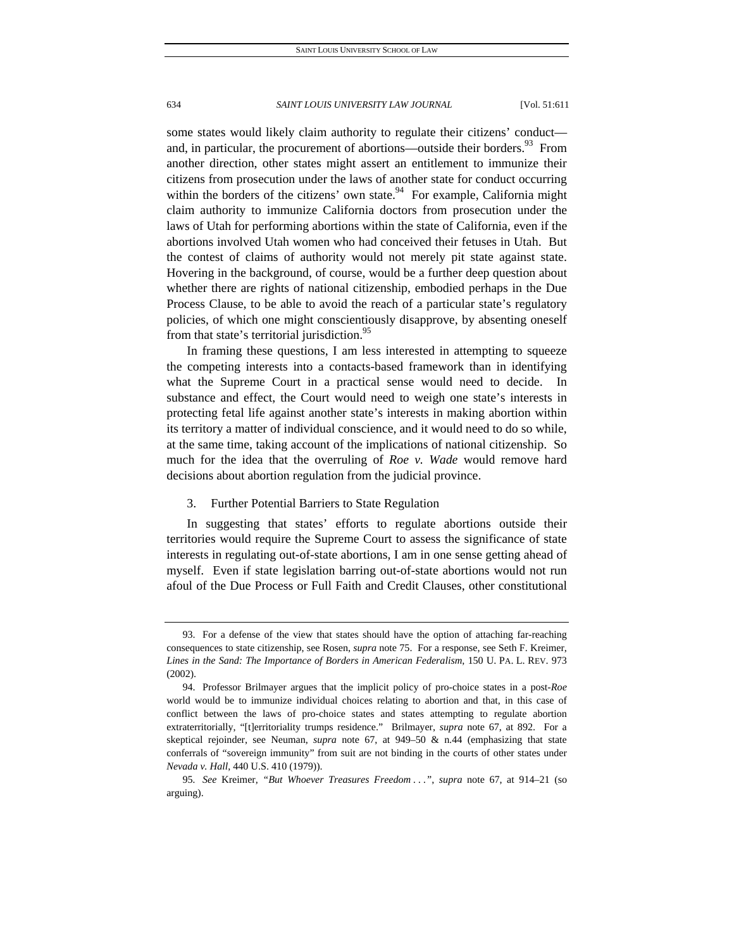some states would likely claim authority to regulate their citizens' conduct and, in particular, the procurement of abortions—outside their borders.  $93$  From another direction, other states might assert an entitlement to immunize their citizens from prosecution under the laws of another state for conduct occurring within the borders of the citizens' own state. $94$  For example, California might claim authority to immunize California doctors from prosecution under the laws of Utah for performing abortions within the state of California, even if the abortions involved Utah women who had conceived their fetuses in Utah. But the contest of claims of authority would not merely pit state against state. Hovering in the background, of course, would be a further deep question about whether there are rights of national citizenship, embodied perhaps in the Due Process Clause, to be able to avoid the reach of a particular state's regulatory policies, of which one might conscientiously disapprove, by absenting oneself from that state's territorial jurisdiction.<sup>95</sup>

In framing these questions, I am less interested in attempting to squeeze the competing interests into a contacts-based framework than in identifying what the Supreme Court in a practical sense would need to decide. In substance and effect, the Court would need to weigh one state's interests in protecting fetal life against another state's interests in making abortion within its territory a matter of individual conscience, and it would need to do so while, at the same time, taking account of the implications of national citizenship. So much for the idea that the overruling of *Roe v. Wade* would remove hard decisions about abortion regulation from the judicial province.

#### 3. Further Potential Barriers to State Regulation

In suggesting that states' efforts to regulate abortions outside their territories would require the Supreme Court to assess the significance of state interests in regulating out-of-state abortions, I am in one sense getting ahead of myself. Even if state legislation barring out-of-state abortions would not run afoul of the Due Process or Full Faith and Credit Clauses, other constitutional

 <sup>93.</sup> For a defense of the view that states should have the option of attaching far-reaching consequences to state citizenship, see Rosen, *supra* note 75. For a response, see Seth F. Kreimer, *Lines in the Sand: The Importance of Borders in American Federalism*, 150 U. PA. L. REV. 973 (2002).

 <sup>94.</sup> Professor Brilmayer argues that the implicit policy of pro-choice states in a post-*Roe* world would be to immunize individual choices relating to abortion and that, in this case of conflict between the laws of pro-choice states and states attempting to regulate abortion extraterritorially, "[t]erritoriality trumps residence." Brilmayer, *supra* note 67, at 892. For a skeptical rejoinder, see Neuman, *supra* note 67, at 949–50 & n.44 (emphasizing that state conferrals of "sovereign immunity" from suit are not binding in the courts of other states under *Nevada v. Hall*, 440 U.S. 410 (1979)).

<sup>95</sup>*. See* Kreimer, *"But Whoever Treasures Freedom . . ."*, *supra* note 67, at 914–21 (so arguing).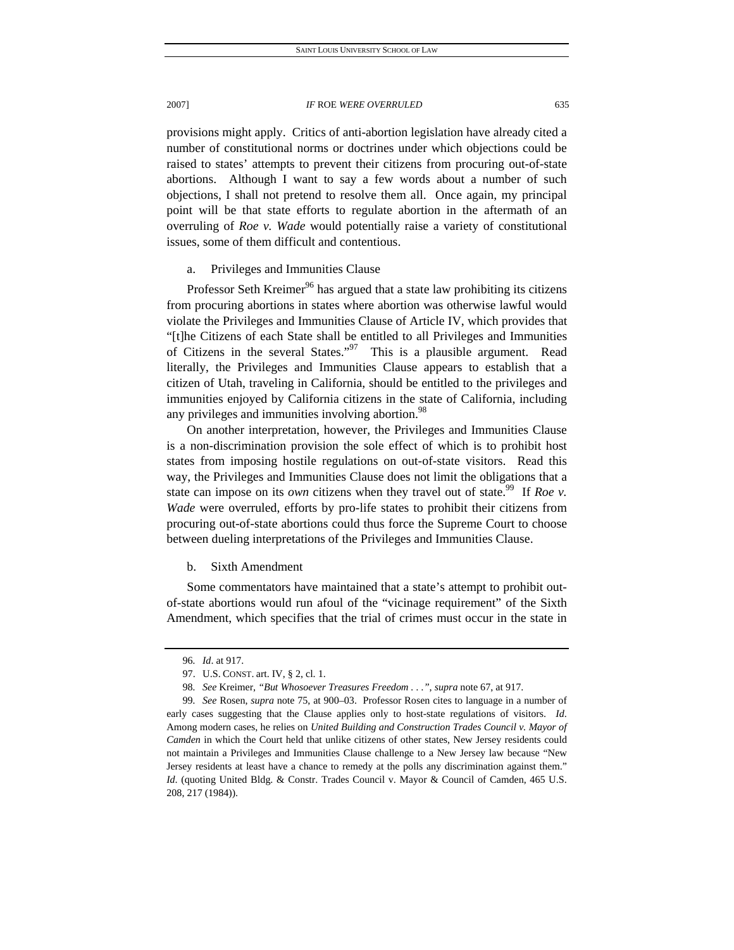provisions might apply. Critics of anti-abortion legislation have already cited a number of constitutional norms or doctrines under which objections could be raised to states' attempts to prevent their citizens from procuring out-of-state abortions. Although I want to say a few words about a number of such objections, I shall not pretend to resolve them all. Once again, my principal point will be that state efforts to regulate abortion in the aftermath of an overruling of *Roe v. Wade* would potentially raise a variety of constitutional issues, some of them difficult and contentious.

# a. Privileges and Immunities Clause

Professor Seth Kreimer<sup>96</sup> has argued that a state law prohibiting its citizens from procuring abortions in states where abortion was otherwise lawful would violate the Privileges and Immunities Clause of Article IV, which provides that "[t]he Citizens of each State shall be entitled to all Privileges and Immunities of Citizens in the several States."97 This is a plausible argument. Read literally, the Privileges and Immunities Clause appears to establish that a citizen of Utah, traveling in California, should be entitled to the privileges and immunities enjoyed by California citizens in the state of California, including any privileges and immunities involving abortion.<sup>98</sup>

On another interpretation, however, the Privileges and Immunities Clause is a non-discrimination provision the sole effect of which is to prohibit host states from imposing hostile regulations on out-of-state visitors. Read this way, the Privileges and Immunities Clause does not limit the obligations that a state can impose on its *own* citizens when they travel out of state.<sup>99</sup> If *Roe v. Wade* were overruled, efforts by pro-life states to prohibit their citizens from procuring out-of-state abortions could thus force the Supreme Court to choose between dueling interpretations of the Privileges and Immunities Clause.

b. Sixth Amendment

Some commentators have maintained that a state's attempt to prohibit outof-state abortions would run afoul of the "vicinage requirement" of the Sixth Amendment, which specifies that the trial of crimes must occur in the state in

<sup>96</sup>*. Id*. at 917.

 <sup>97.</sup> U.S. CONST. art. IV, § 2, cl. 1.

<sup>98</sup>*. See* Kreimer, *"But Whosoever Treasures Freedom . . ."*, *supra* note 67, at 917.

<sup>99</sup>*. See* Rosen, *supra* note 75, at 900–03. Professor Rosen cites to language in a number of early cases suggesting that the Clause applies only to host-state regulations of visitors. *Id*. Among modern cases, he relies on *United Building and Construction Trades Council v. Mayor of Camden* in which the Court held that unlike citizens of other states, New Jersey residents could not maintain a Privileges and Immunities Clause challenge to a New Jersey law because "New Jersey residents at least have a chance to remedy at the polls any discrimination against them." *Id.* (quoting United Bldg. & Constr. Trades Council v. Mayor & Council of Camden, 465 U.S. 208, 217 (1984)).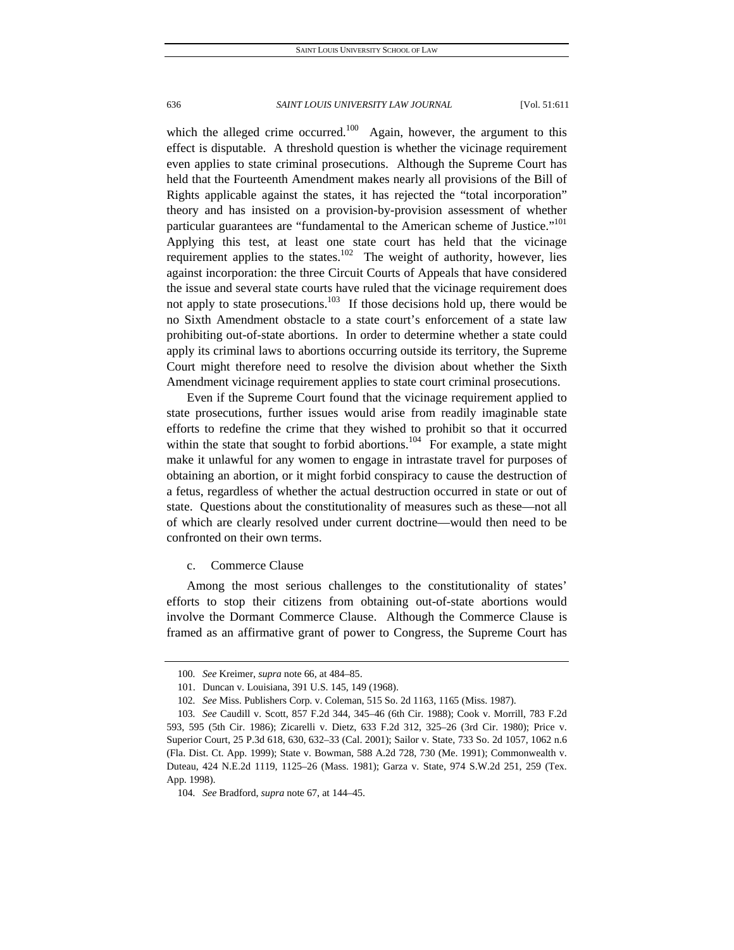which the alleged crime occurred.<sup>100</sup> Again, however, the argument to this effect is disputable. A threshold question is whether the vicinage requirement even applies to state criminal prosecutions. Although the Supreme Court has held that the Fourteenth Amendment makes nearly all provisions of the Bill of Rights applicable against the states, it has rejected the "total incorporation" theory and has insisted on a provision-by-provision assessment of whether particular guarantees are "fundamental to the American scheme of Justice."<sup>101</sup> Applying this test, at least one state court has held that the vicinage requirement applies to the states.<sup>102</sup> The weight of authority, however, lies against incorporation: the three Circuit Courts of Appeals that have considered the issue and several state courts have ruled that the vicinage requirement does not apply to state prosecutions.<sup>103</sup> If those decisions hold up, there would be no Sixth Amendment obstacle to a state court's enforcement of a state law prohibiting out-of-state abortions. In order to determine whether a state could apply its criminal laws to abortions occurring outside its territory, the Supreme Court might therefore need to resolve the division about whether the Sixth Amendment vicinage requirement applies to state court criminal prosecutions.

Even if the Supreme Court found that the vicinage requirement applied to state prosecutions, further issues would arise from readily imaginable state efforts to redefine the crime that they wished to prohibit so that it occurred within the state that sought to forbid abortions.<sup>104</sup> For example, a state might make it unlawful for any women to engage in intrastate travel for purposes of obtaining an abortion, or it might forbid conspiracy to cause the destruction of a fetus, regardless of whether the actual destruction occurred in state or out of state. Questions about the constitutionality of measures such as these—not all of which are clearly resolved under current doctrine—would then need to be confronted on their own terms.

#### c. Commerce Clause

Among the most serious challenges to the constitutionality of states' efforts to stop their citizens from obtaining out-of-state abortions would involve the Dormant Commerce Clause. Although the Commerce Clause is framed as an affirmative grant of power to Congress, the Supreme Court has

<sup>100</sup>*. See* Kreimer, *supra* note 66, at 484–85.

 <sup>101.</sup> Duncan v. Louisiana, 391 U.S. 145, 149 (1968).

<sup>102</sup>*. See* Miss. Publishers Corp. v. Coleman, 515 So. 2d 1163, 1165 (Miss. 1987).

<sup>103</sup>*. See* Caudill v. Scott, 857 F.2d 344, 345–46 (6th Cir. 1988); Cook v. Morrill, 783 F.2d 593, 595 (5th Cir. 1986); Zicarelli v. Dietz, 633 F.2d 312, 325–26 (3rd Cir. 1980); Price v. Superior Court, 25 P.3d 618, 630, 632–33 (Cal. 2001); Sailor v. State, 733 So. 2d 1057, 1062 n.6 (Fla. Dist. Ct. App. 1999); State v. Bowman, 588 A.2d 728, 730 (Me. 1991); Commonwealth v. Duteau, 424 N.E.2d 1119, 1125–26 (Mass. 1981); Garza v. State, 974 S.W.2d 251, 259 (Tex. App. 1998).

<sup>104</sup>*. See* Bradford, *supra* note 67, at 144–45.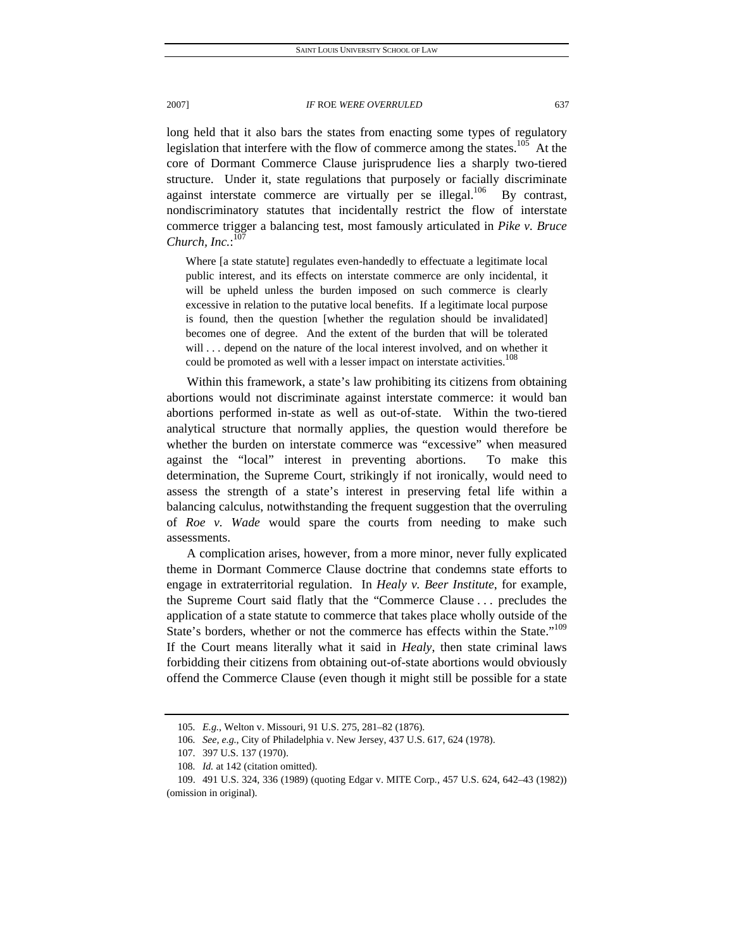long held that it also bars the states from enacting some types of regulatory legislation that interfere with the flow of commerce among the states.<sup>105</sup> At the core of Dormant Commerce Clause jurisprudence lies a sharply two-tiered structure. Under it, state regulations that purposely or facially discriminate against interstate commerce are virtually per se illegal.<sup>106</sup> By contrast, nondiscriminatory statutes that incidentally restrict the flow of interstate commerce trigger a balancing test, most famously articulated in *Pike v. Bruce Church, Inc.*: 107

Where [a state statute] regulates even-handedly to effectuate a legitimate local public interest, and its effects on interstate commerce are only incidental, it will be upheld unless the burden imposed on such commerce is clearly excessive in relation to the putative local benefits. If a legitimate local purpose is found, then the question [whether the regulation should be invalidated] becomes one of degree. And the extent of the burden that will be tolerated will ... depend on the nature of the local interest involved, and on whether it could be promoted as well with a lesser impact on interstate activities.<sup>108</sup>

Within this framework, a state's law prohibiting its citizens from obtaining abortions would not discriminate against interstate commerce: it would ban abortions performed in-state as well as out-of-state. Within the two-tiered analytical structure that normally applies, the question would therefore be whether the burden on interstate commerce was "excessive" when measured against the "local" interest in preventing abortions. To make this determination, the Supreme Court, strikingly if not ironically, would need to assess the strength of a state's interest in preserving fetal life within a balancing calculus, notwithstanding the frequent suggestion that the overruling of *Roe v. Wade* would spare the courts from needing to make such assessments.

A complication arises, however, from a more minor, never fully explicated theme in Dormant Commerce Clause doctrine that condemns state efforts to engage in extraterritorial regulation. In *Healy v. Beer Institute*, for example, the Supreme Court said flatly that the "Commerce Clause . . . precludes the application of a state statute to commerce that takes place wholly outside of the State's borders, whether or not the commerce has effects within the State."<sup>109</sup> If the Court means literally what it said in *Healy*, then state criminal laws forbidding their citizens from obtaining out-of-state abortions would obviously offend the Commerce Clause (even though it might still be possible for a state

<sup>105</sup>*. E.g.*, Welton v. Missouri, 91 U.S. 275, 281–82 (1876).

<sup>106</sup>*. See, e.g.*, City of Philadelphia v. New Jersey, 437 U.S. 617, 624 (1978).

 <sup>107. 397</sup> U.S. 137 (1970).

<sup>108</sup>*. Id.* at 142 (citation omitted).

 <sup>109. 491</sup> U.S. 324, 336 (1989) (quoting Edgar v. MITE Corp*.,* 457 U.S. 624, 642–43 (1982)) (omission in original).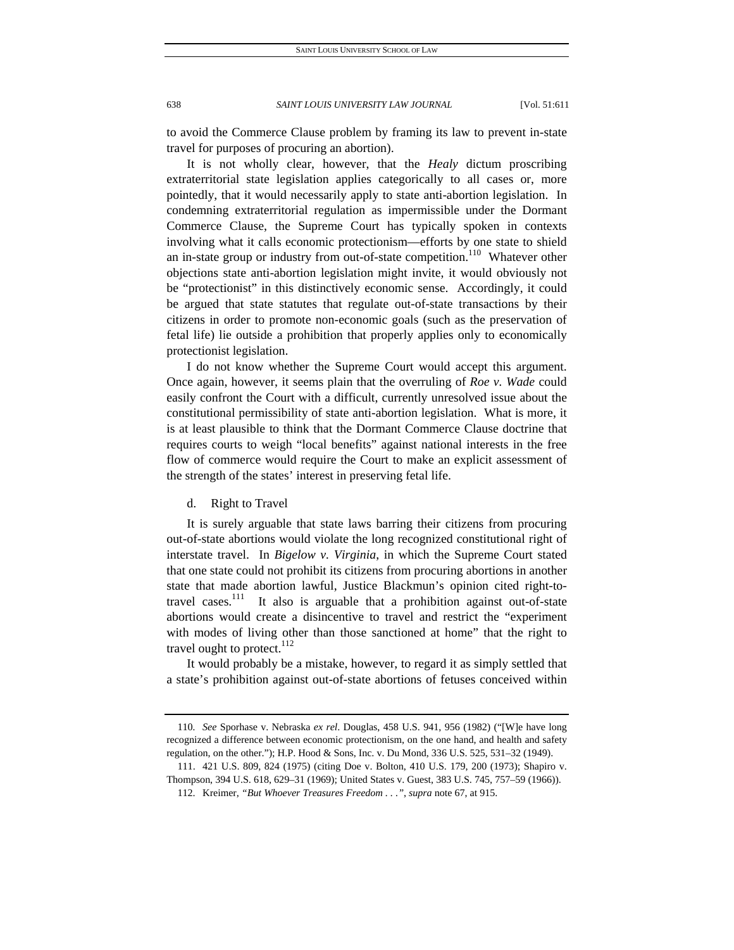to avoid the Commerce Clause problem by framing its law to prevent in-state travel for purposes of procuring an abortion).

It is not wholly clear, however, that the *Healy* dictum proscribing extraterritorial state legislation applies categorically to all cases or, more pointedly, that it would necessarily apply to state anti-abortion legislation. In condemning extraterritorial regulation as impermissible under the Dormant Commerce Clause, the Supreme Court has typically spoken in contexts involving what it calls economic protectionism—efforts by one state to shield an in-state group or industry from out-of-state competition.<sup>110</sup> Whatever other objections state anti-abortion legislation might invite, it would obviously not be "protectionist" in this distinctively economic sense. Accordingly, it could be argued that state statutes that regulate out-of-state transactions by their citizens in order to promote non-economic goals (such as the preservation of fetal life) lie outside a prohibition that properly applies only to economically protectionist legislation.

I do not know whether the Supreme Court would accept this argument. Once again, however, it seems plain that the overruling of *Roe v. Wade* could easily confront the Court with a difficult, currently unresolved issue about the constitutional permissibility of state anti-abortion legislation. What is more, it is at least plausible to think that the Dormant Commerce Clause doctrine that requires courts to weigh "local benefits" against national interests in the free flow of commerce would require the Court to make an explicit assessment of the strength of the states' interest in preserving fetal life.

d. Right to Travel

It is surely arguable that state laws barring their citizens from procuring out-of-state abortions would violate the long recognized constitutional right of interstate travel. In *Bigelow v. Virginia*, in which the Supreme Court stated that one state could not prohibit its citizens from procuring abortions in another state that made abortion lawful, Justice Blackmun's opinion cited right-totravel cases.<sup>111</sup> It also is arguable that a prohibition against out-of-state abortions would create a disincentive to travel and restrict the "experiment with modes of living other than those sanctioned at home" that the right to travel ought to protect. $^{112}$ 

It would probably be a mistake, however, to regard it as simply settled that a state's prohibition against out-of-state abortions of fetuses conceived within

<sup>110</sup>*. See* Sporhase v. Nebraska *ex rel*. Douglas, 458 U.S. 941, 956 (1982) ("[W]e have long recognized a difference between economic protectionism, on the one hand, and health and safety regulation, on the other."); H.P. Hood & Sons, Inc. v. Du Mond, 336 U.S. 525, 531–32 (1949).

 <sup>111. 421</sup> U.S. 809, 824 (1975) (citing Doe v. Bolton, 410 U.S. 179, 200 (1973); Shapiro v. Thompson, 394 U.S. 618, 629–31 (1969); United States v. Guest, 383 U.S. 745, 757–59 (1966)).

 <sup>112.</sup> Kreimer, *"But Whoever Treasures Freedom . . ."*, *supra* note 67, at 915.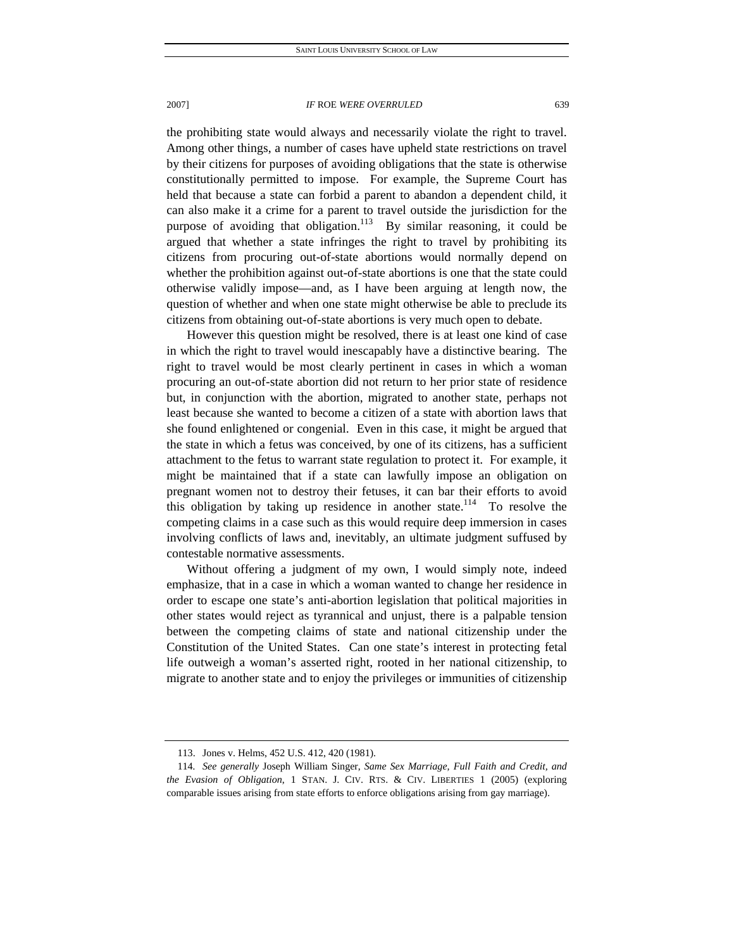the prohibiting state would always and necessarily violate the right to travel. Among other things, a number of cases have upheld state restrictions on travel by their citizens for purposes of avoiding obligations that the state is otherwise constitutionally permitted to impose. For example, the Supreme Court has held that because a state can forbid a parent to abandon a dependent child, it can also make it a crime for a parent to travel outside the jurisdiction for the purpose of avoiding that obligation.<sup>113</sup> By similar reasoning, it could be argued that whether a state infringes the right to travel by prohibiting its citizens from procuring out-of-state abortions would normally depend on whether the prohibition against out-of-state abortions is one that the state could otherwise validly impose—and, as I have been arguing at length now, the question of whether and when one state might otherwise be able to preclude its citizens from obtaining out-of-state abortions is very much open to debate.

However this question might be resolved, there is at least one kind of case in which the right to travel would inescapably have a distinctive bearing. The right to travel would be most clearly pertinent in cases in which a woman procuring an out-of-state abortion did not return to her prior state of residence but, in conjunction with the abortion, migrated to another state, perhaps not least because she wanted to become a citizen of a state with abortion laws that she found enlightened or congenial. Even in this case, it might be argued that the state in which a fetus was conceived, by one of its citizens, has a sufficient attachment to the fetus to warrant state regulation to protect it. For example, it might be maintained that if a state can lawfully impose an obligation on pregnant women not to destroy their fetuses, it can bar their efforts to avoid this obligation by taking up residence in another state.<sup>114</sup> To resolve the competing claims in a case such as this would require deep immersion in cases involving conflicts of laws and, inevitably, an ultimate judgment suffused by contestable normative assessments.

Without offering a judgment of my own, I would simply note, indeed emphasize, that in a case in which a woman wanted to change her residence in order to escape one state's anti-abortion legislation that political majorities in other states would reject as tyrannical and unjust, there is a palpable tension between the competing claims of state and national citizenship under the Constitution of the United States. Can one state's interest in protecting fetal life outweigh a woman's asserted right, rooted in her national citizenship, to migrate to another state and to enjoy the privileges or immunities of citizenship

 <sup>113.</sup> Jones v. Helms, 452 U.S. 412, 420 (1981).

<sup>114</sup>*. See generally* Joseph William Singer, *Same Sex Marriage, Full Faith and Credit, and the Evasion of Obligation*, 1 STAN. J. CIV. RTS. & CIV. LIBERTIES 1 (2005) (exploring comparable issues arising from state efforts to enforce obligations arising from gay marriage).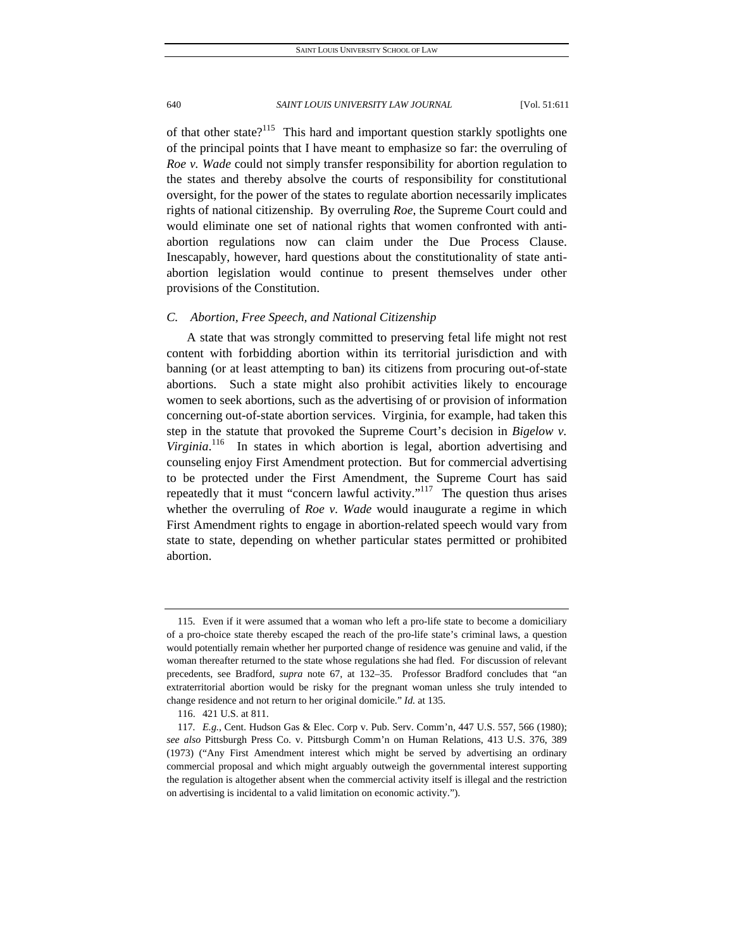of that other state?<sup>115</sup> This hard and important question starkly spotlights one of the principal points that I have meant to emphasize so far: the overruling of *Roe v. Wade* could not simply transfer responsibility for abortion regulation to the states and thereby absolve the courts of responsibility for constitutional oversight, for the power of the states to regulate abortion necessarily implicates rights of national citizenship. By overruling *Roe*, the Supreme Court could and would eliminate one set of national rights that women confronted with antiabortion regulations now can claim under the Due Process Clause. Inescapably, however, hard questions about the constitutionality of state antiabortion legislation would continue to present themselves under other provisions of the Constitution.

## *C. Abortion, Free Speech, and National Citizenship*

A state that was strongly committed to preserving fetal life might not rest content with forbidding abortion within its territorial jurisdiction and with banning (or at least attempting to ban) its citizens from procuring out-of-state abortions. Such a state might also prohibit activities likely to encourage women to seek abortions, such as the advertising of or provision of information concerning out-of-state abortion services. Virginia, for example, had taken this step in the statute that provoked the Supreme Court's decision in *Bigelow v.*  Virginia.<sup>116</sup> In states in which abortion is legal, abortion advertising and counseling enjoy First Amendment protection. But for commercial advertising to be protected under the First Amendment, the Supreme Court has said repeatedly that it must "concern lawful activity."<sup>117</sup> The question thus arises whether the overruling of *Roe v. Wade* would inaugurate a regime in which First Amendment rights to engage in abortion-related speech would vary from state to state, depending on whether particular states permitted or prohibited abortion.

 <sup>115.</sup> Even if it were assumed that a woman who left a pro-life state to become a domiciliary of a pro-choice state thereby escaped the reach of the pro-life state's criminal laws, a question would potentially remain whether her purported change of residence was genuine and valid, if the woman thereafter returned to the state whose regulations she had fled. For discussion of relevant precedents, see Bradford, *supra* note 67, at 132–35. Professor Bradford concludes that "an extraterritorial abortion would be risky for the pregnant woman unless she truly intended to change residence and not return to her original domicile." *Id.* at 135.

 <sup>116. 421</sup> U.S. at 811.

<sup>117</sup>*. E.g.*, Cent. Hudson Gas & Elec. Corp v. Pub. Serv. Comm'n, 447 U.S. 557, 566 (1980); *see also* Pittsburgh Press Co. v. Pittsburgh Comm'n on Human Relations, 413 U.S. 376, 389 (1973) ("Any First Amendment interest which might be served by advertising an ordinary commercial proposal and which might arguably outweigh the governmental interest supporting the regulation is altogether absent when the commercial activity itself is illegal and the restriction on advertising is incidental to a valid limitation on economic activity.").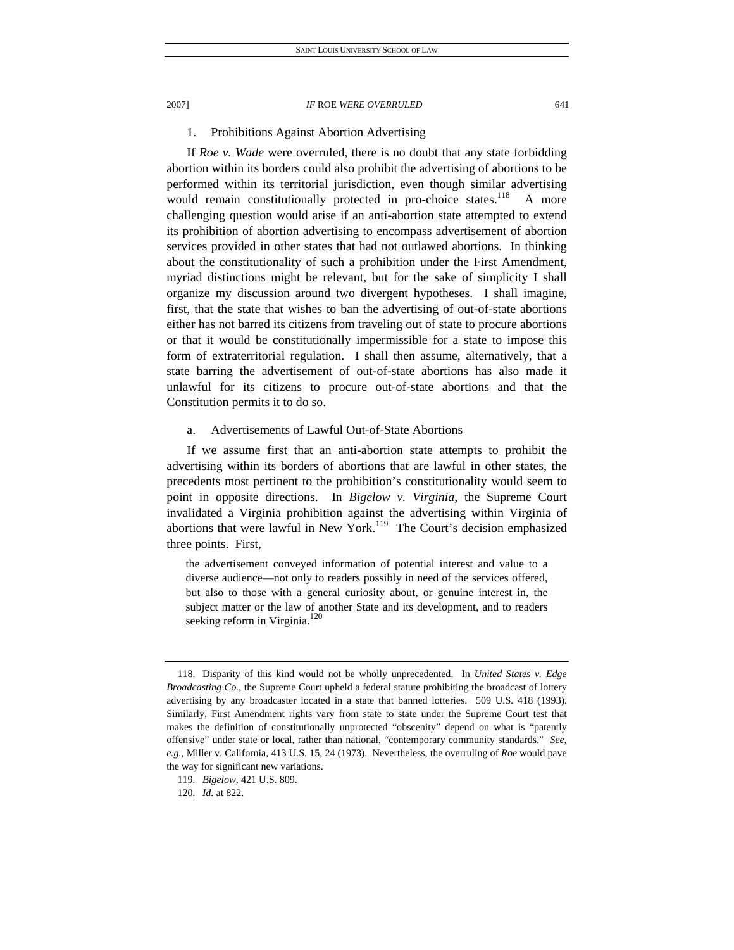### 1. Prohibitions Against Abortion Advertising

If *Roe v. Wade* were overruled, there is no doubt that any state forbidding abortion within its borders could also prohibit the advertising of abortions to be performed within its territorial jurisdiction, even though similar advertising would remain constitutionally protected in pro-choice states.<sup>118</sup> A more challenging question would arise if an anti-abortion state attempted to extend its prohibition of abortion advertising to encompass advertisement of abortion services provided in other states that had not outlawed abortions. In thinking about the constitutionality of such a prohibition under the First Amendment, myriad distinctions might be relevant, but for the sake of simplicity I shall organize my discussion around two divergent hypotheses. I shall imagine, first, that the state that wishes to ban the advertising of out-of-state abortions either has not barred its citizens from traveling out of state to procure abortions or that it would be constitutionally impermissible for a state to impose this form of extraterritorial regulation. I shall then assume, alternatively, that a state barring the advertisement of out-of-state abortions has also made it unlawful for its citizens to procure out-of-state abortions and that the Constitution permits it to do so.

#### a. Advertisements of Lawful Out-of-State Abortions

If we assume first that an anti-abortion state attempts to prohibit the advertising within its borders of abortions that are lawful in other states, the precedents most pertinent to the prohibition's constitutionality would seem to point in opposite directions. In *Bigelow v. Virginia*, the Supreme Court invalidated a Virginia prohibition against the advertising within Virginia of abortions that were lawful in New York.<sup>119</sup> The Court's decision emphasized three points. First,

the advertisement conveyed information of potential interest and value to a diverse audience—not only to readers possibly in need of the services offered, but also to those with a general curiosity about, or genuine interest in, the subject matter or the law of another State and its development, and to readers seeking reform in Virginia.<sup>120</sup>

 <sup>118.</sup> Disparity of this kind would not be wholly unprecedented. In *United States v. Edge Broadcasting Co.*, the Supreme Court upheld a federal statute prohibiting the broadcast of lottery advertising by any broadcaster located in a state that banned lotteries. 509 U.S. 418 (1993). Similarly, First Amendment rights vary from state to state under the Supreme Court test that makes the definition of constitutionally unprotected "obscenity" depend on what is "patently offensive" under state or local, rather than national, "contemporary community standards." *See, e.g.*, Miller v. California, 413 U.S. 15, 24 (1973). Nevertheless, the overruling of *Roe* would pave the way for significant new variations.

<sup>119</sup>*. Bigelow*, 421 U.S. 809.

<sup>120</sup>*. Id.* at 822.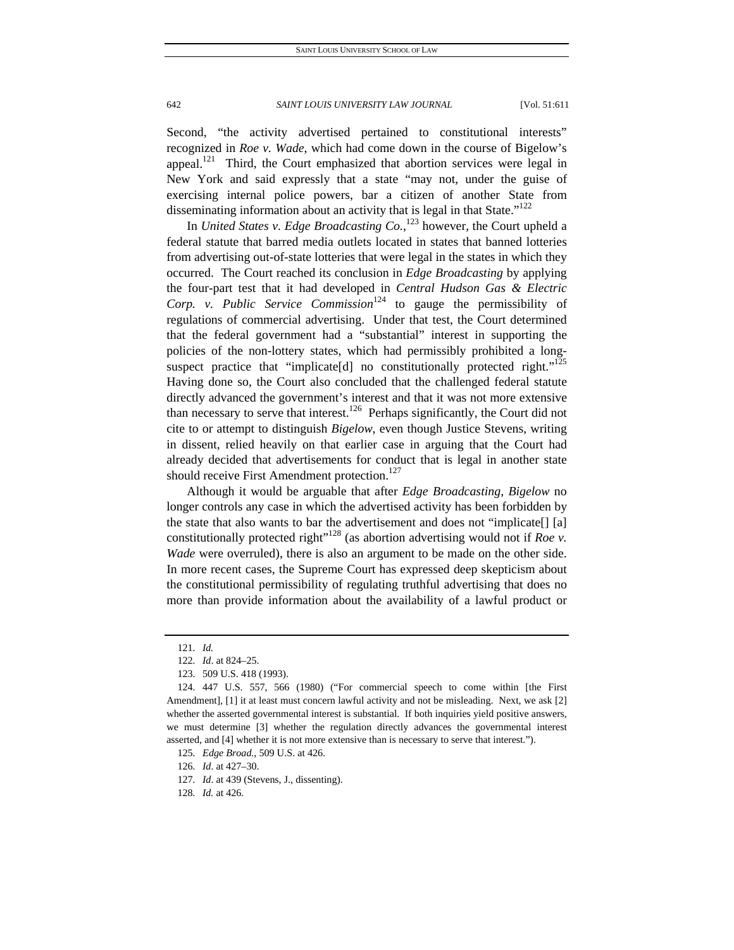Second, "the activity advertised pertained to constitutional interests" recognized in *Roe v. Wade*, which had come down in the course of Bigelow's appeal.<sup>121</sup> Third, the Court emphasized that abortion services were legal in New York and said expressly that a state "may not, under the guise of exercising internal police powers, bar a citizen of another State from disseminating information about an activity that is legal in that State." $122$ 

In *United States v. Edge Broadcasting Co.*, 123 however, the Court upheld a federal statute that barred media outlets located in states that banned lotteries from advertising out-of-state lotteries that were legal in the states in which they occurred. The Court reached its conclusion in *Edge Broadcasting* by applying the four-part test that it had developed in *Central Hudson Gas & Electric Corp. v. Public Service Commission*<sup>124</sup> to gauge the permissibility of regulations of commercial advertising. Under that test, the Court determined that the federal government had a "substantial" interest in supporting the policies of the non-lottery states, which had permissibly prohibited a longsuspect practice that "implicate [d] no constitutionally protected right."<sup>125</sup> Having done so, the Court also concluded that the challenged federal statute directly advanced the government's interest and that it was not more extensive than necessary to serve that interest.<sup>126</sup> Perhaps significantly, the Court did not cite to or attempt to distinguish *Bigelow*, even though Justice Stevens, writing in dissent, relied heavily on that earlier case in arguing that the Court had already decided that advertisements for conduct that is legal in another state should receive First Amendment protection.<sup>127</sup>

Although it would be arguable that after *Edge Broadcasting*, *Bigelow* no longer controls any case in which the advertised activity has been forbidden by the state that also wants to bar the advertisement and does not "implicate[] [a] constitutionally protected right<sup>"128</sup> (as abortion advertising would not if *Roe v*. *Wade* were overruled), there is also an argument to be made on the other side. In more recent cases, the Supreme Court has expressed deep skepticism about the constitutional permissibility of regulating truthful advertising that does no more than provide information about the availability of a lawful product or

<sup>121</sup>*. Id.*

<sup>122</sup>*. Id*. at 824–25.

 <sup>123. 509</sup> U.S. 418 (1993).

 <sup>124. 447</sup> U.S. 557, 566 (1980) ("For commercial speech to come within [the First Amendment], [1] it at least must concern lawful activity and not be misleading. Next, we ask [2] whether the asserted governmental interest is substantial. If both inquiries yield positive answers, we must determine [3] whether the regulation directly advances the governmental interest asserted, and [4] whether it is not more extensive than is necessary to serve that interest.").

<sup>125</sup>*. Edge Broad.*, 509 U.S. at 426.

<sup>126</sup>*. Id*. at 427–30.

<sup>127</sup>*. Id*. at 439 (Stevens, J., dissenting).

<sup>128</sup>*. Id.* at 426.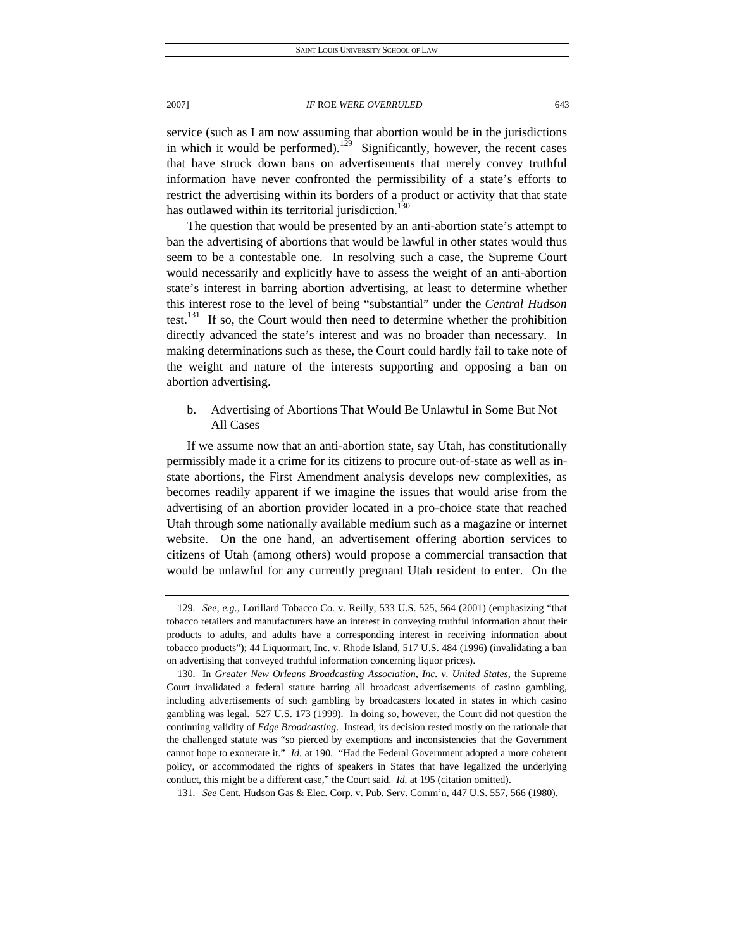service (such as I am now assuming that abortion would be in the jurisdictions in which it would be performed).<sup>129</sup> Significantly, however, the recent cases that have struck down bans on advertisements that merely convey truthful information have never confronted the permissibility of a state's efforts to restrict the advertising within its borders of a product or activity that that state has outlawed within its territorial jurisdiction.<sup>130</sup>

The question that would be presented by an anti-abortion state's attempt to ban the advertising of abortions that would be lawful in other states would thus seem to be a contestable one. In resolving such a case, the Supreme Court would necessarily and explicitly have to assess the weight of an anti-abortion state's interest in barring abortion advertising, at least to determine whether this interest rose to the level of being "substantial" under the *Central Hudson* test.<sup>131</sup> If so, the Court would then need to determine whether the prohibition directly advanced the state's interest and was no broader than necessary. In making determinations such as these, the Court could hardly fail to take note of the weight and nature of the interests supporting and opposing a ban on abortion advertising.

# b. Advertising of Abortions That Would Be Unlawful in Some But Not All Cases

If we assume now that an anti-abortion state, say Utah, has constitutionally permissibly made it a crime for its citizens to procure out-of-state as well as instate abortions, the First Amendment analysis develops new complexities, as becomes readily apparent if we imagine the issues that would arise from the advertising of an abortion provider located in a pro-choice state that reached Utah through some nationally available medium such as a magazine or internet website. On the one hand, an advertisement offering abortion services to citizens of Utah (among others) would propose a commercial transaction that would be unlawful for any currently pregnant Utah resident to enter. On the

<sup>129</sup>*. See, e.g.*, Lorillard Tobacco Co. v. Reilly, 533 U.S. 525, 564 (2001) (emphasizing "that tobacco retailers and manufacturers have an interest in conveying truthful information about their products to adults, and adults have a corresponding interest in receiving information about tobacco products"); 44 Liquormart, Inc. v. Rhode Island, 517 U.S. 484 (1996) (invalidating a ban on advertising that conveyed truthful information concerning liquor prices).

 <sup>130.</sup> In *Greater New Orleans Broadcasting Association, Inc. v. United States*, the Supreme Court invalidated a federal statute barring all broadcast advertisements of casino gambling, including advertisements of such gambling by broadcasters located in states in which casino gambling was legal. 527 U.S. 173 (1999). In doing so, however, the Court did not question the continuing validity of *Edge Broadcasting*. Instead, its decision rested mostly on the rationale that the challenged statute was "so pierced by exemptions and inconsistencies that the Government cannot hope to exonerate it." *Id.* at 190. "Had the Federal Government adopted a more coherent policy, or accommodated the rights of speakers in States that have legalized the underlying conduct, this might be a different case," the Court said. *Id.* at 195 (citation omitted).

<sup>131</sup>*. See* Cent. Hudson Gas & Elec. Corp. v. Pub. Serv. Comm'n, 447 U.S. 557, 566 (1980).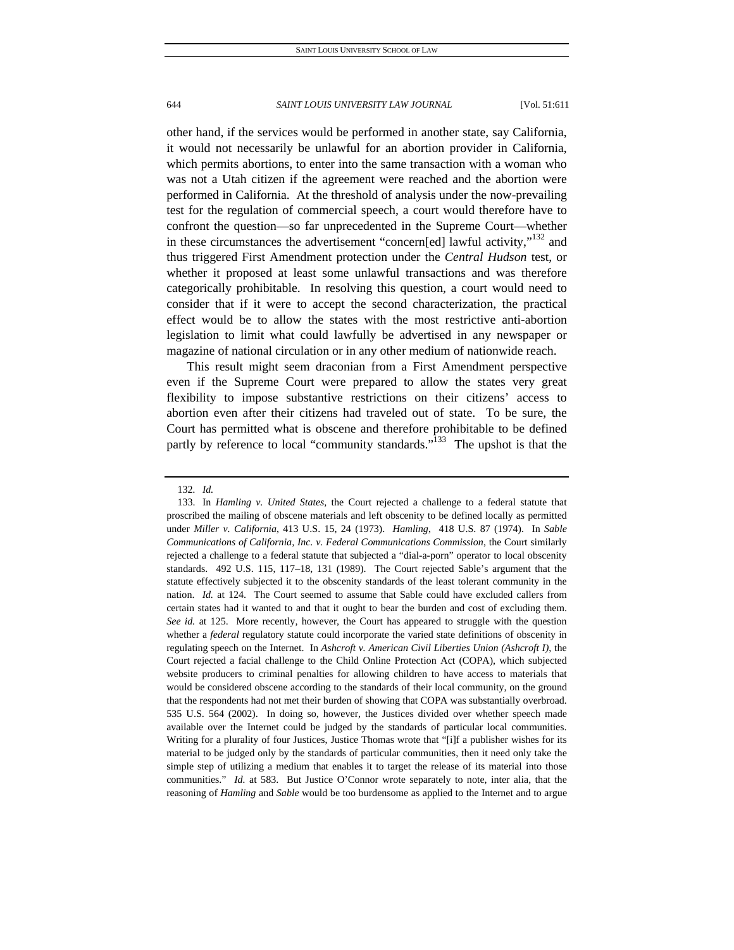other hand, if the services would be performed in another state, say California, it would not necessarily be unlawful for an abortion provider in California, which permits abortions, to enter into the same transaction with a woman who was not a Utah citizen if the agreement were reached and the abortion were performed in California. At the threshold of analysis under the now-prevailing test for the regulation of commercial speech, a court would therefore have to confront the question—so far unprecedented in the Supreme Court—whether in these circumstances the advertisement "concern[ed] lawful activity," $132$  and thus triggered First Amendment protection under the *Central Hudson* test, or whether it proposed at least some unlawful transactions and was therefore categorically prohibitable. In resolving this question, a court would need to consider that if it were to accept the second characterization, the practical effect would be to allow the states with the most restrictive anti-abortion legislation to limit what could lawfully be advertised in any newspaper or magazine of national circulation or in any other medium of nationwide reach.

This result might seem draconian from a First Amendment perspective even if the Supreme Court were prepared to allow the states very great flexibility to impose substantive restrictions on their citizens' access to abortion even after their citizens had traveled out of state. To be sure, the Court has permitted what is obscene and therefore prohibitable to be defined partly by reference to local "community standards."<sup>133</sup> The upshot is that the

<sup>132</sup>*. Id.*

 <sup>133.</sup> In *Hamling v. United States*, the Court rejected a challenge to a federal statute that proscribed the mailing of obscene materials and left obscenity to be defined locally as permitted under *Miller v. California*, 413 U.S. 15, 24 (1973). *Hamling*, 418 U.S. 87 (1974). In *Sable Communications of California, Inc. v. Federal Communications Commission*, the Court similarly rejected a challenge to a federal statute that subjected a "dial-a-porn" operator to local obscenity standards. 492 U.S. 115, 117–18, 131 (1989). The Court rejected Sable's argument that the statute effectively subjected it to the obscenity standards of the least tolerant community in the nation. *Id.* at 124. The Court seemed to assume that Sable could have excluded callers from certain states had it wanted to and that it ought to bear the burden and cost of excluding them. See id. at 125. More recently, however, the Court has appeared to struggle with the question whether a *federal* regulatory statute could incorporate the varied state definitions of obscenity in regulating speech on the Internet. In *Ashcroft v. American Civil Liberties Union (Ashcroft I)*, the Court rejected a facial challenge to the Child Online Protection Act (COPA), which subjected website producers to criminal penalties for allowing children to have access to materials that would be considered obscene according to the standards of their local community, on the ground that the respondents had not met their burden of showing that COPA was substantially overbroad. 535 U.S. 564 (2002). In doing so, however, the Justices divided over whether speech made available over the Internet could be judged by the standards of particular local communities. Writing for a plurality of four Justices, Justice Thomas wrote that "[i]f a publisher wishes for its material to be judged only by the standards of particular communities, then it need only take the simple step of utilizing a medium that enables it to target the release of its material into those communities." *Id.* at 583. But Justice O'Connor wrote separately to note, inter alia, that the reasoning of *Hamling* and *Sable* would be too burdensome as applied to the Internet and to argue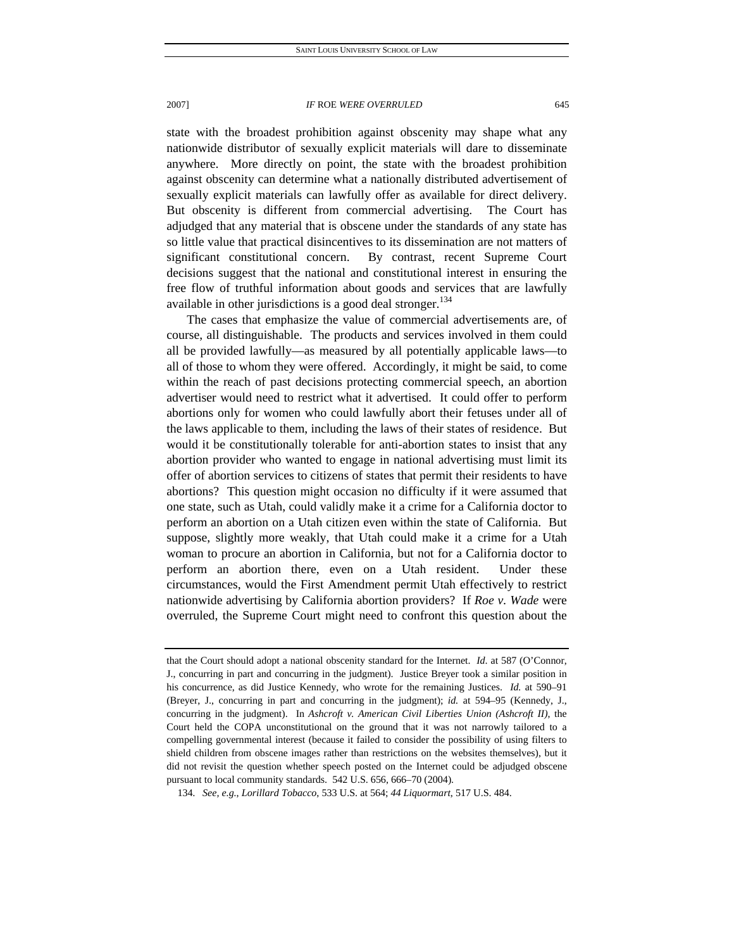state with the broadest prohibition against obscenity may shape what any nationwide distributor of sexually explicit materials will dare to disseminate anywhere. More directly on point, the state with the broadest prohibition against obscenity can determine what a nationally distributed advertisement of sexually explicit materials can lawfully offer as available for direct delivery. But obscenity is different from commercial advertising. The Court has adjudged that any material that is obscene under the standards of any state has so little value that practical disincentives to its dissemination are not matters of significant constitutional concern. By contrast, recent Supreme Court decisions suggest that the national and constitutional interest in ensuring the free flow of truthful information about goods and services that are lawfully available in other jurisdictions is a good deal stronger.<sup>134</sup>

The cases that emphasize the value of commercial advertisements are, of course, all distinguishable. The products and services involved in them could all be provided lawfully—as measured by all potentially applicable laws—to all of those to whom they were offered. Accordingly, it might be said, to come within the reach of past decisions protecting commercial speech, an abortion advertiser would need to restrict what it advertised. It could offer to perform abortions only for women who could lawfully abort their fetuses under all of the laws applicable to them, including the laws of their states of residence. But would it be constitutionally tolerable for anti-abortion states to insist that any abortion provider who wanted to engage in national advertising must limit its offer of abortion services to citizens of states that permit their residents to have abortions? This question might occasion no difficulty if it were assumed that one state, such as Utah, could validly make it a crime for a California doctor to perform an abortion on a Utah citizen even within the state of California. But suppose, slightly more weakly, that Utah could make it a crime for a Utah woman to procure an abortion in California, but not for a California doctor to perform an abortion there, even on a Utah resident. Under these circumstances, would the First Amendment permit Utah effectively to restrict nationwide advertising by California abortion providers? If *Roe v. Wade* were overruled, the Supreme Court might need to confront this question about the

that the Court should adopt a national obscenity standard for the Internet. *Id*. at 587 (O'Connor, J., concurring in part and concurring in the judgment). Justice Breyer took a similar position in his concurrence, as did Justice Kennedy, who wrote for the remaining Justices. *Id.* at 590–91 (Breyer, J., concurring in part and concurring in the judgment); *id.* at 594–95 (Kennedy, J., concurring in the judgment). In *Ashcroft v. American Civil Liberties Union (Ashcroft II)*, the Court held the COPA unconstitutional on the ground that it was not narrowly tailored to a compelling governmental interest (because it failed to consider the possibility of using filters to shield children from obscene images rather than restrictions on the websites themselves), but it did not revisit the question whether speech posted on the Internet could be adjudged obscene pursuant to local community standards. 542 U.S. 656, 666–70 (2004).

<sup>134</sup>*. See, e.g.*, *Lorillard Tobacco*, 533 U.S. at 564; *44 Liquormart*, 517 U.S. 484.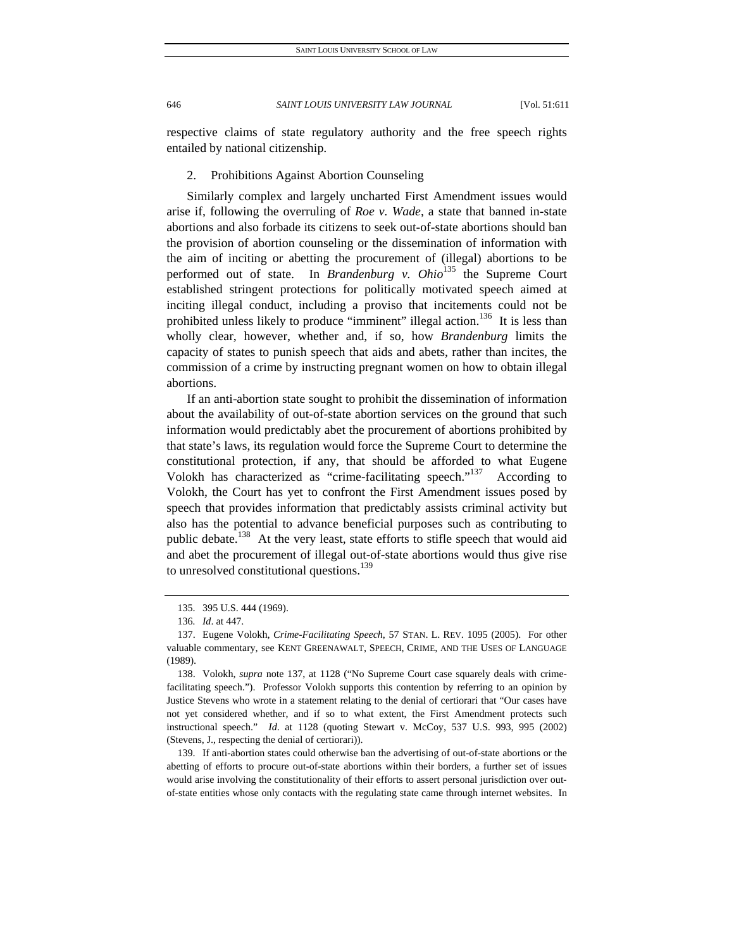respective claims of state regulatory authority and the free speech rights entailed by national citizenship.

2. Prohibitions Against Abortion Counseling

Similarly complex and largely uncharted First Amendment issues would arise if, following the overruling of *Roe v. Wade*, a state that banned in-state abortions and also forbade its citizens to seek out-of-state abortions should ban the provision of abortion counseling or the dissemination of information with the aim of inciting or abetting the procurement of (illegal) abortions to be performed out of state. In *Brandenburg v. Ohio*135 the Supreme Court established stringent protections for politically motivated speech aimed at inciting illegal conduct, including a proviso that incitements could not be prohibited unless likely to produce "imminent" illegal action.<sup>136</sup> It is less than wholly clear, however, whether and, if so, how *Brandenburg* limits the capacity of states to punish speech that aids and abets, rather than incites, the commission of a crime by instructing pregnant women on how to obtain illegal abortions.

If an anti-abortion state sought to prohibit the dissemination of information about the availability of out-of-state abortion services on the ground that such information would predictably abet the procurement of abortions prohibited by that state's laws, its regulation would force the Supreme Court to determine the constitutional protection, if any, that should be afforded to what Eugene Volokh has characterized as "crime-facilitating speech."137 According to Volokh, the Court has yet to confront the First Amendment issues posed by speech that provides information that predictably assists criminal activity but also has the potential to advance beneficial purposes such as contributing to public debate.<sup>138</sup> At the very least, state efforts to stifle speech that would aid and abet the procurement of illegal out-of-state abortions would thus give rise to unresolved constitutional questions.<sup>139</sup>

 139. If anti-abortion states could otherwise ban the advertising of out-of-state abortions or the abetting of efforts to procure out-of-state abortions within their borders, a further set of issues would arise involving the constitutionality of their efforts to assert personal jurisdiction over outof-state entities whose only contacts with the regulating state came through internet websites. In

 <sup>135. 395</sup> U.S. 444 (1969).

<sup>136</sup>*. Id*. at 447.

 <sup>137.</sup> Eugene Volokh, *Crime-Facilitating Speech*, 57 STAN. L. REV. 1095 (2005). For other valuable commentary, see KENT GREENAWALT, SPEECH, CRIME, AND THE USES OF LANGUAGE (1989).

 <sup>138.</sup> Volokh, *supra* note 137, at 1128 ("No Supreme Court case squarely deals with crimefacilitating speech."). Professor Volokh supports this contention by referring to an opinion by Justice Stevens who wrote in a statement relating to the denial of certiorari that "Our cases have not yet considered whether, and if so to what extent, the First Amendment protects such instructional speech." *Id*. at 1128 (quoting Stewart v. McCoy, 537 U.S. 993, 995 (2002) (Stevens, J., respecting the denial of certiorari)).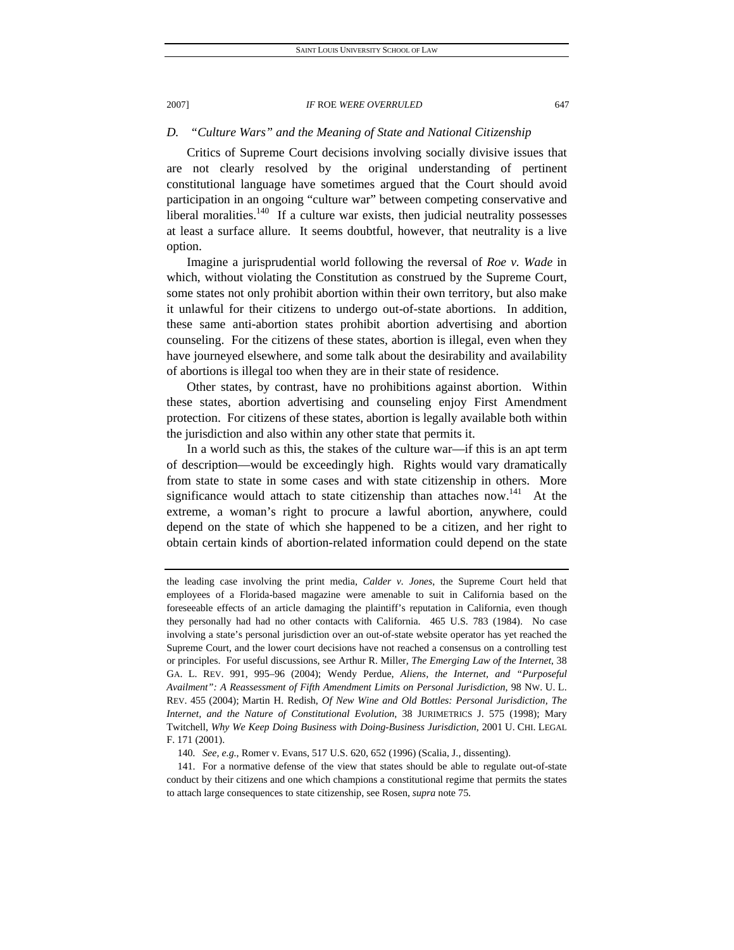#### *D. "Culture Wars" and the Meaning of State and National Citizenship*

Critics of Supreme Court decisions involving socially divisive issues that are not clearly resolved by the original understanding of pertinent constitutional language have sometimes argued that the Court should avoid participation in an ongoing "culture war" between competing conservative and liberal moralities.<sup>140</sup> If a culture war exists, then judicial neutrality possesses at least a surface allure. It seems doubtful, however, that neutrality is a live option.

Imagine a jurisprudential world following the reversal of *Roe v. Wade* in which, without violating the Constitution as construed by the Supreme Court, some states not only prohibit abortion within their own territory, but also make it unlawful for their citizens to undergo out-of-state abortions. In addition, these same anti-abortion states prohibit abortion advertising and abortion counseling. For the citizens of these states, abortion is illegal, even when they have journeyed elsewhere, and some talk about the desirability and availability of abortions is illegal too when they are in their state of residence.

Other states, by contrast, have no prohibitions against abortion. Within these states, abortion advertising and counseling enjoy First Amendment protection. For citizens of these states, abortion is legally available both within the jurisdiction and also within any other state that permits it.

In a world such as this, the stakes of the culture war—if this is an apt term of description—would be exceedingly high. Rights would vary dramatically from state to state in some cases and with state citizenship in others. More significance would attach to state citizenship than attaches now. $141$  At the extreme, a woman's right to procure a lawful abortion, anywhere, could depend on the state of which she happened to be a citizen, and her right to obtain certain kinds of abortion-related information could depend on the state

140*. See, e.g.*, Romer v. Evans, 517 U.S. 620, 652 (1996) (Scalia, J., dissenting).

 141. For a normative defense of the view that states should be able to regulate out-of-state conduct by their citizens and one which champions a constitutional regime that permits the states to attach large consequences to state citizenship, see Rosen, *supra* note 75.

the leading case involving the print media, *Calder v. Jones*, the Supreme Court held that employees of a Florida-based magazine were amenable to suit in California based on the foreseeable effects of an article damaging the plaintiff's reputation in California, even though they personally had had no other contacts with California. 465 U.S. 783 (1984). No case involving a state's personal jurisdiction over an out-of-state website operator has yet reached the Supreme Court, and the lower court decisions have not reached a consensus on a controlling test or principles. For useful discussions, see Arthur R. Miller, *The Emerging Law of the Internet*, 38 GA. L. REV. 991, 995–96 (2004); Wendy Perdue, *Aliens, the Internet, and "Purposeful Availment": A Reassessment of Fifth Amendment Limits on Personal Jurisdiction*, 98 NW. U. L. REV. 455 (2004); Martin H. Redish, *Of New Wine and Old Bottles: Personal Jurisdiction, The Internet, and the Nature of Constitutional Evolution*, 38 JURIMETRICS J. 575 (1998); Mary Twitchell, *Why We Keep Doing Business with Doing-Business Jurisdiction*, 2001 U. CHI. LEGAL F. 171 (2001).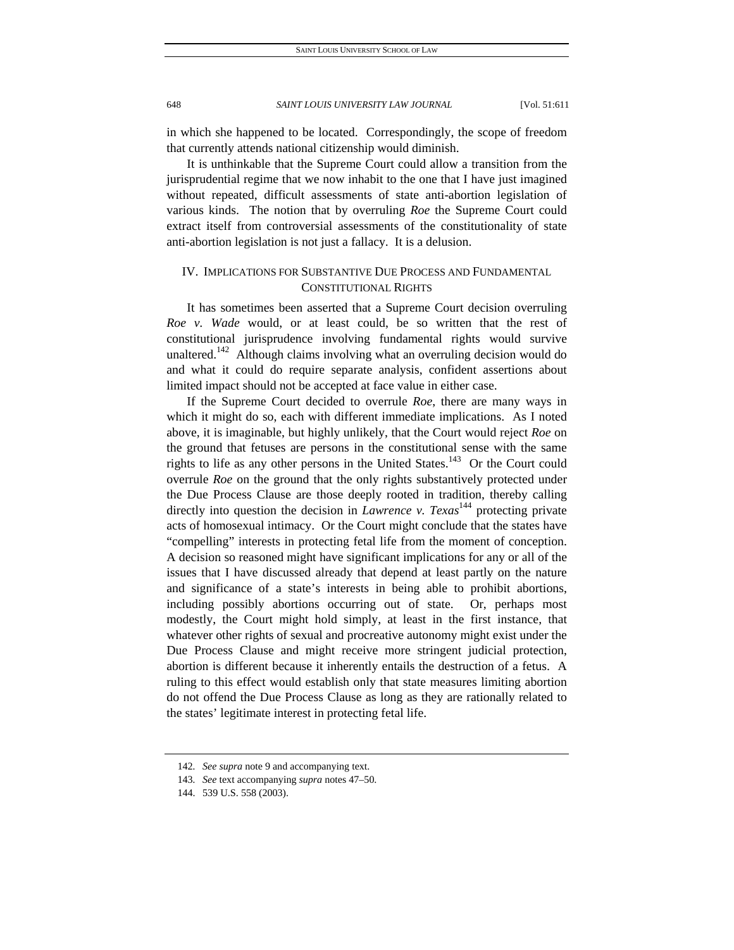in which she happened to be located. Correspondingly, the scope of freedom that currently attends national citizenship would diminish.

It is unthinkable that the Supreme Court could allow a transition from the jurisprudential regime that we now inhabit to the one that I have just imagined without repeated, difficult assessments of state anti-abortion legislation of various kinds. The notion that by overruling *Roe* the Supreme Court could extract itself from controversial assessments of the constitutionality of state anti-abortion legislation is not just a fallacy. It is a delusion.

# IV. IMPLICATIONS FOR SUBSTANTIVE DUE PROCESS AND FUNDAMENTAL CONSTITUTIONAL RIGHTS

It has sometimes been asserted that a Supreme Court decision overruling *Roe v. Wade* would, or at least could, be so written that the rest of constitutional jurisprudence involving fundamental rights would survive unaltered.<sup>142</sup> Although claims involving what an overruling decision would do and what it could do require separate analysis, confident assertions about limited impact should not be accepted at face value in either case.

If the Supreme Court decided to overrule *Roe*, there are many ways in which it might do so, each with different immediate implications. As I noted above, it is imaginable, but highly unlikely, that the Court would reject *Roe* on the ground that fetuses are persons in the constitutional sense with the same rights to life as any other persons in the United States.<sup>143</sup> Or the Court could overrule *Roe* on the ground that the only rights substantively protected under the Due Process Clause are those deeply rooted in tradition, thereby calling directly into question the decision in *Lawrence v. Texas*<sup>144</sup> protecting private acts of homosexual intimacy. Or the Court might conclude that the states have "compelling" interests in protecting fetal life from the moment of conception. A decision so reasoned might have significant implications for any or all of the issues that I have discussed already that depend at least partly on the nature and significance of a state's interests in being able to prohibit abortions, including possibly abortions occurring out of state. Or, perhaps most modestly, the Court might hold simply, at least in the first instance, that whatever other rights of sexual and procreative autonomy might exist under the Due Process Clause and might receive more stringent judicial protection, abortion is different because it inherently entails the destruction of a fetus. A ruling to this effect would establish only that state measures limiting abortion do not offend the Due Process Clause as long as they are rationally related to the states' legitimate interest in protecting fetal life.

<sup>142</sup>*. See supra* note 9 and accompanying text.

<sup>143</sup>*. See* text accompanying *supra* notes 47–50.

 <sup>144. 539</sup> U.S. 558 (2003).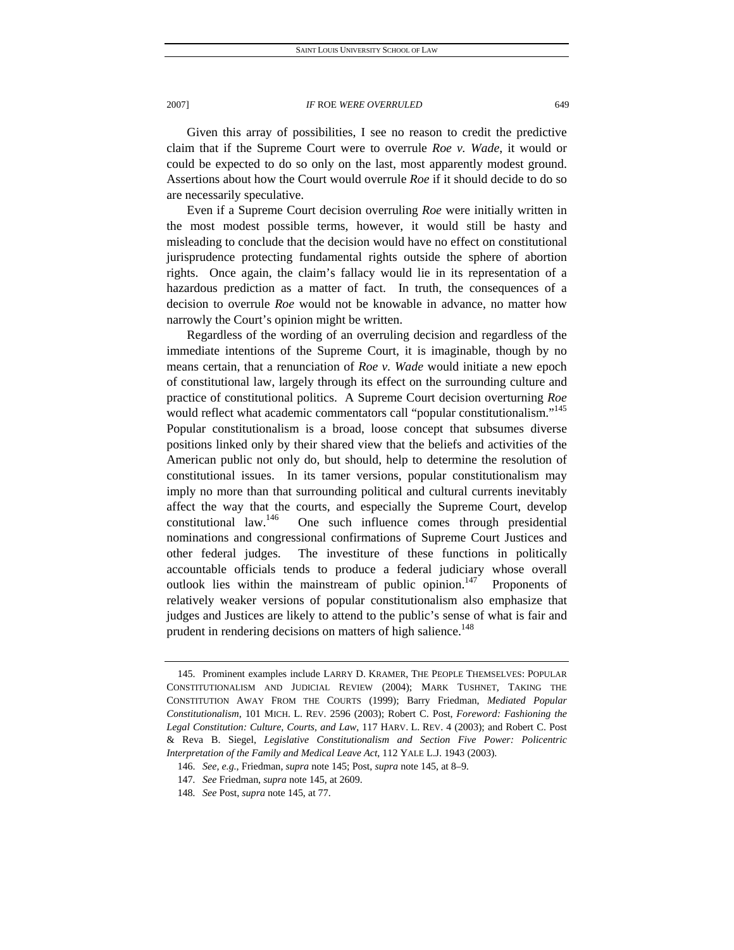Given this array of possibilities, I see no reason to credit the predictive claim that if the Supreme Court were to overrule *Roe v. Wade*, it would or could be expected to do so only on the last, most apparently modest ground. Assertions about how the Court would overrule *Roe* if it should decide to do so are necessarily speculative.

Even if a Supreme Court decision overruling *Roe* were initially written in the most modest possible terms, however, it would still be hasty and misleading to conclude that the decision would have no effect on constitutional jurisprudence protecting fundamental rights outside the sphere of abortion rights. Once again, the claim's fallacy would lie in its representation of a hazardous prediction as a matter of fact. In truth, the consequences of a decision to overrule *Roe* would not be knowable in advance, no matter how narrowly the Court's opinion might be written.

Regardless of the wording of an overruling decision and regardless of the immediate intentions of the Supreme Court, it is imaginable, though by no means certain, that a renunciation of *Roe v. Wade* would initiate a new epoch of constitutional law, largely through its effect on the surrounding culture and practice of constitutional politics. A Supreme Court decision overturning *Roe* would reflect what academic commentators call "popular constitutionalism."<sup>145</sup> Popular constitutionalism is a broad, loose concept that subsumes diverse positions linked only by their shared view that the beliefs and activities of the American public not only do, but should, help to determine the resolution of constitutional issues. In its tamer versions, popular constitutionalism may imply no more than that surrounding political and cultural currents inevitably affect the way that the courts, and especially the Supreme Court, develop constitutional law.146 One such influence comes through presidential nominations and congressional confirmations of Supreme Court Justices and other federal judges. The investiture of these functions in politically accountable officials tends to produce a federal judiciary whose overall outlook lies within the mainstream of public opinion.<sup>147</sup> Proponents of relatively weaker versions of popular constitutionalism also emphasize that judges and Justices are likely to attend to the public's sense of what is fair and prudent in rendering decisions on matters of high salience.<sup>148</sup>

 <sup>145.</sup> Prominent examples include LARRY D. KRAMER, THE PEOPLE THEMSELVES: POPULAR CONSTITUTIONALISM AND JUDICIAL REVIEW (2004); MARK TUSHNET, TAKING THE CONSTITUTION AWAY FROM THE COURTS (1999); Barry Friedman, *Mediated Popular Constitutionalism*, 101 MICH. L. REV. 2596 (2003); Robert C. Post, *Foreword: Fashioning the Legal Constitution: Culture, Courts, and Law*, 117 HARV. L. REV. 4 (2003); and Robert C. Post & Reva B. Siegel, *Legislative Constitutionalism and Section Five Power: Policentric Interpretation of the Family and Medical Leave Act*, 112 YALE L.J. 1943 (2003).

 <sup>146.</sup> *See, e.g.*, Friedman, *supra* note 145; Post, *supra* note 145, at 8–9.

<sup>147</sup>*. See* Friedman, *supra* note 145, at 2609.

<sup>148</sup>*. See* Post, *supra* note 145, at 77.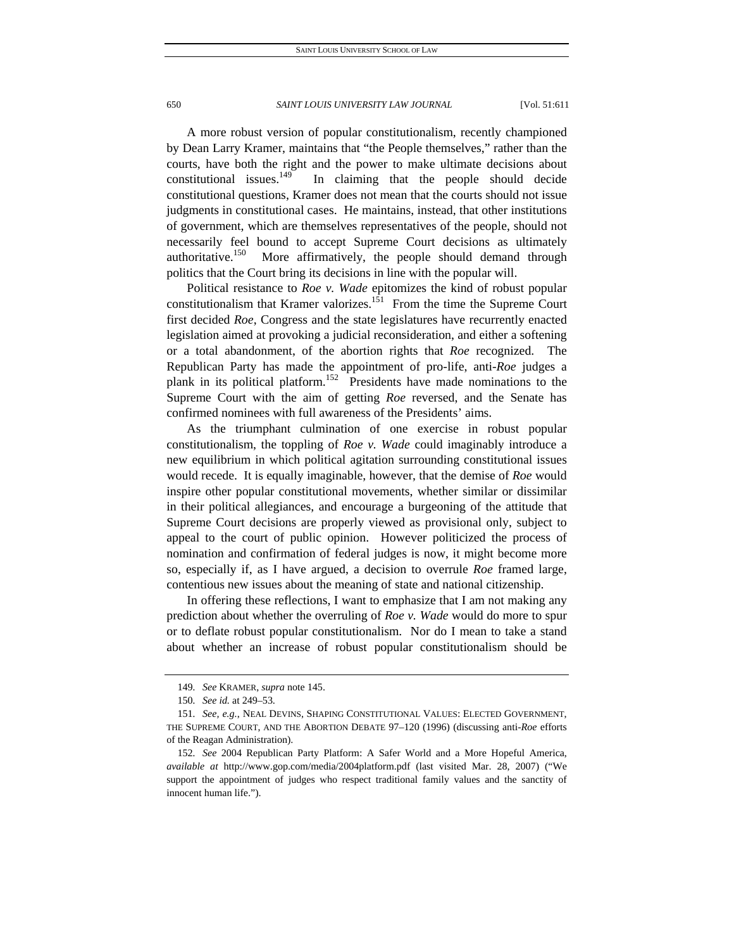A more robust version of popular constitutionalism, recently championed by Dean Larry Kramer, maintains that "the People themselves," rather than the courts, have both the right and the power to make ultimate decisions about constitutional issues. $149$  In claiming that the people should decide constitutional questions, Kramer does not mean that the courts should not issue judgments in constitutional cases. He maintains, instead, that other institutions of government, which are themselves representatives of the people, should not necessarily feel bound to accept Supreme Court decisions as ultimately authoritative.<sup>150</sup> More affirmatively, the people should demand through politics that the Court bring its decisions in line with the popular will.

Political resistance to *Roe v. Wade* epitomizes the kind of robust popular constitutionalism that Kramer valorizes.<sup>151</sup> From the time the Supreme Court first decided *Roe*, Congress and the state legislatures have recurrently enacted legislation aimed at provoking a judicial reconsideration, and either a softening or a total abandonment, of the abortion rights that *Roe* recognized. The Republican Party has made the appointment of pro-life, anti-*Roe* judges a plank in its political platform.<sup>152</sup> Presidents have made nominations to the Supreme Court with the aim of getting *Roe* reversed, and the Senate has confirmed nominees with full awareness of the Presidents' aims.

As the triumphant culmination of one exercise in robust popular constitutionalism, the toppling of *Roe v. Wade* could imaginably introduce a new equilibrium in which political agitation surrounding constitutional issues would recede. It is equally imaginable, however, that the demise of *Roe* would inspire other popular constitutional movements, whether similar or dissimilar in their political allegiances, and encourage a burgeoning of the attitude that Supreme Court decisions are properly viewed as provisional only, subject to appeal to the court of public opinion. However politicized the process of nomination and confirmation of federal judges is now, it might become more so, especially if, as I have argued, a decision to overrule *Roe* framed large, contentious new issues about the meaning of state and national citizenship.

In offering these reflections, I want to emphasize that I am not making any prediction about whether the overruling of *Roe v. Wade* would do more to spur or to deflate robust popular constitutionalism. Nor do I mean to take a stand about whether an increase of robust popular constitutionalism should be

<sup>149</sup>*. See* KRAMER, *supra* note 145.

<sup>150</sup>*. See id.* at 249–53.

<sup>151</sup>*. See, e.g.*, NEAL DEVINS, SHAPING CONSTITUTIONAL VALUES: ELECTED GOVERNMENT, THE SUPREME COURT, AND THE ABORTION DEBATE 97–120 (1996) (discussing anti-*Roe* efforts of the Reagan Administration).

<sup>152</sup>*. See* 2004 Republican Party Platform: A Safer World and a More Hopeful America, *available at* http://www.gop.com/media/2004platform.pdf (last visited Mar. 28, 2007) ("We support the appointment of judges who respect traditional family values and the sanctity of innocent human life.").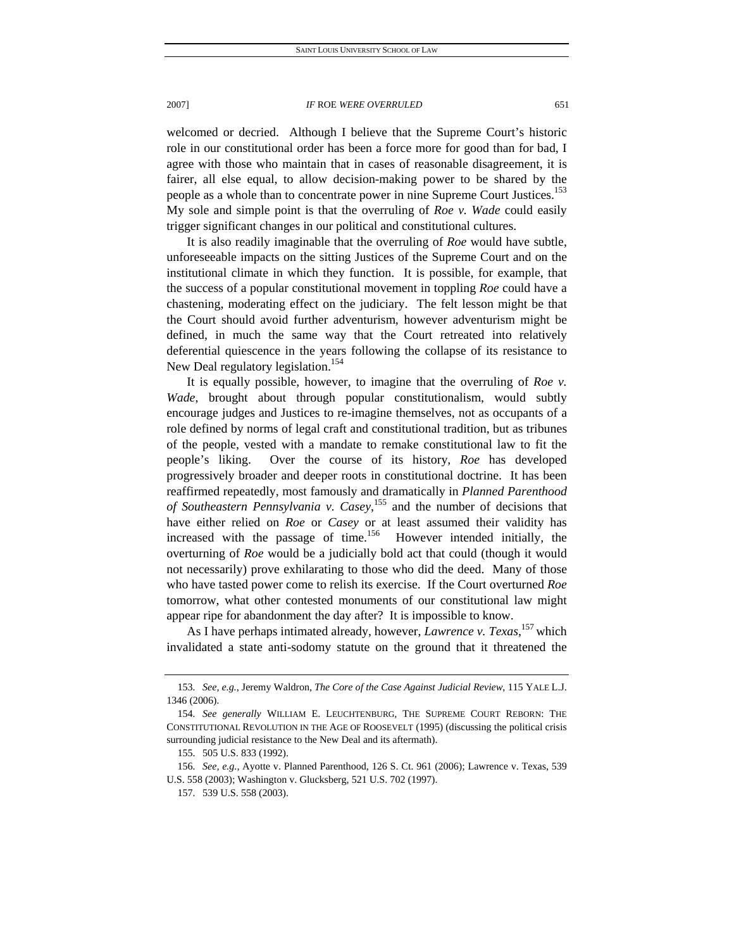welcomed or decried. Although I believe that the Supreme Court's historic role in our constitutional order has been a force more for good than for bad, I agree with those who maintain that in cases of reasonable disagreement, it is fairer, all else equal, to allow decision-making power to be shared by the people as a whole than to concentrate power in nine Supreme Court Justices.<sup>153</sup> My sole and simple point is that the overruling of *Roe v. Wade* could easily trigger significant changes in our political and constitutional cultures.

It is also readily imaginable that the overruling of *Roe* would have subtle, unforeseeable impacts on the sitting Justices of the Supreme Court and on the institutional climate in which they function. It is possible, for example, that the success of a popular constitutional movement in toppling *Roe* could have a chastening, moderating effect on the judiciary. The felt lesson might be that the Court should avoid further adventurism, however adventurism might be defined, in much the same way that the Court retreated into relatively deferential quiescence in the years following the collapse of its resistance to New Deal regulatory legislation.<sup>154</sup>

It is equally possible, however, to imagine that the overruling of *Roe v. Wade*, brought about through popular constitutionalism, would subtly encourage judges and Justices to re-imagine themselves, not as occupants of a role defined by norms of legal craft and constitutional tradition, but as tribunes of the people, vested with a mandate to remake constitutional law to fit the people's liking. Over the course of its history, *Roe* has developed progressively broader and deeper roots in constitutional doctrine. It has been reaffirmed repeatedly, most famously and dramatically in *Planned Parenthood of Southeastern Pennsylvania v. Casey*, 155 and the number of decisions that have either relied on *Roe* or *Casey* or at least assumed their validity has increased with the passage of time.<sup>156</sup> However intended initially, the overturning of *Roe* would be a judicially bold act that could (though it would not necessarily) prove exhilarating to those who did the deed. Many of those who have tasted power come to relish its exercise. If the Court overturned *Roe* tomorrow, what other contested monuments of our constitutional law might appear ripe for abandonment the day after? It is impossible to know.

As I have perhaps intimated already, however, *Lawrence v. Texas*, 157 which invalidated a state anti-sodomy statute on the ground that it threatened the

<sup>153</sup>*. See, e.g.*, Jeremy Waldron, *The Core of the Case Against Judicial Review*, 115 YALE L.J. 1346 (2006).

<sup>154</sup>*. See generally* WILLIAM E. LEUCHTENBURG, THE SUPREME COURT REBORN: THE CONSTITUTIONAL REVOLUTION IN THE AGE OF ROOSEVELT (1995) (discussing the political crisis surrounding judicial resistance to the New Deal and its aftermath).

 <sup>155. 505</sup> U.S. 833 (1992).

<sup>156</sup>*. See, e.g.*, Ayotte v. Planned Parenthood, 126 S. Ct. 961 (2006); Lawrence v. Texas, 539 U.S. 558 (2003); Washington v. Glucksberg, 521 U.S. 702 (1997).

 <sup>157. 539</sup> U.S. 558 (2003).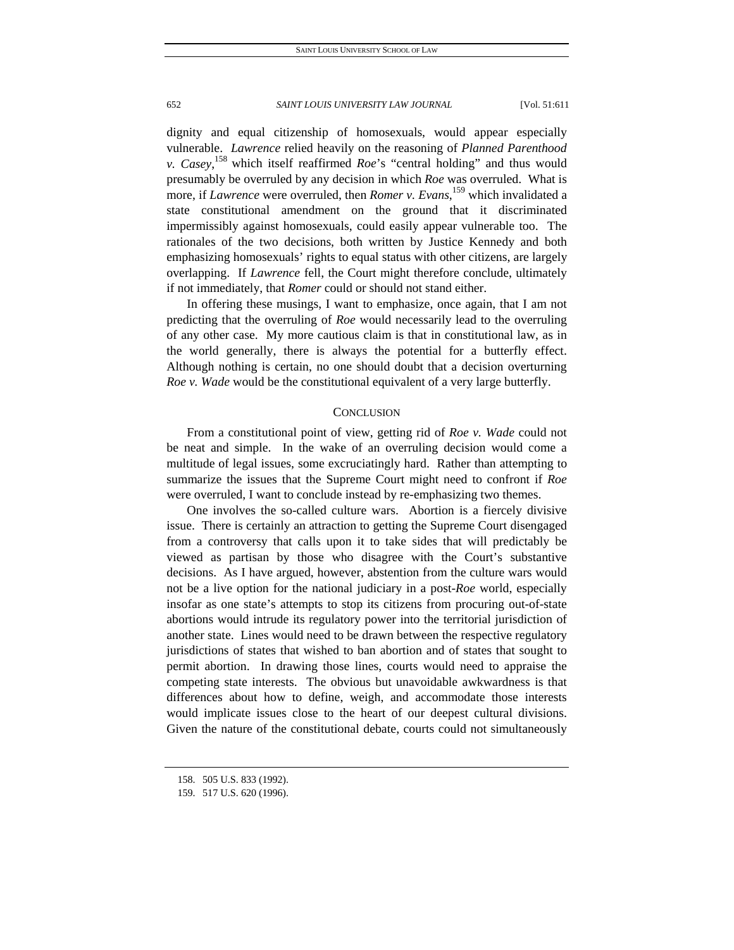dignity and equal citizenship of homosexuals, would appear especially vulnerable. *Lawrence* relied heavily on the reasoning of *Planned Parenthood v. Casey*, 158 which itself reaffirmed *Roe*'s "central holding" and thus would presumably be overruled by any decision in which *Roe* was overruled. What is more, if *Lawrence* were overruled, then *Romer v. Evans*, 159 which invalidated a state constitutional amendment on the ground that it discriminated impermissibly against homosexuals, could easily appear vulnerable too. The rationales of the two decisions, both written by Justice Kennedy and both emphasizing homosexuals' rights to equal status with other citizens, are largely overlapping. If *Lawrence* fell, the Court might therefore conclude, ultimately if not immediately, that *Romer* could or should not stand either.

In offering these musings, I want to emphasize, once again, that I am not predicting that the overruling of *Roe* would necessarily lead to the overruling of any other case. My more cautious claim is that in constitutional law, as in the world generally, there is always the potential for a butterfly effect. Although nothing is certain, no one should doubt that a decision overturning *Roe v. Wade* would be the constitutional equivalent of a very large butterfly.

#### **CONCLUSION**

From a constitutional point of view, getting rid of *Roe v. Wade* could not be neat and simple. In the wake of an overruling decision would come a multitude of legal issues, some excruciatingly hard. Rather than attempting to summarize the issues that the Supreme Court might need to confront if *Roe* were overruled, I want to conclude instead by re-emphasizing two themes.

One involves the so-called culture wars. Abortion is a fiercely divisive issue. There is certainly an attraction to getting the Supreme Court disengaged from a controversy that calls upon it to take sides that will predictably be viewed as partisan by those who disagree with the Court's substantive decisions. As I have argued, however, abstention from the culture wars would not be a live option for the national judiciary in a post-*Roe* world, especially insofar as one state's attempts to stop its citizens from procuring out-of-state abortions would intrude its regulatory power into the territorial jurisdiction of another state. Lines would need to be drawn between the respective regulatory jurisdictions of states that wished to ban abortion and of states that sought to permit abortion. In drawing those lines, courts would need to appraise the competing state interests. The obvious but unavoidable awkwardness is that differences about how to define, weigh, and accommodate those interests would implicate issues close to the heart of our deepest cultural divisions. Given the nature of the constitutional debate, courts could not simultaneously

 <sup>158. 505</sup> U.S. 833 (1992).

 <sup>159. 517</sup> U.S. 620 (1996).